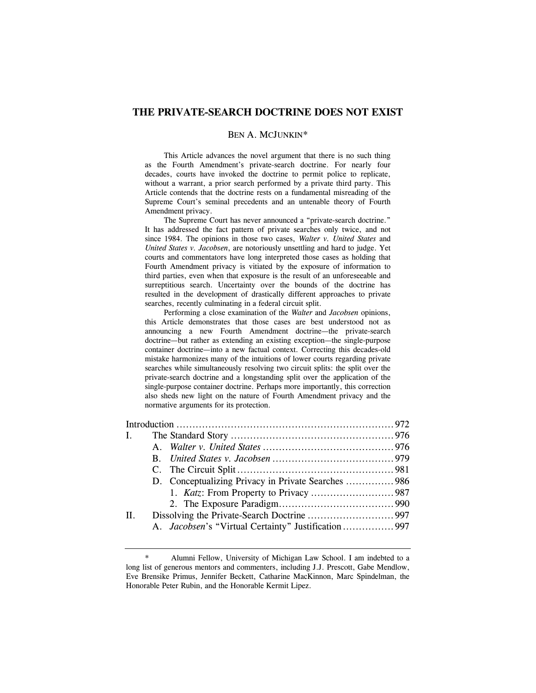# **THE PRIVATE-SEARCH DOCTRINE DOES NOT EXIST**

## BEN A. MCJUNKIN\*

This Article advances the novel argument that there is no such thing as the Fourth Amendment's private-search doctrine. For nearly four decades, courts have invoked the doctrine to permit police to replicate, without a warrant, a prior search performed by a private third party. This Article contends that the doctrine rests on a fundamental misreading of the Supreme Court's seminal precedents and an untenable theory of Fourth Amendment privacy.

The Supreme Court has never announced a "private-search doctrine." It has addressed the fact pattern of private searches only twice, and not since 1984. The opinions in those two cases, *Walter v. United States* and *United States v. Jacobsen*, are notoriously unsettling and hard to judge. Yet courts and commentators have long interpreted those cases as holding that Fourth Amendment privacy is vitiated by the exposure of information to third parties, even when that exposure is the result of an unforeseeable and surreptitious search. Uncertainty over the bounds of the doctrine has resulted in the development of drastically different approaches to private searches, recently culminating in a federal circuit split.

Performing a close examination of the *Walter* and *Jacobsen* opinions, this Article demonstrates that those cases are best understood not as announcing a new Fourth Amendment doctrine—the private-search doctrine—but rather as extending an existing exception—the single-purpose container doctrine—into a new factual context. Correcting this decades-old mistake harmonizes many of the intuitions of lower courts regarding private searches while simultaneously resolving two circuit splits: the split over the private-search doctrine and a longstanding split over the application of the single-purpose container doctrine. Perhaps more importantly, this correction also sheds new light on the nature of Fourth Amendment privacy and the normative arguments for its protection.

| $\Pi$ . |                                                    |  |
|---------|----------------------------------------------------|--|
|         | A. Jacobsen's "Virtual Certainty" Justification997 |  |
|         |                                                    |  |

Alumni Fellow, University of Michigan Law School. I am indebted to a long list of generous mentors and commenters, including J.J. Prescott, Gabe Mendlow, Eve Brensike Primus, Jennifer Beckett, Catharine MacKinnon, Marc Spindelman, the Honorable Peter Rubin, and the Honorable Kermit Lipez.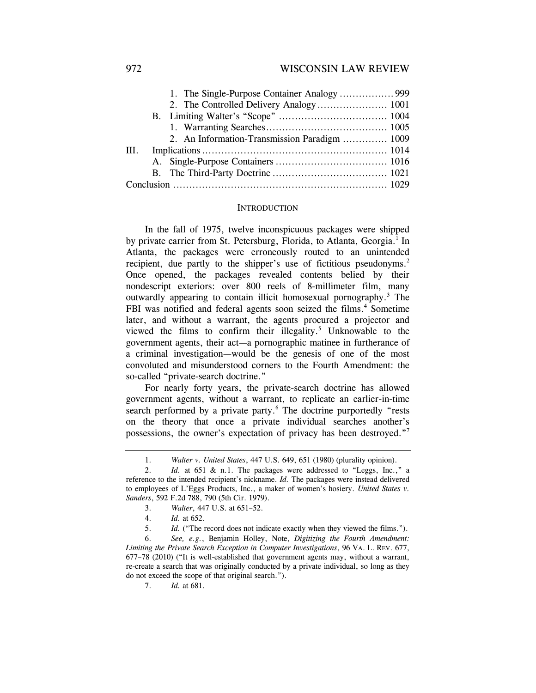|      |  | 2. An Information-Transmission Paradigm  1009 |  |
|------|--|-----------------------------------------------|--|
| III. |  |                                               |  |
|      |  |                                               |  |
|      |  |                                               |  |
|      |  |                                               |  |

### **INTRODUCTION**

In the fall of 1975, twelve inconspicuous packages were shipped by private carrier from St. Petersburg, Florida, to Atlanta, Georgia.<sup>1</sup> In Atlanta, the packages were erroneously routed to an unintended recipient, due partly to the shipper's use of fictitious pseudonyms.<sup>2</sup> Once opened, the packages revealed contents belied by their nondescript exteriors: over 800 reels of 8-millimeter film, many outwardly appearing to contain illicit homosexual pornography.<sup>3</sup> The FBI was notified and federal agents soon seized the films.<sup>4</sup> Sometime later, and without a warrant, the agents procured a projector and viewed the films to confirm their illegality. $5$  Unknowable to the government agents, their act—a pornographic matinee in furtherance of a criminal investigation—would be the genesis of one of the most convoluted and misunderstood corners to the Fourth Amendment: the so-called "private-search doctrine."

For nearly forty years, the private-search doctrine has allowed government agents, without a warrant, to replicate an earlier-in-time search performed by a private party.<sup>6</sup> The doctrine purportedly "rests on the theory that once a private individual searches another's possessions, the owner's expectation of privacy has been destroyed."7

<sup>1.</sup> *Walter v. United States*, 447 U.S. 649, 651 (1980) (plurality opinion).

<sup>2.</sup> *Id.* at 651 & n.1. The packages were addressed to "Leggs, Inc.," a reference to the intended recipient's nickname. *Id.* The packages were instead delivered to employees of L'Eggs Products, Inc., a maker of women's hosiery. *United States v. Sanders*, 592 F.2d 788, 790 (5th Cir. 1979).

<sup>3.</sup> *Walter*, 447 U.S. at 651–52.

 <sup>4.</sup> *Id.* at 652.

<sup>5.</sup> *Id.* ("The record does not indicate exactly when they viewed the films.").

 <sup>6.</sup> *See, e.g.*, Benjamin Holley, Note, *Digitizing the Fourth Amendment: Limiting the Private Search Exception in Computer Investigations*, 96 VA. L. REV. 677, 677–78 (2010) ("It is well-established that government agents may, without a warrant, re-create a search that was originally conducted by a private individual, so long as they do not exceed the scope of that original search.").

 <sup>7.</sup> *Id.* at 681.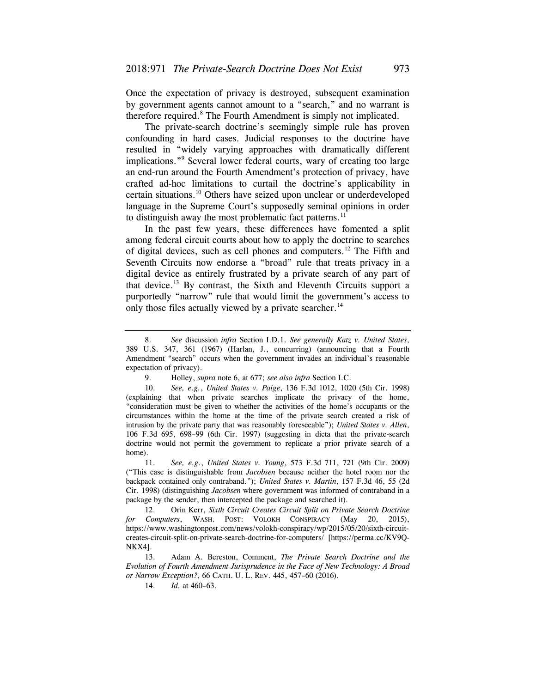Once the expectation of privacy is destroyed, subsequent examination by government agents cannot amount to a "search," and no warrant is therefore required.<sup>8</sup> The Fourth Amendment is simply not implicated.

The private-search doctrine's seemingly simple rule has proven confounding in hard cases. Judicial responses to the doctrine have resulted in "widely varying approaches with dramatically different implications."9 Several lower federal courts, wary of creating too large an end-run around the Fourth Amendment's protection of privacy, have crafted ad-hoc limitations to curtail the doctrine's applicability in certain [situations.10](https://situations.10) Others have seized upon unclear or underdeveloped language in the Supreme Court's supposedly seminal opinions in order to distinguish away the most problematic fact patterns.<sup>11</sup>

In the past few years, these differences have fomented a split among federal circuit courts about how to apply the doctrine to searches of digital devices, such as cell phones and computers.<sup>12</sup> The Fifth and Seventh Circuits now endorse a "broad" rule that treats privacy in a digital device as entirely frustrated by a private search of any part of that [device.13](https://device.13) By contrast, the Sixth and Eleventh Circuits support a purportedly "narrow" rule that would limit the government's access to only those files actually viewed by a private searcher.<sup>14</sup>

<sup>8.</sup> *See* discussion *infra* Section I.D.1. *See generally Katz v. United States*, 389 U.S. 347, 361 (1967) (Harlan, J., concurring) (announcing that a Fourth Amendment "search" occurs when the government invades an individual's reasonable expectation of privacy).

<sup>9.</sup> Holley, *supra* note 6, at 677; *see also infra* Section I.C.

<sup>10.</sup> *See, e.g.*, *United States v. Paige*, 136 F.3d 1012, 1020 (5th Cir. 1998) (explaining that when private searches implicate the privacy of the home, "consideration must be given to whether the activities of the home's occupants or the circumstances within the home at the time of the private search created a risk of intrusion by the private party that was reasonably foreseeable"); *United States v. Allen*, 106 F.3d 695, 698–99 (6th Cir. 1997) (suggesting in dicta that the private-search doctrine would not permit the government to replicate a prior private search of a home).

<sup>11.</sup> *See, e.g.*, *United States v. Young*, 573 F.3d 711, 721 (9th Cir. 2009) ("This case is distinguishable from *Jacobsen* because neither the hotel room nor the backpack contained only contraband."); *United States v. Martin*, 157 F.3d 46, 55 (2d Cir. 1998) (distinguishing *Jacobsen* where government was informed of contraband in a package by the sender, then intercepted the package and searched it).

 <sup>12.</sup> Orin Kerr, *Sixth Circuit Creates Circuit Split on Private Search Doctrine for Computers*, WASH. POST: VOLOKH CONSPIRACY (May 20, 2015), <https://www.washingtonpost.com/news/volokh-conspiracy/wp/2015/05/20/sixth-circuit>creates-circuit-split-on-private-search-doctrine-for-computers/ [\[https://perma.cc/KV9Q-](https://perma.cc/KV9Q)NKX4].

<sup>13.</sup> Adam A. Bereston, Comment, *The Private Search Doctrine and the Evolution of Fourth Amendment Jurisprudence in the Face of New Technology: A Broad or Narrow Exception?*, 66 CATH. U. L. REV. 445, 457–60 (2016).

<sup>14.</sup> *Id.* at 460–63.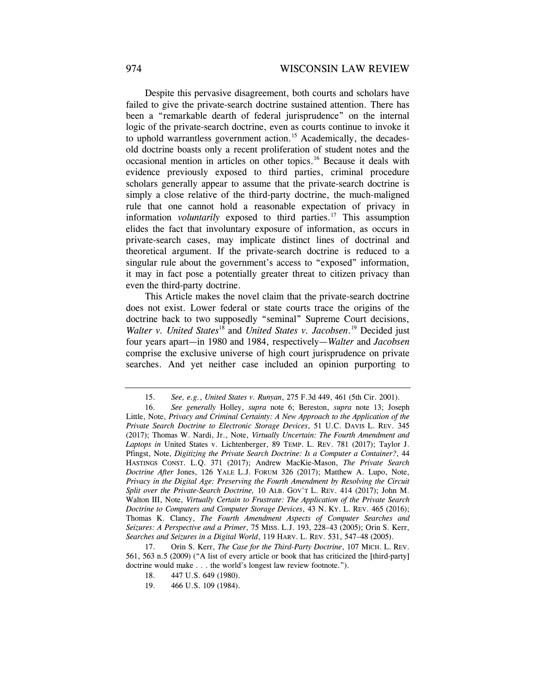Despite this pervasive disagreement, both courts and scholars have failed to give the private-search doctrine sustained attention. There has been a "remarkable dearth of federal jurisprudence" on the internal logic of the private-search doctrine, even as courts continue to invoke it to uphold warrantless government action.<sup>15</sup> Academically, the decadesold doctrine boasts only a recent proliferation of student notes and the occasional mention in articles on other [topics.16](https://topics.16) Because it deals with evidence previously exposed to third parties, criminal procedure scholars generally appear to assume that the private-search doctrine is simply a close relative of the third-party doctrine, the much-maligned rule that one cannot hold a reasonable expectation of privacy in information *voluntarily* exposed to third parties.<sup>17</sup> This assumption elides the fact that involuntary exposure of information, as occurs in private-search cases, may implicate distinct lines of doctrinal and theoretical argument. If the private-search doctrine is reduced to a singular rule about the government's access to "exposed" information, it may in fact pose a potentially greater threat to citizen privacy than even the third-party doctrine.

This Article makes the novel claim that the private-search doctrine does not exist. Lower federal or state courts trace the origins of the doctrine back to two supposedly "seminal" Supreme Court decisions, Walter v. United States<sup>18</sup> and *United States v. [Jacobsen](https://Jacobsen.19)*.<sup>19</sup> Decided just four years apart—in 1980 and 1984, respectively—*Walter* and *Jacobsen*  comprise the exclusive universe of high court jurisprudence on private searches. And yet neither case included an opinion purporting to

<sup>15.</sup> *See, e.g.*, *United States v. Runyan*, 275 F.3d 449, 461 (5th Cir. 2001).

 <sup>16.</sup> *See generally* Holley, *supra* note 6; Bereston, *supra* note 13; Joseph Little, Note, *Privacy and Criminal Certainty: A New Approach to the Application of the Private Search Doctrine to Electronic Storage Devices*, 51 U.C. DAVIS L. REV. 345 (2017); Thomas W. Nardi, Jr., Note, *Virtually Uncertain: The Fourth Amendment and Laptops in* United States v. Lichtenberger, 89 TEMP. L. REV. 781 (2017); Taylor J. Pfingst, Note, *Digitizing the Private Search Doctrine: Is a Computer a Container?*, 44 HASTINGS CONST. L.Q. 371 (2017); Andrew MacKie-Mason, *The Private Search Doctrine After* Jones, 126 YALE L.J. FORUM 326 (2017); Matthew A. Lupo, Note, *Privacy in the Digital Age: Preserving the Fourth Amendment by Resolving the Circuit Split over the Private-Search Doctrine,* 10 ALB. GOV'T L. REV. 414 (2017); John M. Walton III, Note, *Virtually Certain to Frustrate: The Application of the Private Search Doctrine to Computers and Computer Storage Devices*, 43 N. KY. L. REV. 465 (2016); Thomas K. Clancy, *The Fourth Amendment Aspects of Computer Searches and Seizures: A Perspective and a Primer*, 75 MISS. L.J. 193, 228–43 (2005); Orin S. Kerr, *Searches and Seizures in a Digital World*, 119 HARV. L. REV. 531, 547–48 (2005).

<sup>17.</sup> Orin S. Kerr, *The Case for the Third-Party Doctrine*, 107 MICH. L. REV. 561, 563 n.5 (2009) ("A list of every article or book that has criticized the [third-party] doctrine would make . . . the world's longest law review footnote.").

<sup>18. 447</sup> U.S. 649 (1980).

<sup>19. 466</sup> U.S. 109 (1984).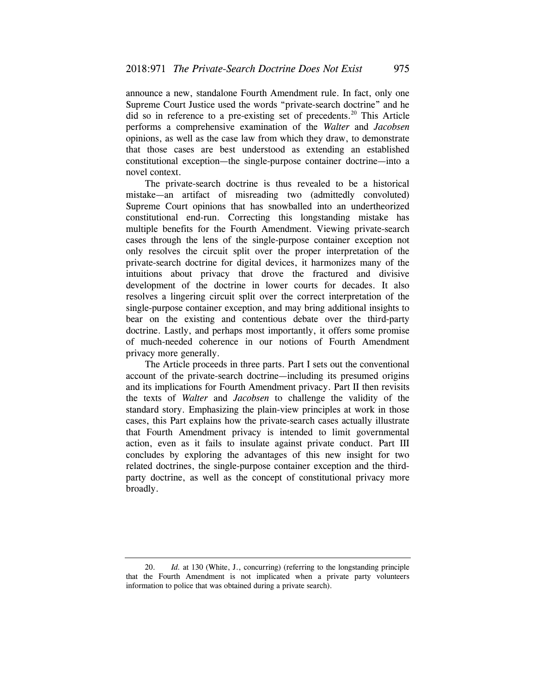announce a new, standalone Fourth Amendment rule. In fact, only one Supreme Court Justice used the words "private-search doctrine" and he did so in reference to a pre-existing set of precedents.<sup>20</sup> This Article performs a comprehensive examination of the *Walter* and *Jacobsen*  opinions, as well as the case law from which they draw, to demonstrate that those cases are best understood as extending an established constitutional exception—the single-purpose container doctrine—into a novel context.

The private-search doctrine is thus revealed to be a historical mistake—an artifact of misreading two (admittedly convoluted) Supreme Court opinions that has snowballed into an undertheorized constitutional end-run. Correcting this longstanding mistake has multiple benefits for the Fourth Amendment. Viewing private-search cases through the lens of the single-purpose container exception not only resolves the circuit split over the proper interpretation of the private-search doctrine for digital devices, it harmonizes many of the intuitions about privacy that drove the fractured and divisive development of the doctrine in lower courts for decades. It also resolves a lingering circuit split over the correct interpretation of the single-purpose container exception, and may bring additional insights to bear on the existing and contentious debate over the third-party doctrine. Lastly, and perhaps most importantly, it offers some promise of much-needed coherence in our notions of Fourth Amendment privacy more generally.

 account of the private-search doctrine—including its presumed origins The Article proceeds in three parts. Part I sets out the conventional and its implications for Fourth Amendment privacy. Part II then revisits the texts of *Walter* and *Jacobsen* to challenge the validity of the standard story. Emphasizing the plain-view principles at work in those cases, this Part explains how the private-search cases actually illustrate that Fourth Amendment privacy is intended to limit governmental action, even as it fails to insulate against private conduct. Part III concludes by exploring the advantages of this new insight for two related doctrines, the single-purpose container exception and the thirdparty doctrine, as well as the concept of constitutional privacy more broadly.

<sup>20.</sup> *Id.* at 130 (White, J., concurring) (referring to the longstanding principle that the Fourth Amendment is not implicated when a private party volunteers information to police that was obtained during a private search).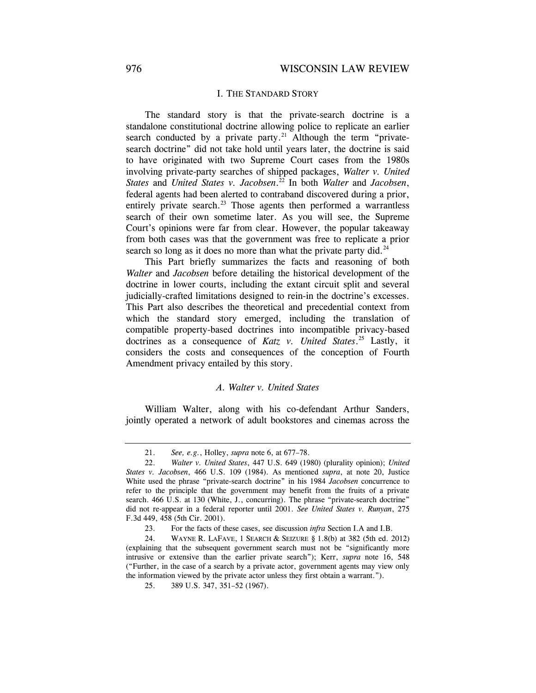## I. THE STANDARD STORY

The standard story is that the private-search doctrine is a standalone constitutional doctrine allowing police to replicate an earlier search conducted by a private party.<sup>21</sup> Although the term "privatesearch doctrine" did not take hold until years later, the doctrine is said to have originated with two Supreme Court cases from the 1980s involving private-party searches of shipped packages, *Walter v. United States* and *United States v. [Jacobsen](https://Jacobsen.22)*. 22 In both *Walter* and *Jacobsen*, federal agents had been alerted to contraband discovered during a prior, entirely private search. $^{23}$  Those agents then performed a warrantless search of their own sometime later. As you will see, the Supreme Court's opinions were far from clear. However, the popular takeaway from both cases was that the government was free to replicate a prior search so long as it does no more than what the private party did. $^{24}$ 

This Part briefly summarizes the facts and reasoning of both *Walter* and *Jacobsen* before detailing the historical development of the doctrine in lower courts, including the extant circuit split and several judicially-crafted limitations designed to rein-in the doctrine's excesses. This Part also describes the theoretical and precedential context from which the standard story emerged, including the translation of compatible property-based doctrines into incompatible privacy-based doctrines as a consequence of *Katz v. United [States](https://States.25)*. 25 Lastly, it considers the costs and consequences of the conception of Fourth Amendment privacy entailed by this story.

### *A. Walter v. United States*

William Walter, along with his co-defendant Arthur Sanders, jointly operated a network of adult bookstores and cinemas across the

<sup>21.</sup> *See, e.g.*, Holley, *supra* note 6, at 677–78.

 <sup>22.</sup> *Walter v. United States*, 447 U.S. 649 (1980) (plurality opinion); *United States v. Jacobsen*, 466 U.S. 109 (1984). As mentioned *supra*, at note 20, Justice White used the phrase "private-search doctrine" in his 1984 *Jacobsen* concurrence to refer to the principle that the government may benefit from the fruits of a private search. 466 U.S. at 130 (White, J., concurring). The phrase "private-search doctrine" did not re-appear in a federal reporter until 2001. *See United States v. Runyan*, 275 F.3d 449, 458 (5th Cir. 2001).

<sup>23.</sup> For the facts of these cases, see discussion *infra* Section I.A and I.B.

<sup>24.</sup> WAYNE R. LAFAVE, 1 SEARCH & SEIZURE  $\S$  1.8(b) at 382 (5th ed. 2012) (explaining that the subsequent government search must not be "significantly more intrusive or extensive than the earlier private search"); Kerr, *supra* note 16, 548 ("Further, in the case of a search by a private actor, government agents may view only the information viewed by the private actor unless they first obtain a warrant.").

<sup>25. 389</sup> U.S. 347, 351–52 (1967).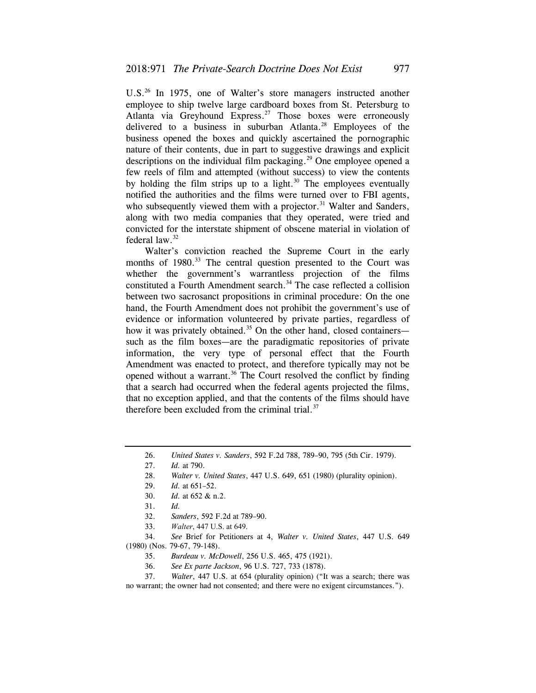U.S.<sup>26</sup> In 1975, one of Walter's store managers instructed another employee to ship twelve large cardboard boxes from St. Petersburg to Atlanta via Greyhound Express.<sup>27</sup> Those boxes were erroneously delivered to a business in suburban Atlanta.<sup>28</sup> Employees of the business opened the boxes and quickly ascertained the pornographic nature of their contents, due in part to suggestive drawings and explicit descriptions on the individual film packaging.<sup>29</sup> One employee opened a few reels of film and attempted (without success) to view the contents by holding the film strips up to a light. $30$  The employees eventually notified the authorities and the films were turned over to FBI agents, who subsequently viewed them with a projector.<sup>31</sup> Walter and Sanders, along with two media companies that they operated, were tried and convicted for the interstate shipment of obscene material in violation of federal law.32

Walter's conviction reached the Supreme Court in the early months of 1980.<sup>33</sup> The central question presented to the Court was whether the government's warrantless projection of the films constituted a Fourth Amendment search.<sup>34</sup> The case reflected a collision between two sacrosanct propositions in criminal procedure: On the one hand, the Fourth Amendment does not prohibit the government's use of evidence or information volunteered by private parties, regardless of how it was privately obtained.<sup>35</sup> On the other hand, closed containers such as the film boxes—are the paradigmatic repositories of private information, the very type of personal effect that the Fourth Amendment was enacted to protect, and therefore typically may not be opened without a warrant.<sup>36</sup> The Court resolved the conflict by finding that a search had occurred when the federal agents projected the films, that no exception applied, and that the contents of the films should have therefore been excluded from the criminal trial.<sup>37</sup>

33. *Walter*, 447 U.S. at 649.

 34. *See* Brief for Petitioners at 4, *Walter v. United States*, 447 U.S. 649 (1980) (Nos. 79-67, 79-148).

 37. *Walter*, 447 U.S. at 654 (plurality opinion) ("It was a search; there was no warrant; the owner had not consented; and there were no exigent circumstances.").

<sup>26.</sup> *United States v. Sanders*, 592 F.2d 788, 789–90, 795 (5th Cir. 1979).

 <sup>27.</sup> *Id.* at 790.

<sup>28.</sup> *Walter v. United States*, 447 U.S. 649, 651 (1980) (plurality opinion).

<sup>29.</sup> *Id.* at 651–52.

 <sup>30.</sup> *Id.* at 652 & n.2.

<sup>31.</sup> *Id.*

 <sup>32.</sup> *Sanders*, 592 F.2d at 789–90.

 <sup>35.</sup> *Burdeau v. McDowell*, 256 U.S. 465, 475 (1921).

 <sup>36.</sup> *See Ex parte Jackson*, 96 U.S. 727, 733 (1878).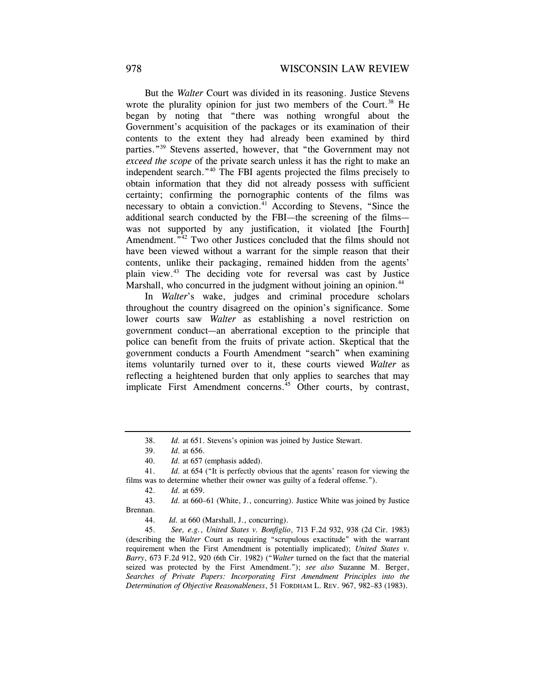But the *Walter* Court was divided in its reasoning. Justice Stevens wrote the plurality opinion for just two members of the Court.<sup>38</sup> He began by noting that "there was nothing wrongful about the Government's acquisition of the packages or its examination of their contents to the extent they had already been examined by third parties."39 Stevens asserted, however, that "the Government may not *exceed the scope* of the private search unless it has the right to make an independent search."40 The FBI agents projected the films precisely to obtain information that they did not already possess with sufficient certainty; confirming the pornographic contents of the films was necessary to obtain a conviction.<sup>41</sup> According to Stevens, "Since the additional search conducted by the FBI—the screening of the films was not supported by any justification, it violated [the Fourth] Amendment."<sup>42</sup> Two other Justices concluded that the films should not have been viewed without a warrant for the simple reason that their contents, unlike their packaging, remained hidden from the agents' plain view.43 The deciding vote for reversal was cast by Justice Marshall, who concurred in the judgment without joining an opinion.<sup>44</sup>

In *Walter*'s wake, judges and criminal procedure scholars throughout the country disagreed on the opinion's significance. Some lower courts saw *Walter* as establishing a novel restriction on government conduct—an aberrational exception to the principle that police can benefit from the fruits of private action. Skeptical that the government conducts a Fourth Amendment "search" when examining items voluntarily turned over to it, these courts viewed *Walter* as reflecting a heightened burden that only applies to searches that may implicate First Amendment concerns.<sup>45</sup> Other courts, by contrast,

<sup>38.</sup> *Id.* at 651. Stevens's opinion was joined by Justice Stewart.

 <sup>39.</sup> *Id.* at 656.

<sup>40.</sup> *Id.* at 657 (emphasis added).

<sup>41.</sup> *Id.* at 654 ("It is perfectly obvious that the agents' reason for viewing the films was to determine whether their owner was guilty of a federal offense.").

 <sup>42.</sup> *Id.* at 659.

<sup>43.</sup> *Id.* at 660–61 (White, J., concurring). Justice White was joined by Justice Brennan.

<sup>44.</sup> *Id.* at 660 (Marshall, J., concurring).

 <sup>45.</sup> *See, e.g.*, *United States v. Bonfiglio*, 713 F.2d 932, 938 (2d Cir. 1983) (describing the *Walter* Court as requiring "scrupulous exactitude" with the warrant requirement when the First Amendment is potentially implicated); *United States v. Barry*, 673 F.2d 912, 920 (6th Cir. 1982) ("*Walter* turned on the fact that the material seized was protected by the First Amendment."); *see also* Suzanne M. Berger, *Searches of Private Papers: Incorporating First Amendment Principles into the Determination of Objective Reasonableness*, 51 FORDHAM L. REV. 967, 982–83 (1983).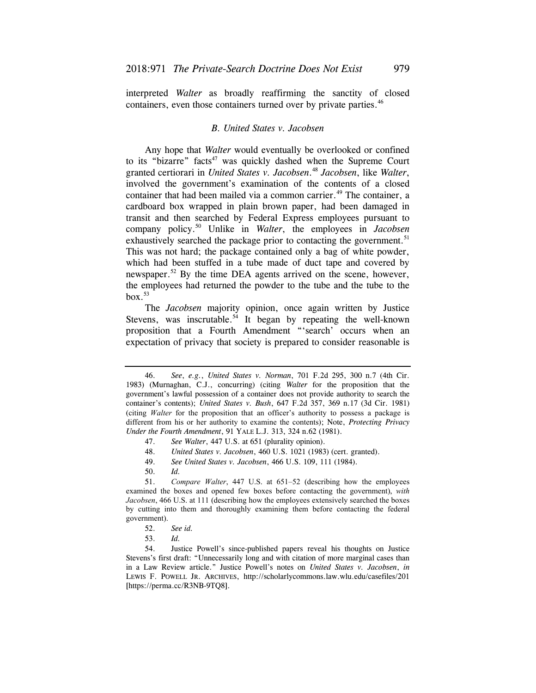interpreted *Walter* as broadly reaffirming the sanctity of closed containers, even those containers turned over by private parties.<sup>46</sup>

## *B. United States v. Jacobsen*

Any hope that *Walter* would eventually be overlooked or confined to its "bizarre" facts<sup>47</sup> was quickly dashed when the Supreme Court granted certiorari in *United States v. [Jacobsen](https://Jacobsen.48)*. <sup>48</sup>*Jacobsen*, like *Walter*, involved the government's examination of the contents of a closed container that had been mailed via a common carrier.<sup>49</sup> The container, a cardboard box wrapped in plain brown paper, had been damaged in transit and then searched by Federal Express employees pursuant to company [policy.50](https://policy.50) Unlike in *Walter*, the employees in *Jacobsen*  exhaustively searched the package prior to contacting the government.<sup>51</sup> This was not hard; the package contained only a bag of white powder, which had been stuffed in a tube made of duct tape and covered by newspaper.<sup>52</sup> By the time DEA agents arrived on the scene, however, the employees had returned the powder to the tube and the tube to the  $box.<sup>53</sup>$ 

The *Jacobsen* majority opinion, once again written by Justice Stevens, was inscrutable.<sup>54</sup> It began by repeating the well-known proposition that a Fourth Amendment "'search' occurs when an expectation of privacy that society is prepared to consider reasonable is

48. *United States v. Jacobsen*, 460 U.S. 1021 (1983) (cert. granted).

50. *Id.*

 51. *Compare Walter*, 447 U.S. at 651–52 (describing how the employees examined the boxes and opened few boxes before contacting the government), *with Jacobsen*, 466 U.S. at 111 (describing how the employees extensively searched the boxes by cutting into them and thoroughly examining them before contacting the federal government).

54. Justice Powell's since-published papers reveal his thoughts on Justice Stevens's first draft: "Unnecessarily long and with citation of more marginal cases than in a Law Review article." Justice Powell's notes on *United States v. Jacobsen*, *in*  LEWIS F. POWELL JR. ARCHIVES, <http://scholarlycommons.law.wlu.edu/casefiles/201> [[https://perma.cc/R3NB-9TQ8\]](https://perma.cc/R3NB-9TQ8).

<sup>46.</sup> *See*, *e.g.*, *United States v. Norman*, 701 F.2d 295, 300 n.7 (4th Cir. 1983) (Murnaghan, C.J., concurring) (citing *Walter* for the proposition that the government's lawful possession of a container does not provide authority to search the container's contents); *United States v. Bush*, 647 F.2d 357, 369 n.17 (3d Cir. 1981) (citing *Walter* for the proposition that an officer's authority to possess a package is different from his or her authority to examine the contents); Note, *Protecting Privacy Under the Fourth Amendment*, 91 YALE L.J. 313, 324 n.62 (1981).

 <sup>47.</sup> *See Walter*, 447 U.S. at 651 (plurality opinion).

<sup>49.</sup> *See United States v. Jacobsen*, 466 U.S. 109, 111 (1984).

 <sup>52.</sup> *See id.*

 <sup>53.</sup> *Id.*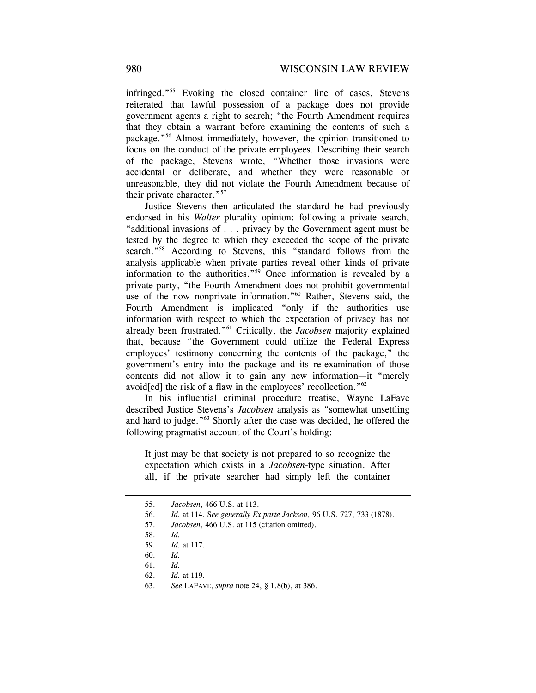infringed."55 Evoking the closed container line of cases, Stevens reiterated that lawful possession of a package does not provide government agents a right to search; "the Fourth Amendment requires that they obtain a warrant before examining the contents of such a package."56 Almost immediately, however, the opinion transitioned to focus on the conduct of the private employees. Describing their search of the package, Stevens wrote, "Whether those invasions were accidental or deliberate, and whether they were reasonable or unreasonable, they did not violate the Fourth Amendment because of their private character."57

Justice Stevens then articulated the standard he had previously endorsed in his *Walter* plurality opinion: following a private search, "additional invasions of . . . privacy by the Government agent must be tested by the degree to which they exceeded the scope of the private search."<sup>58</sup> According to Stevens, this "standard follows from the analysis applicable when private parties reveal other kinds of private information to the authorities."59 Once information is revealed by a private party, "the Fourth Amendment does not prohibit governmental use of the now nonprivate information."<sup>60</sup> Rather, Stevens said, the Fourth Amendment is implicated "only if the authorities use information with respect to which the expectation of privacy has not already been frustrated."61 Critically, the *Jacobsen* majority explained that, because "the Government could utilize the Federal Express employees' testimony concerning the contents of the package," the government's entry into the package and its re-examination of those contents did not allow it to gain any new information—it "merely avoid[ed] the risk of a flaw in the employees' recollection."62

In his influential criminal procedure treatise, Wayne LaFave described Justice Stevens's *Jacobsen* analysis as "somewhat unsettling and hard to judge."63 Shortly after the case was decided, he offered the following pragmatist account of the Court's holding:

It just may be that society is not prepared to so recognize the expectation which exists in a *Jacobsen*-type situation. After all, if the private searcher had simply left the container

<sup>55.</sup> *Jacobsen*, 466 U.S. at 113.

<sup>56.</sup> *Id.* at 114. S*ee generally Ex parte Jackson*, 96 U.S. 727, 733 (1878).

 <sup>57.</sup> *Jacobsen*, 466 U.S. at 115 (citation omitted).

<sup>58.</sup> *Id.* 

<sup>59.</sup> *Id.* at 117.

<sup>60.</sup> *Id.*

 <sup>61.</sup> *Id.*

 <sup>62.</sup> *Id.* at 119.

<sup>63.</sup> *See* LAFAVE, *supra* note 24, § 1.8(b), at 386.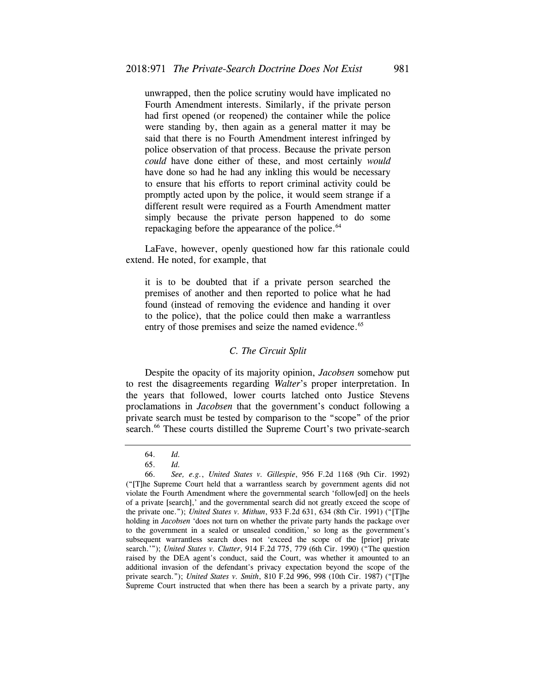unwrapped, then the police scrutiny would have implicated no Fourth Amendment interests. Similarly, if the private person had first opened (or reopened) the container while the police were standing by, then again as a general matter it may be said that there is no Fourth Amendment interest infringed by police observation of that process. Because the private person *could* have done either of these, and most certainly *would*  have done so had he had any inkling this would be necessary to ensure that his efforts to report criminal activity could be promptly acted upon by the police, it would seem strange if a different result were required as a Fourth Amendment matter simply because the private person happened to do some repackaging before the appearance of the police.<sup>64</sup>

LaFave, however, openly questioned how far this rationale could extend. He noted, for example, that

it is to be doubted that if a private person searched the premises of another and then reported to police what he had found (instead of removing the evidence and handing it over to the police), that the police could then make a warrantless entry of those premises and seize the named evidence.<sup>65</sup>

## *C. The Circuit Split*

Despite the opacity of its majority opinion, *Jacobsen* somehow put to rest the disagreements regarding *Walter*'s proper interpretation. In the years that followed, lower courts latched onto Justice Stevens proclamations in *Jacobsen* that the government's conduct following a private search must be tested by comparison to the "scope" of the prior search.<sup>66</sup> These courts distilled the Supreme Court's two private-search

<sup>64.</sup> *Id.*

 <sup>65.</sup> *Id.*

 <sup>66.</sup> *See, e.g.*, *United States v. Gillespie*, 956 F.2d 1168 (9th Cir. 1992) ("[T]he Supreme Court held that a warrantless search by government agents did not violate the Fourth Amendment where the governmental search 'follow[ed] on the heels of a private [search],' and the governmental search did not greatly exceed the scope of the private one."); *United States v. Mithun*, 933 F.2d 631, 634 (8th Cir. 1991) ("[T]he holding in *Jacobsen* 'does not turn on whether the private party hands the package over to the government in a sealed or unsealed condition,' so long as the government's subsequent warrantless search does not 'exceed the scope of the [prior] private search.'"); *United States v. Clutter*, 914 F.2d 775, 779 (6th Cir. 1990) ("The question raised by the DEA agent's conduct, said the Court, was whether it amounted to an additional invasion of the defendant's privacy expectation beyond the scope of the private search."); *United States v. Smith*, 810 F.2d 996, 998 (10th Cir. 1987) ("[T]he Supreme Court instructed that when there has been a search by a private party, any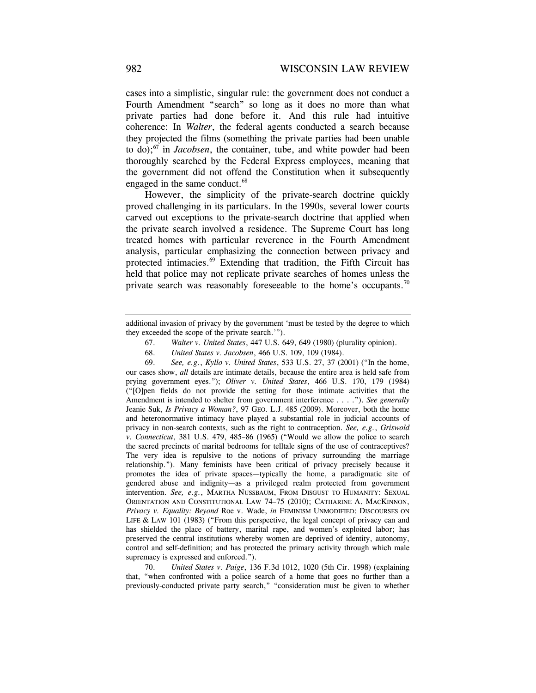coherence: In *Walter*, the federal agents conducted a search because cases into a simplistic, singular rule: the government does not conduct a Fourth Amendment "search" so long as it does no more than what private parties had done before it. And this rule had intuitive they projected the films (something the private parties had been unable to do); $67$  in *Jacobsen*, the container, tube, and white powder had been thoroughly searched by the Federal Express employees, meaning that the government did not offend the Constitution when it subsequently engaged in the same conduct.<sup>68</sup>

However, the simplicity of the private-search doctrine quickly proved challenging in its particulars. In the 1990s, several lower courts carved out exceptions to the private-search doctrine that applied when the private search involved a residence. The Supreme Court has long treated homes with particular reverence in the Fourth Amendment analysis, particular emphasizing the connection between privacy and protected intimacies.<sup>69</sup> Extending that tradition, the Fifth Circuit has held that police may not replicate private searches of homes unless the private search was reasonably foreseeable to the home's occupants.<sup>70</sup>

- 67. *Walter v. United States*, 447 U.S. 649, 649 (1980) (plurality opinion).
- 68. *United States v. Jacobsen*, 466 U.S. 109, 109 (1984).

69. *See, e.g.*, *Kyllo v. United States*, 533 U.S. 27, 37 (2001) ("In the home, our cases show, *all* details are intimate details, because the entire area is held safe from prying government eyes."); *Oliver v. United States*, 466 U.S. 170, 179 (1984) ("[O]pen fields do not provide the setting for those intimate activities that the Amendment is intended to shelter from government interference . . . ."). *See generally*  Jeanie Suk, *Is Privacy a Woman?*, 97 GEO. L.J. 485 (2009). Moreover, both the home and heteronormative intimacy have played a substantial role in judicial accounts of privacy in non-search contexts, such as the right to contraception. *See, e.g.*, *Griswold v. Connecticut*, 381 U.S. 479, 485–86 (1965) ("Would we allow the police to search the sacred precincts of marital bedrooms for telltale signs of the use of contraceptives? The very idea is repulsive to the notions of privacy surrounding the marriage relationship."). Many feminists have been critical of privacy precisely because it promotes the idea of private spaces—typically the home, a paradigmatic site of gendered abuse and indignity—as a privileged realm protected from government intervention. *See, e.g.*, MARTHA NUSSBAUM, FROM DISGUST TO HUMANITY: SEXUAL ORIENTATION AND CONSTITUTIONAL LAW 74–75 (2010); CATHARINE A. MACKINNON, *Privacy v. Equality: Beyond* Roe v. Wade, *in* FEMINISM UNMODIFIED: DISCOURSES ON LIFE & LAW 101 (1983) ("From this perspective, the legal concept of privacy can and has shielded the place of battery, marital rape, and women's exploited labor; has preserved the central institutions whereby women are deprived of identity, autonomy, control and self-definition; and has protected the primary activity through which male supremacy is expressed and enforced.").

 70. *United States v. Paige*, 136 F.3d 1012, 1020 (5th Cir. 1998) (explaining that, "when confronted with a police search of a home that goes no further than a previously-conducted private party search," "consideration must be given to whether

additional invasion of privacy by the government 'must be tested by the degree to which they exceeded the scope of the private search.'").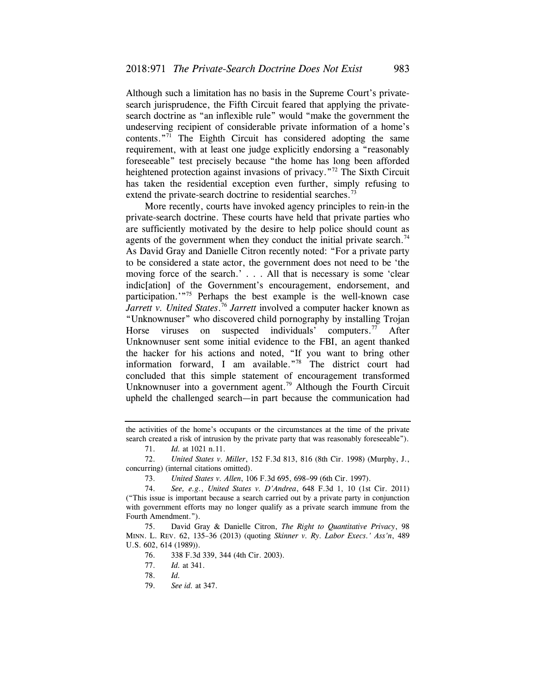contents."<sup>71</sup> The Eighth Circuit has considered adopting the same Although such a limitation has no basis in the Supreme Court's privatesearch jurisprudence, the Fifth Circuit feared that applying the privatesearch doctrine as "an inflexible rule" would "make the government the undeserving recipient of considerable private information of a home's requirement, with at least one judge explicitly endorsing a "reasonably foreseeable" test precisely because "the home has long been afforded heightened protection against invasions of privacy.<sup>"72</sup> The Sixth Circuit has taken the residential exception even further, simply refusing to extend the private-search doctrine to residential searches.<sup>73</sup>

More recently, courts have invoked agency principles to rein-in the private-search doctrine. These courts have held that private parties who are sufficiently motivated by the desire to help police should count as agents of the government when they conduct the initial private search.<sup>74</sup> As David Gray and Danielle Citron recently noted: "For a private party to be considered a state actor, the government does not need to be 'the moving force of the search.' . . . All that is necessary is some 'clear indic[ation] of the Government's encouragement, endorsement, and participation.'"75 Perhaps the best example is the well-known case *Jarrett v. United [States](https://States.76)*. <sup>76</sup>*Jarrett* involved a computer hacker known as "Unknownuser" who discovered child pornography by installing Trojan Horse viruses on suspected individuals' computers.<sup>77</sup> After Unknownuser sent some initial evidence to the FBI, an agent thanked the hacker for his actions and noted, "If you want to bring other information forward, I am available."78 The district court had concluded that this simple statement of encouragement transformed Unknownuser into a government agent.<sup>79</sup> Although the Fourth Circuit upheld the challenged search—in part because the communication had

the activities of the home's occupants or the circumstances at the time of the private search created a risk of intrusion by the private party that was reasonably foreseeable").

 <sup>71.</sup> *Id.* at 1021 n.11.

<sup>72.</sup> *United States v. Miller*, 152 F.3d 813, 816 (8th Cir. 1998) (Murphy, J., concurring) (internal citations omitted).

<sup>73.</sup> *United States v. Allen*, 106 F.3d 695, 698–99 (6th Cir. 1997).

 <sup>74.</sup> *See, e.g.*, *United States v. D'Andrea*, 648 F.3d 1, 10 (1st Cir. 2011) ("This issue is important because a search carried out by a private party in conjunction with government efforts may no longer qualify as a private search immune from the Fourth Amendment.").

<sup>75.</sup> David Gray & Danielle Citron, *The Right to Quantitative Privacy*, 98 MINN. L. REV. 62, 135–36 (2013) (quoting *Skinner v. Ry. Labor Execs.' Ass'n*, 489 U.S. 602, 614 (1989)).

<sup>76. 338</sup> F.3d 339, 344 (4th Cir. 2003).

 <sup>77.</sup> *Id.* at 341.

<sup>78.</sup> *Id.*

 <sup>79.</sup> *See id.* at 347.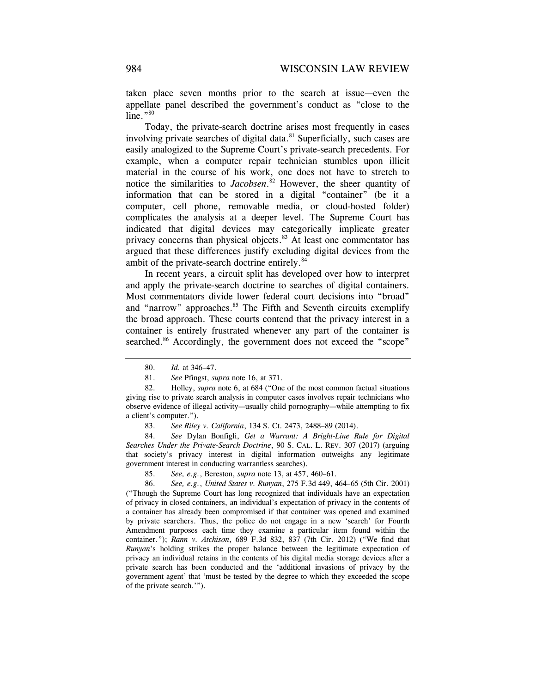taken place seven months prior to the search at issue—even the appellate panel described the government's conduct as "close to the  $line. "80"$ 

 computer, cell phone, removable media, or cloud-hosted folder) Today, the private-search doctrine arises most frequently in cases involving private searches of digital data.<sup>81</sup> Superficially, such cases are easily analogized to the Supreme Court's private-search precedents. For example, when a computer repair technician stumbles upon illicit material in the course of his work, one does not have to stretch to notice the similarities to *[Jacobsen](https://Jacobsen.82)*. 82 However, the sheer quantity of information that can be stored in a digital "container" (be it a complicates the analysis at a deeper level. The Supreme Court has indicated that digital devices may categorically implicate greater privacy concerns than physical objects.<sup>83</sup> At least one commentator has argued that these differences justify excluding digital devices from the ambit of the private-search doctrine entirely.<sup>84</sup>

In recent years, a circuit split has developed over how to interpret and apply the private-search doctrine to searches of digital containers. Most commentators divide lower federal court decisions into "broad" and "narrow" approaches.<sup>85</sup> The Fifth and Seventh circuits exemplify the broad approach. These courts contend that the privacy interest in a container is entirely frustrated whenever any part of the container is searched.<sup>86</sup> Accordingly, the government does not exceed the "scope"

 84. *See* Dylan Bonfigli, *Get a Warrant: A Bright-Line Rule for Digital Searches Under the Private-Search Doctrine*, 90 S. CAL. L. REV. 307 (2017) (arguing that society's privacy interest in digital information outweighs any legitimate government interest in conducting warrantless searches).

85. *See, e.g.*, Bereston, *supra* note 13, at 457, 460–61.

86. *See, e.g.*, *United States v. Runyan*, 275 F.3d 449, 464–65 (5th Cir. 2001) ("Though the Supreme Court has long recognized that individuals have an expectation of privacy in closed containers, an individual's expectation of privacy in the contents of a container has already been compromised if that container was opened and examined by private searchers. Thus, the police do not engage in a new 'search' for Fourth Amendment purposes each time they examine a particular item found within the container."); *Rann v. Atchison*, 689 F.3d 832, 837 (7th Cir. 2012) ("We find that *Runyan*'s holding strikes the proper balance between the legitimate expectation of privacy an individual retains in the contents of his digital media storage devices after a private search has been conducted and the 'additional invasions of privacy by the government agent' that 'must be tested by the degree to which they exceeded the scope of the private search.'").

<sup>80.</sup> *Id.* at 346–47.

 <sup>81.</sup> *See* Pfingst, *supra* note 16, at 371.

<sup>82.</sup> Holley, *supra* note 6, at 684 ("One of the most common factual situations giving rise to private search analysis in computer cases involves repair technicians who observe evidence of illegal activity—usually child pornography—while attempting to fix a client's computer.").

 <sup>83.</sup> *See Riley v. California*, 134 S. Ct. 2473, 2488–89 (2014).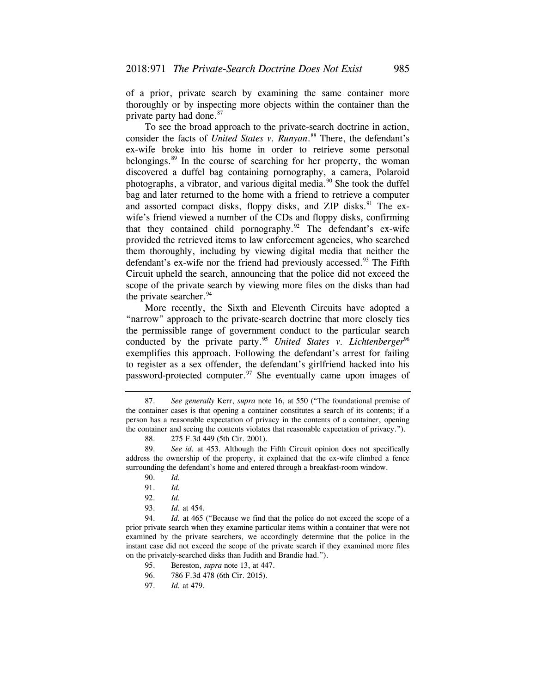of a prior, private search by examining the same container more thoroughly or by inspecting more objects within the container than the private party had done.<sup>87</sup>

To see the broad approach to the private-search doctrine in action, consider the facts of *United States v. [Runyan](https://Runyan.88)*. 88 There, the defendant's ex-wife broke into his home in order to retrieve some personal belongings.<sup>89</sup> In the course of searching for her property, the woman discovered a duffel bag containing pornography, a camera, Polaroid photographs, a vibrator, and various digital media. $90$  She took the duffel bag and later returned to the home with a friend to retrieve a computer and assorted compact disks, floppy disks, and ZIP disks.<sup>91</sup> The exwife's friend viewed a number of the CDs and floppy disks, confirming that they contained child pornography. $92$  The defendant's ex-wife provided the retrieved items to law enforcement agencies, who searched them thoroughly, including by viewing digital media that neither the defendant's ex-wife nor the friend had previously accessed.<sup>93</sup> The Fifth Circuit upheld the search, announcing that the police did not exceed the scope of the private search by viewing more files on the disks than had the private searcher. $94$ 

More recently, the Sixth and Eleventh Circuits have adopted a "narrow" approach to the private-search doctrine that more closely ties the permissible range of government conduct to the particular search conducted by the private party.<sup>95</sup> *United States v. Lichtenberger*<sup>96</sup> exemplifies this approach. Following the defendant's arrest for failing to register as a sex offender, the defendant's girlfriend hacked into his password-protected [computer.97](https://computer.97) She eventually came upon images of

<sup>87.</sup> *See generally* Kerr, *supra* note 16, at 550 ("The foundational premise of the container cases is that opening a container constitutes a search of its contents; if a person has a reasonable expectation of privacy in the contents of a container, opening the container and seeing the contents violates that reasonable expectation of privacy.").

<sup>88. 275</sup> F.3d 449 (5th Cir. 2001).

<sup>89.</sup> *See id.* at 453. Although the Fifth Circuit opinion does not specifically address the ownership of the property, it explained that the ex-wife climbed a fence surrounding the defendant's home and entered through a breakfast-room window.

 <sup>90.</sup> *Id.*

 <sup>91.</sup> *Id.*

 <sup>92.</sup> *Id.*

 <sup>93.</sup> *Id.* at 454.

<sup>94.</sup> *Id.* at 465 ("Because we find that the police do not exceed the scope of a prior private search when they examine particular items within a container that were not examined by the private searchers, we accordingly determine that the police in the instant case did not exceed the scope of the private search if they examined more files on the privately-searched disks than Judith and Brandie had.").

 <sup>95.</sup> Bereston, *supra* note 13, at 447.

<sup>96. 786</sup> F.3d 478 (6th Cir. 2015).

<sup>97.</sup> *Id.* at 479.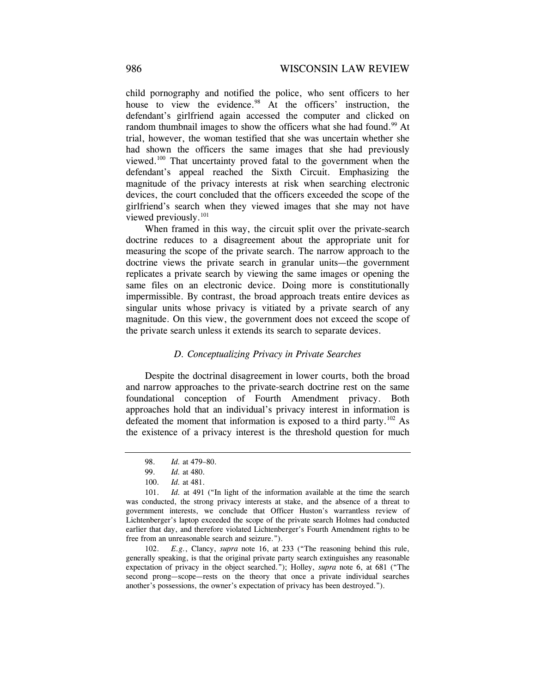child pornography and notified the police, who sent officers to her house to view the evidence.<sup>98</sup> At the officers' instruction, the defendant's girlfriend again accessed the computer and clicked on random thumbnail images to show the officers what she had found.<sup>99</sup> At trial, however, the woman testified that she was uncertain whether she had shown the officers the same images that she had previously viewed.100 That uncertainty proved fatal to the government when the defendant's appeal reached the Sixth Circuit. Emphasizing the magnitude of the privacy interests at risk when searching electronic devices, the court concluded that the officers exceeded the scope of the girlfriend's search when they viewed images that she may not have viewed previously.<sup>101</sup>

When framed in this way, the circuit split over the private-search doctrine reduces to a disagreement about the appropriate unit for measuring the scope of the private search. The narrow approach to the doctrine views the private search in granular units—the government replicates a private search by viewing the same images or opening the same files on an electronic device. Doing more is constitutionally impermissible. By contrast, the broad approach treats entire devices as singular units whose privacy is vitiated by a private search of any magnitude. On this view, the government does not exceed the scope of the private search unless it extends its search to separate devices.

### *D. Conceptualizing Privacy in Private Searches*

Despite the doctrinal disagreement in lower courts, both the broad and narrow approaches to the private-search doctrine rest on the same foundational conception of Fourth Amendment privacy. Both approaches hold that an individual's privacy interest in information is defeated the moment that information is exposed to a third party.<sup>102</sup> As the existence of a privacy interest is the threshold question for much

 102. *E.g.*, Clancy, *supra* note 16, at 233 ("The reasoning behind this rule, generally speaking, is that the original private party search extinguishes any reasonable expectation of privacy in the object searched."); Holley, *supra* note 6, at 681 ("The second prong—scope—rests on the theory that once a private individual searches another's possessions, the owner's expectation of privacy has been destroyed.").

<sup>98.</sup> *Id.* at 479–80.

 <sup>99.</sup> *Id.* at 480.

<sup>100.</sup> *Id.* at 481.

<sup>101.</sup> *Id.* at 491 ("In light of the information available at the time the search was conducted, the strong privacy interests at stake, and the absence of a threat to government interests, we conclude that Officer Huston's warrantless review of Lichtenberger's laptop exceeded the scope of the private search Holmes had conducted earlier that day, and therefore violated Lichtenberger's Fourth Amendment rights to be free from an unreasonable search and seizure.").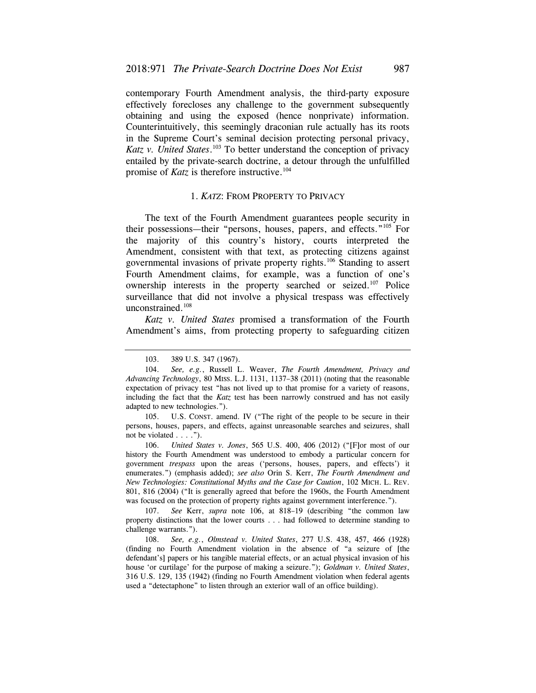contemporary Fourth Amendment analysis, the third-party exposure effectively forecloses any challenge to the government subsequently obtaining and using the exposed (hence nonprivate) information. Counterintuitively, this seemingly draconian rule actually has its roots in the Supreme Court's seminal decision protecting personal privacy, Katz v. United States.<sup>103</sup> To better understand the conception of privacy entailed by the private-search doctrine, a detour through the unfulfilled promise of *Katz* is therefore instructive.<sup>104</sup>

### 1. *KATZ*: FROM PROPERTY TO PRIVACY

The text of the Fourth Amendment guarantees people security in their possessions—their "persons, houses, papers, and effects."105 For the majority of this country's history, courts interpreted the Amendment, consistent with that text, as protecting citizens against governmental invasions of private property rights.106 Standing to assert Fourth Amendment claims, for example, was a function of one's ownership interests in the property searched or seized.<sup>107</sup> Police surveillance that did not involve a physical trespass was effectively unconstrained.<sup>108</sup>

*Katz v. United States* promised a transformation of the Fourth Amendment's aims, from protecting property to safeguarding citizen

105. U.S. CONST. amend. IV ("The right of the people to be secure in their persons, houses, papers, and effects, against unreasonable searches and seizures, shall not be violated . . . .").

106. *United States v. Jones*, 565 U.S. 400, 406 (2012) ("[F]or most of our history the Fourth Amendment was understood to embody a particular concern for government *trespass* upon the areas ('persons, houses, papers, and effects') it enumerates.") (emphasis added); *see also* Orin S. Kerr, *The Fourth Amendment and New Technologies: Constitutional Myths and the Case for Caution*, 102 MICH. L. REV. 801, 816 (2004) ("It is generally agreed that before the 1960s, the Fourth Amendment was focused on the protection of property rights against government interference.").

107. *See* Kerr, *supra* note 106, at 818–19 (describing "the common law property distinctions that the lower courts . . . had followed to determine standing to challenge warrants.").

108. *See, e.g.*, *Olmstead v. United States*, 277 U.S. 438, 457, 466 (1928) (finding no Fourth Amendment violation in the absence of "a seizure of [the defendant's] papers or his tangible material effects, or an actual physical invasion of his house 'or curtilage' for the purpose of making a seizure."); *Goldman v. United States*, 316 U.S. 129, 135 (1942) (finding no Fourth Amendment violation when federal agents used a "detectaphone" to listen through an exterior wall of an office building).

<sup>103. 389</sup> U.S. 347 (1967).

 <sup>104.</sup> *See, e.g.*, Russell L. Weaver, *The Fourth Amendment, Privacy and Advancing Technology*, 80 MISS. L.J. 1131, 1137–38 (2011) (noting that the reasonable expectation of privacy test "has not lived up to that promise for a variety of reasons, including the fact that the *Katz* test has been narrowly construed and has not easily adapted to new technologies.").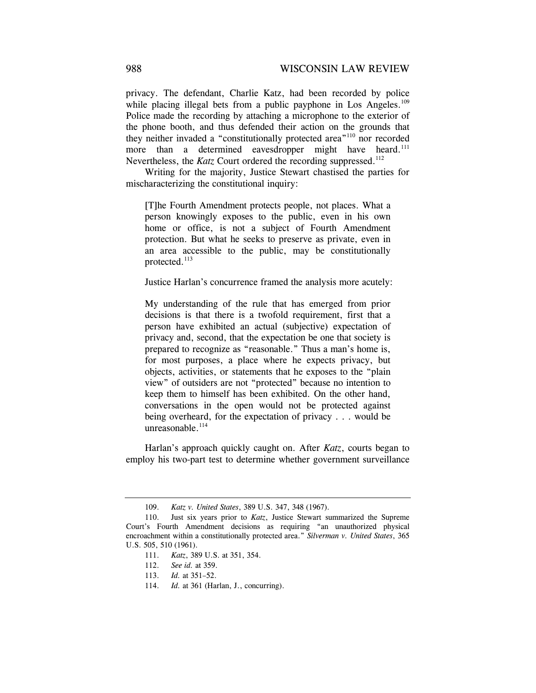privacy. The defendant, Charlie Katz, had been recorded by police while placing illegal bets from a public payphone in Los Angeles.<sup>109</sup> Police made the recording by attaching a microphone to the exterior of the phone booth, and thus defended their action on the grounds that they neither invaded a "constitutionally protected area"110 nor recorded more than a determined eavesdropper might have heard.<sup>111</sup> Nevertheless, the *Katz* Court ordered the recording suppressed.<sup>112</sup>

Writing for the majority, Justice Stewart chastised the parties for mischaracterizing the constitutional inquiry:

[T]he Fourth Amendment protects people, not places. What a person knowingly exposes to the public, even in his own home or office, is not a subject of Fourth Amendment protection. But what he seeks to preserve as private, even in an area accessible to the public, may be constitutionally protected.113

Justice Harlan's concurrence framed the analysis more acutely:

My understanding of the rule that has emerged from prior decisions is that there is a twofold requirement, first that a person have exhibited an actual (subjective) expectation of privacy and, second, that the expectation be one that society is prepared to recognize as "reasonable." Thus a man's home is, for most purposes, a place where he expects privacy, but objects, activities, or statements that he exposes to the "plain view" of outsiders are not "protected" because no intention to keep them to himself has been exhibited. On the other hand, conversations in the open would not be protected against being overheard, for the expectation of privacy . . . would be unreasonable. $114$ 

Harlan's approach quickly caught on. After *Katz*, courts began to employ his two-part test to determine whether government surveillance

<sup>109.</sup> *Katz v. United States*, 389 U.S. 347, 348 (1967).

<sup>110.</sup> Just six years prior to *Katz*, Justice Stewart summarized the Supreme Court's Fourth Amendment decisions as requiring "an unauthorized physical encroachment within a constitutionally protected area." *Silverman v. United States*, 365 U.S. 505, 510 (1961).

<sup>111.</sup> *Katz*, 389 U.S. at 351, 354.

 <sup>112.</sup> *See id.* at 359.

<sup>113.</sup> *Id.* at 351–52.

 <sup>114.</sup> *Id.* at 361 (Harlan, J., concurring).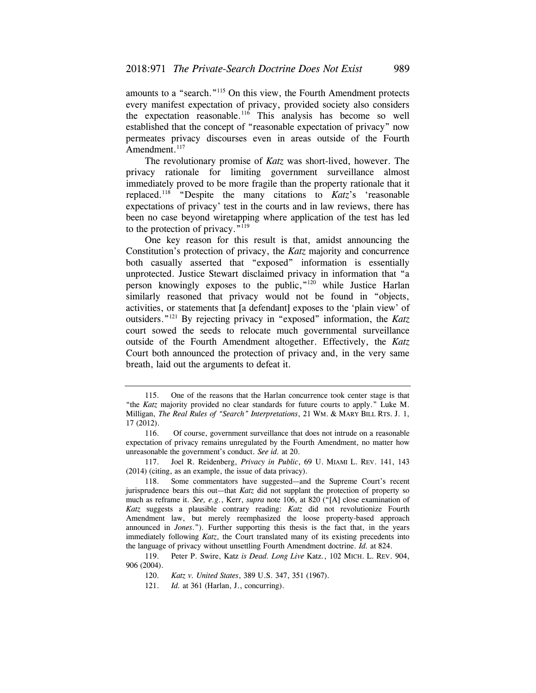amounts to a "search."115 On this view, the Fourth Amendment protects every manifest expectation of privacy, provided society also considers the expectation reasonable.116 This analysis has become so well established that the concept of "reasonable expectation of privacy" now permeates privacy discourses even in areas outside of the Fourth Amendment.<sup>117</sup>

The revolutionary promise of *Katz* was short-lived, however. The privacy rationale for limiting government surveillance almost immediately proved to be more fragile than the property rationale that it replaced.118 "Despite the many citations to *Katz*'s 'reasonable expectations of privacy' test in the courts and in law reviews, there has been no case beyond wiretapping where application of the test has led to the protection of privacy."119

One key reason for this result is that, amidst announcing the Constitution's protection of privacy, the *Katz* majority and concurrence both casually asserted that "exposed" information is essentially unprotected. Justice Stewart disclaimed privacy in information that "a person knowingly exposes to the public,"120 while Justice Harlan similarly reasoned that privacy would not be found in "objects, activities, or statements that [a defendant] exposes to the 'plain view' of outsiders."121 By rejecting privacy in "exposed" information, the *Katz*  court sowed the seeds to relocate much governmental surveillance outside of the Fourth Amendment altogether. Effectively, the *Katz*  Court both announced the protection of privacy and, in the very same breath, laid out the arguments to defeat it.

 Milligan, *The Real Rules of "Search" Interpretations*, 21 WM. & MARY BILL RTS. J. 1, 115. One of the reasons that the Harlan concurrence took center stage is that "the *Katz* majority provided no clear standards for future courts to apply." Luke M. 17 (2012).

<sup>116.</sup> Of course, government surveillance that does not intrude on a reasonable expectation of privacy remains unregulated by the Fourth Amendment, no matter how unreasonable the government's conduct. *See id.* at 20.

 117. Joel R. Reidenberg, *Privacy in Public*, 69 U. MIAMI L. REV. 141, 143 (2014) (citing, as an example, the issue of data privacy).

<sup>118.</sup> Some commentators have suggested—and the Supreme Court's recent jurisprudence bears this out—that *Katz* did not supplant the protection of property so much as reframe it. *See, e.g.*, Kerr, *supra* note 106, at 820 ("[A] close examination of *Katz* suggests a plausible contrary reading: *Katz* did not revolutionize Fourth Amendment law, but merely reemphasized the loose property-based approach announced in *Jones*."). Further supporting this thesis is the fact that, in the years immediately following *Katz*, the Court translated many of its existing precedents into the language of privacy without unsettling Fourth Amendment doctrine. *Id.* at 824.

 119. Peter P. Swire, Katz *is Dead. Long Live* Katz*.*, 102 MICH. L. REV. 904, 906 (2004).

 <sup>120.</sup> *Katz v. United States*, 389 U.S. 347, 351 (1967).

<sup>121.</sup> *Id.* at 361 (Harlan, J., concurring).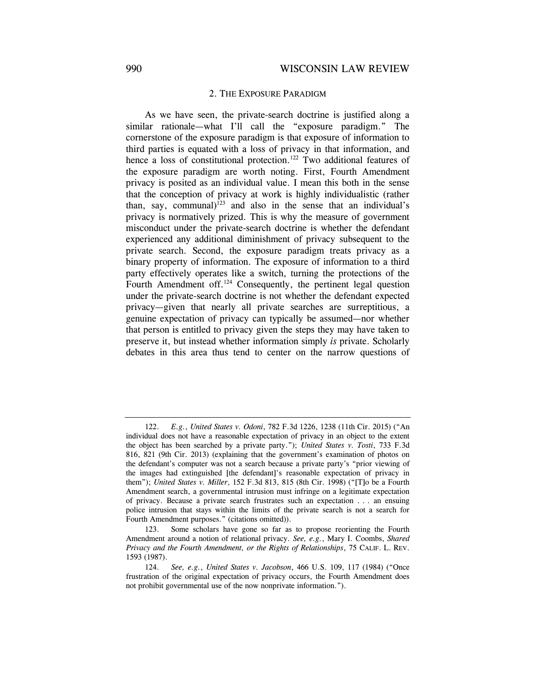### 2. THE EXPOSURE PARADIGM

As we have seen, the private-search doctrine is justified along a similar rationale—what I'll call the "exposure paradigm." The cornerstone of the exposure paradigm is that exposure of information to third parties is equated with a loss of privacy in that information, and hence a loss of constitutional protection.<sup>122</sup> Two additional features of the exposure paradigm are worth noting. First, Fourth Amendment privacy is posited as an individual value. I mean this both in the sense that the conception of privacy at work is highly individualistic (rather than, say, communal)<sup>123</sup> and also in the sense that an individual's privacy is normatively prized. This is why the measure of government misconduct under the private-search doctrine is whether the defendant experienced any additional diminishment of privacy subsequent to the private search. Second, the exposure paradigm treats privacy as a binary property of information. The exposure of information to a third party effectively operates like a switch, turning the protections of the Fourth Amendment off.<sup>124</sup> Consequently, the pertinent legal question under the private-search doctrine is not whether the defendant expected privacy—given that nearly all private searches are surreptitious, a genuine expectation of privacy can typically be assumed—nor whether that person is entitled to privacy given the steps they may have taken to preserve it, but instead whether information simply *is* private. Scholarly debates in this area thus tend to center on the narrow questions of

<sup>122.</sup> *E.g.*, *United States v. Odoni*, 782 F.3d 1226, 1238 (11th Cir. 2015) ("An individual does not have a reasonable expectation of privacy in an object to the extent the object has been searched by a private party."); *United States v. Tosti*, 733 F.3d 816, 821 (9th Cir. 2013) (explaining that the government's examination of photos on the defendant's computer was not a search because a private party's "prior viewing of the images had extinguished [the defendant]'s reasonable expectation of privacy in them"); *United States v. Miller*, 152 F.3d 813, 815 (8th Cir. 1998) ("[T]o be a Fourth Amendment search, a governmental intrusion must infringe on a legitimate expectation of privacy. Because a private search frustrates such an expectation . . . an ensuing police intrusion that stays within the limits of the private search is not a search for Fourth Amendment purposes." (citations omitted)).

 *Privacy and the Fourth Amendment, or the Rights of Relationships*, 75 CALIF. L. REV. 123. Some scholars have gone so far as to propose reorienting the Fourth Amendment around a notion of relational privacy. *See, e.g.*, Mary I. Coombs, *Shared*  1593 (1987).

<sup>124.</sup> *See, e.g.*, *United States v. Jacobson*, 466 U.S. 109, 117 (1984) ("Once frustration of the original expectation of privacy occurs, the Fourth Amendment does not prohibit governmental use of the now nonprivate information.").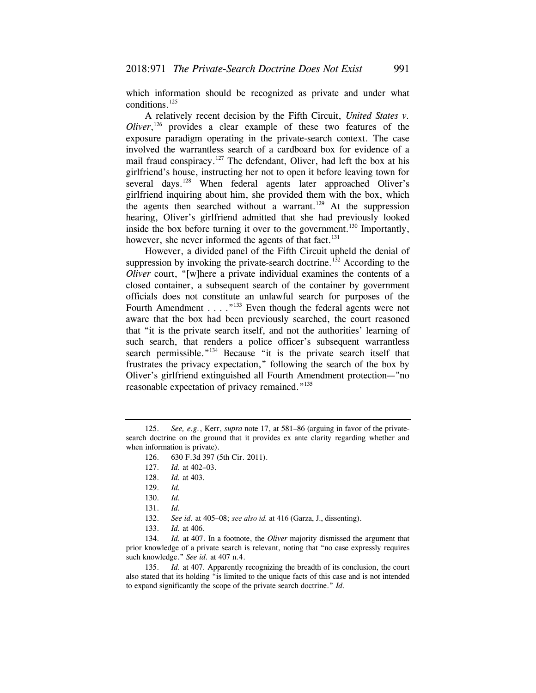which information should be recognized as private and under what conditions.125

A relatively recent decision by the Fifth Circuit, *United States v. Oliver*,<sup>126</sup> provides a clear example of these two features of the exposure paradigm operating in the private-search context. The case involved the warrantless search of a cardboard box for evidence of a mail fraud conspiracy.<sup>127</sup> The defendant, Oliver, had left the box at his girlfriend's house, instructing her not to open it before leaving town for several days.<sup>128</sup> When federal agents later approached Oliver's girlfriend inquiring about him, she provided them with the box, which the agents then searched without a warrant.<sup>129</sup> At the suppression hearing, Oliver's girlfriend admitted that she had previously looked inside the box before turning it over to the government.<sup>130</sup> Importantly, however, she never informed the agents of that fact.<sup>131</sup>

However, a divided panel of the Fifth Circuit upheld the denial of suppression by invoking the private-search doctrine.<sup>132</sup> According to the *Oliver* court, "[w]here a private individual examines the contents of a closed container, a subsequent search of the container by government officials does not constitute an unlawful search for purposes of the Fourth Amendment . . . . "<sup>133</sup> Even though the federal agents were not aware that the box had been previously searched, the court reasoned that "it is the private search itself, and not the authorities' learning of such search, that renders a police officer's subsequent warrantless search permissible."<sup>134</sup> Because "it is the private search itself that frustrates the privacy expectation," following the search of the box by Oliver's girlfriend extinguished all Fourth Amendment protection—"no reasonable expectation of privacy remained."<sup>135</sup>

134. *Id.* at 407. In a footnote, the *Oliver* majority dismissed the argument that prior knowledge of a private search is relevant, noting that "no case expressly requires such knowledge." *See id.* at 407 n.4.

 135. *Id.* at 407. Apparently recognizing the breadth of its conclusion, the court also stated that its holding "is limited to the unique facts of this case and is not intended to expand significantly the scope of the private search doctrine." *Id.* 

<sup>125.</sup> *See, e.g.*, Kerr, *supra* note 17, at 581–86 (arguing in favor of the privatesearch doctrine on the ground that it provides ex ante clarity regarding whether and when information is private).

<sup>126. 630</sup> F.3d 397 (5th Cir. 2011).

<sup>127.</sup> *Id.* at 402–03.

 <sup>128.</sup> *Id.* at 403.

<sup>129.</sup> *Id.*

 <sup>130.</sup> *Id.*

 <sup>131.</sup> *Id.*

 <sup>132.</sup> *See id.* at 405–08; *see also id.* at 416 (Garza, J., dissenting).

 <sup>133.</sup> *Id.* at 406.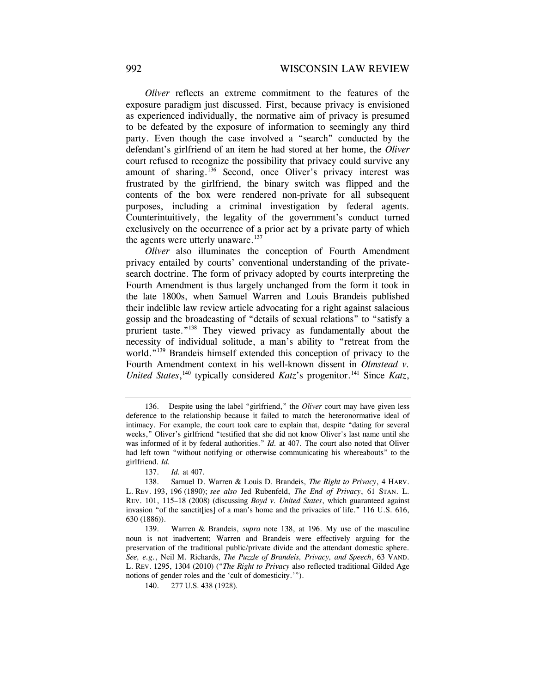*Oliver* reflects an extreme commitment to the features of the exposure paradigm just discussed. First, because privacy is envisioned as experienced individually, the normative aim of privacy is presumed to be defeated by the exposure of information to seemingly any third party. Even though the case involved a "search" conducted by the defendant's girlfriend of an item he had stored at her home, the *Oliver*  court refused to recognize the possibility that privacy could survive any amount of sharing.<sup>136</sup> Second, once Oliver's privacy interest was frustrated by the girlfriend, the binary switch was flipped and the contents of the box were rendered non-private for all subsequent purposes, including a criminal investigation by federal agents. Counterintuitively, the legality of the government's conduct turned exclusively on the occurrence of a prior act by a private party of which the agents were utterly unaware.<sup>137</sup>

*Oliver* also illuminates the conception of Fourth Amendment privacy entailed by courts' conventional understanding of the privatesearch doctrine. The form of privacy adopted by courts interpreting the Fourth Amendment is thus largely unchanged from the form it took in the late 1800s, when Samuel Warren and Louis Brandeis published their indelible law review article advocating for a right against salacious gossip and the broadcasting of "details of sexual relations" to "satisfy a prurient taste."138 They viewed privacy as fundamentally about the necessity of individual solitude, a man's ability to "retreat from the world."<sup>139</sup> Brandeis himself extended this conception of privacy to the Fourth Amendment context in his well-known dissent in *Olmstead v. United States*,<sup>140</sup> typically considered *Katz*'s progenitor.<sup>141</sup> Since *Katz*,

137. *Id.* at 407.

<sup>136.</sup> Despite using the label "girlfriend," the *Oliver* court may have given less deference to the relationship because it failed to match the heteronormative ideal of intimacy. For example, the court took care to explain that, despite "dating for several weeks," Oliver's girlfriend "testified that she did not know Oliver's last name until she was informed of it by federal authorities." *Id.* at 407. The court also noted that Oliver had left town "without notifying or otherwise communicating his whereabouts" to the girlfriend. *Id.*

<sup>138.</sup> Samuel D. Warren & Louis D. Brandeis, *The Right to Privacy*, 4 HARV. L. REV. 193, 196 (1890); *see also* Jed Rubenfeld, *The End of Privacy*, 61 STAN. L. REV. 101, 115–18 (2008) (discussing *Boyd v. United States*, which guaranteed against invasion "of the sanctit[ies] of a man's home and the privacies of life." 116 U.S. 616, 630 (1886)).

<sup>139.</sup> Warren & Brandeis, *supra* note 138, at 196. My use of the masculine noun is not inadvertent; Warren and Brandeis were effectively arguing for the preservation of the traditional public/private divide and the attendant domestic sphere. *See, e.g.*, Neil M. Richards, *The Puzzle of Brandeis, Privacy, and Speech*, 63 VAND. L. REV. 1295, 1304 (2010) ("*The Right to Privacy* also reflected traditional Gilded Age notions of gender roles and the 'cult of domesticity.'").

<sup>140.</sup> 277 U.S. 438 (1928).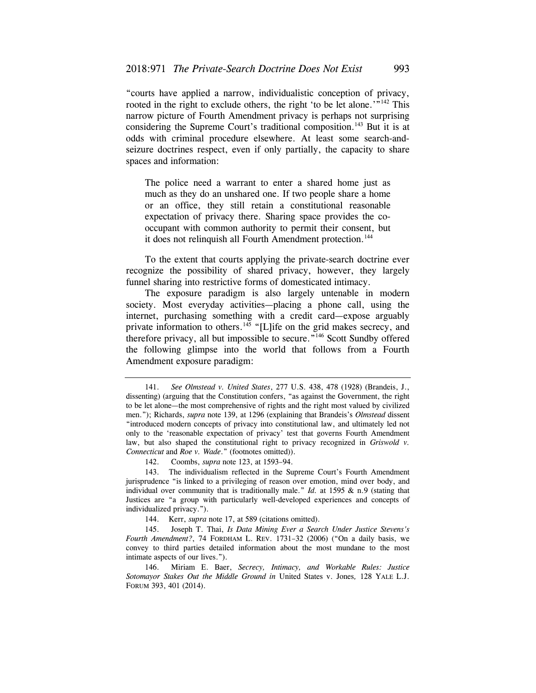"courts have applied a narrow, individualistic conception of privacy, rooted in the right to exclude others, the right 'to be let alone.'<sup>"142</sup> This narrow picture of Fourth Amendment privacy is perhaps not surprising considering the Supreme Court's traditional composition.<sup>143</sup> But it is at odds with criminal procedure elsewhere. At least some search-andseizure doctrines respect, even if only partially, the capacity to share spaces and information:

The police need a warrant to enter a shared home just as much as they do an unshared one. If two people share a home or an office, they still retain a constitutional reasonable expectation of privacy there. Sharing space provides the cooccupant with common authority to permit their consent, but it does not relinquish all Fourth Amendment protection.<sup>144</sup>

To the extent that courts applying the private-search doctrine ever recognize the possibility of shared privacy, however, they largely funnel sharing into restrictive forms of domesticated intimacy.

The exposure paradigm is also largely untenable in modern society. Most everyday activities—placing a phone call, using the internet, purchasing something with a credit card—expose arguably private information to others.<sup>145</sup> "[L]ife on the grid makes secrecy, and therefore privacy, all but impossible to secure."146 Scott Sundby offered the following glimpse into the world that follows from a Fourth Amendment exposure paradigm:

142. Coombs, *supra* note 123, at 1593–94.

143. The individualism reflected in the Supreme Court's Fourth Amendment jurisprudence "is linked to a privileging of reason over emotion, mind over body, and individual over community that is traditionally male." *Id.* at 1595 & n.9 (stating that Justices are "a group with particularly well-developed experiences and concepts of individualized privacy.").

144. Kerr, *supra* note 17, at 589 (citations omitted).

145. Joseph T. Thai, *Is Data Mining Ever a Search Under Justice Stevens's Fourth Amendment?*, 74 FORDHAM L. REV. 1731–32 (2006) ("On a daily basis, we convey to third parties detailed information about the most mundane to the most intimate aspects of our lives.").

146. Miriam E. Baer, *Secrecy, Intimacy, and Workable Rules: Justice Sotomayor Stakes Out the Middle Ground in* United States v. Jones*,* 128 YALE L.J. FORUM 393, 401 (2014).

<sup>141.</sup> *See Olmstead v. United States*, 277 U.S. 438, 478 (1928) (Brandeis, J., dissenting) (arguing that the Constitution confers, "as against the Government, the right to be let alone—the most comprehensive of rights and the right most valued by civilized men."); Richards, *supra* note 139, at 1296 (explaining that Brandeis's *Olmstead* dissent "introduced modern concepts of privacy into constitutional law, and ultimately led not only to the 'reasonable expectation of privacy' test that governs Fourth Amendment law, but also shaped the constitutional right to privacy recognized in *Griswold v. Connecticut* and *Roe v. Wade*." (footnotes omitted)).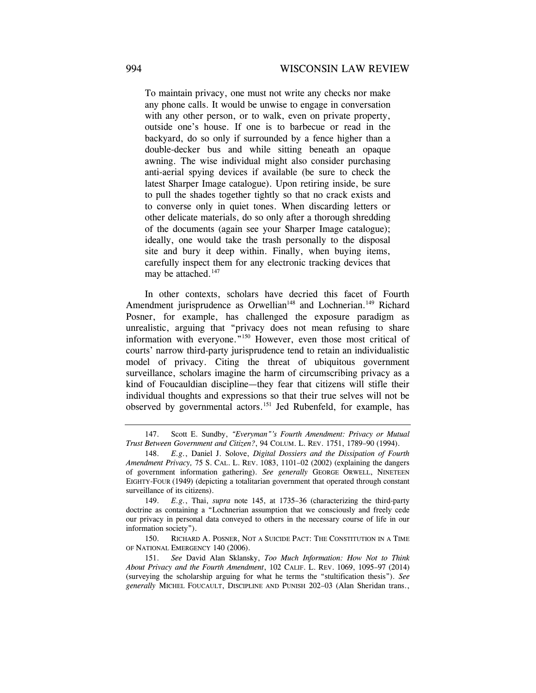To maintain privacy, one must not write any checks nor make any phone calls. It would be unwise to engage in conversation with any other person, or to walk, even on private property, outside one's house. If one is to barbecue or read in the backyard, do so only if surrounded by a fence higher than a double-decker bus and while sitting beneath an opaque awning. The wise individual might also consider purchasing anti-aerial spying devices if available (be sure to check the latest Sharper Image catalogue). Upon retiring inside, be sure to pull the shades together tightly so that no crack exists and to converse only in quiet tones. When discarding letters or other delicate materials, do so only after a thorough shredding of the documents (again see your Sharper Image catalogue); ideally, one would take the trash personally to the disposal site and bury it deep within. Finally, when buying items, carefully inspect them for any electronic tracking devices that may be attached.<sup>147</sup>

In other contexts, scholars have decried this facet of Fourth Amendment jurisprudence as Orwellian<sup>148</sup> and Lochnerian.<sup>149</sup> Richard Posner, for example, has challenged the exposure paradigm as unrealistic, arguing that "privacy does not mean refusing to share information with everyone."<sup>150</sup> However, even those most critical of courts' narrow third-party jurisprudence tend to retain an individualistic model of privacy. Citing the threat of ubiquitous government surveillance, scholars imagine the harm of circumscribing privacy as a kind of Foucauldian discipline—they fear that citizens will stifle their individual thoughts and expressions so that their true selves will not be observed by governmental actors.151 Jed Rubenfeld, for example, has

 *Trust Between Government and Citizen?*, 94 COLUM. L. REV. 1751, 1789–90 (1994). 147. Scott E. Sundby, *"Everyman"'s Fourth Amendment: Privacy or Mutual* 

 *Amendment Privacy,* 75 S. CAL. L. REV. 1083, 1101–02 (2002) (explaining the dangers 148. *E.g.*, Daniel J. Solove, *Digital Dossiers and the Dissipation of Fourth*  of government information gathering). *See generally* GEORGE ORWELL, NINETEEN EIGHTY-FOUR (1949) (depicting a totalitarian government that operated through constant surveillance of its citizens).

<sup>149.</sup> *E.g.*, Thai, *supra* note 145, at 1735–36 (characterizing the third-party doctrine as containing a "Lochnerian assumption that we consciously and freely cede our privacy in personal data conveyed to others in the necessary course of life in our information society").

 150. RICHARD A. POSNER, NOT A SUICIDE PACT: THE CONSTITUTION IN A TIME OF NATIONAL EMERGENCY 140 (2006).

 *About Privacy and the Fourth Amendment*, 102 CALIF. L. REV. 1069, 1095–97 (2014) 151. *See* David Alan Sklansky, *Too Much Information: How Not to Think*  (surveying the scholarship arguing for what he terms the "stultification thesis"). *See generally* MICHEL FOUCAULT, DISCIPLINE AND PUNISH 202–03 (Alan Sheridan trans.,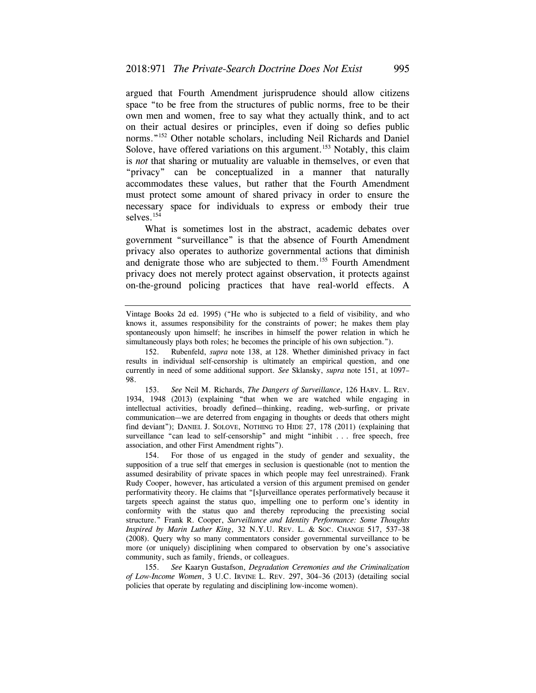argued that Fourth Amendment jurisprudence should allow citizens space "to be free from the structures of public norms, free to be their own men and women, free to say what they actually think, and to act on their actual desires or principles, even if doing so defies public norms."152 Other notable scholars, including Neil Richards and Daniel Solove, have offered variations on this argument.<sup>153</sup> Notably, this claim is *not* that sharing or mutuality are valuable in themselves, or even that "privacy" can be conceptualized in a manner that naturally accommodates these values, but rather that the Fourth Amendment must protect some amount of shared privacy in order to ensure the necessary space for individuals to express or embody their true selves.<sup>154</sup>

What is sometimes lost in the abstract, academic debates over government "surveillance" is that the absence of Fourth Amendment privacy also operates to authorize governmental actions that diminish and denigrate those who are subjected to them.<sup>155</sup> Fourth Amendment privacy does not merely protect against observation, it protects against on-the-ground policing practices that have real-world effects. A

 153. *See* Neil M. Richards, *The Dangers of Surveillance*, 126 HARV. L. REV. find deviant"); DANIEL J. SOLOVE, NOTHING TO HIDE 27, 178 (2011) (explaining that 1934, 1948 (2013) (explaining "that when we are watched while engaging in intellectual activities, broadly defined—thinking, reading, web-surfing, or private communication—we are deterred from engaging in thoughts or deeds that others might surveillance "can lead to self-censorship" and might "inhibit . . . free speech, free association, and other First Amendment rights").

 *Inspired by Marin Luther King*, 32 N.Y.U. REV. L. & SOC. CHANGE 517, 537–38 154. For those of us engaged in the study of gender and sexuality, the supposition of a true self that emerges in seclusion is questionable (not to mention the assumed desirability of private spaces in which people may feel unrestrained). Frank Rudy Cooper, however, has articulated a version of this argument premised on gender performativity theory. He claims that "[s]urveillance operates performatively because it targets speech against the status quo, impelling one to perform one's identity in conformity with the status quo and thereby reproducing the preexisting social structure." Frank R. Cooper, *Surveillance and Identity Performance: Some Thoughts*  (2008). Query why so many commentators consider governmental surveillance to be more (or uniquely) disciplining when compared to observation by one's associative community, such as family, friends, or colleagues.

155. *See* Kaaryn Gustafson, *Degradation Ceremonies and the Criminalization of Low-Income Women*, 3 U.C. IRVINE L. REV. 297, 304–36 (2013) (detailing social policies that operate by regulating and disciplining low-income women).

Vintage Books 2d ed. 1995) ("He who is subjected to a field of visibility, and who knows it, assumes responsibility for the constraints of power; he makes them play spontaneously upon himself; he inscribes in himself the power relation in which he simultaneously plays both roles; he becomes the principle of his own subjection.").

<sup>152.</sup> Rubenfeld, *supra* note 138, at 128. Whether diminished privacy in fact results in individual self-censorship is ultimately an empirical question, and one currently in need of some additional support. *See* Sklansky, *supra* note 151, at 1097– 98.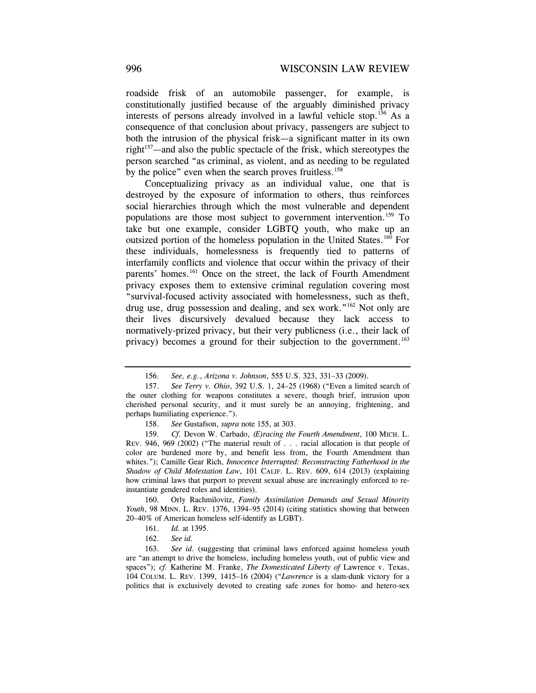roadside frisk of an automobile passenger, for example, is constitutionally justified because of the arguably diminished privacy interests of persons already involved in a lawful vehicle stop.156 As a consequence of that conclusion about privacy, passengers are subject to both the intrusion of the physical frisk—a significant matter in its own right<sup>157</sup>—and also the public spectacle of the frisk, which stereotypes the person searched "as criminal, as violent, and as needing to be regulated by the police" even when the search proves fruitless.<sup>158</sup>

Conceptualizing privacy as an individual value, one that is destroyed by the exposure of information to others, thus reinforces social hierarchies through which the most vulnerable and dependent populations are those most subject to government intervention.159 To take but one example, consider LGBTQ youth, who make up an outsized portion of the homeless population in the United States.160 For these individuals, homelessness is frequently tied to patterns of interfamily conflicts and violence that occur within the privacy of their parents' homes.<sup>161</sup> Once on the street, the lack of Fourth Amendment privacy exposes them to extensive criminal regulation covering most "survival-focused activity associated with homelessness, such as theft, drug use, drug possession and dealing, and sex work."<sup>162</sup> Not only are their lives discursively devalued because they lack access to normatively-prized privacy, but their very publicness (i.e., their lack of privacy) becomes a ground for their subjection to the government.<sup>163</sup>

 160. Orly Rachmilovitz, *Family Assimilation Demands and Sexual Minority Youth*, 98 MINN. L. REV. 1376, 1394–95 (2014) (citing statistics showing that between 20–40% of American homeless self-identify as LGBT).

 163. *See id.* (suggesting that criminal laws enforced against homeless youth are "an attempt to drive the homeless, including homeless youth, out of public view and spaces"); *cf.* Katherine M. Franke, *The Domesticated Liberty of* Lawrence v. Texas, 104 COLUM. L. REV. 1399, 1415–16 (2004) ("*Lawrence* is a slam-dunk victory for a politics that is exclusively devoted to creating safe zones for homo- and hetero-sex

<sup>156.</sup> *See, e.g.*, *Arizona v. Johnson*, 555 U.S. 323, 331–33 (2009).

 <sup>157.</sup> *See Terry v. Ohio*, 392 U.S. 1, 24–25 (1968) ("Even a limited search of the outer clothing for weapons constitutes a severe, though brief, intrusion upon cherished personal security, and it must surely be an annoying, frightening, and perhaps humiliating experience.").

<sup>158.</sup> *See* Gustafson, *supra* note 155, at 303.

<sup>159.</sup> *Cf.* Devon W. Carbado, *(E)racing the Fourth Amendment*, 100 MICH. L. REV. 946, 969 (2002) ("The material result of . . . racial allocation is that people of color are burdened more by, and benefit less from, the Fourth Amendment than whites."); Camille Gear Rich, *Innocence Interrupted: Reconstructing Fatherhood in the Shadow of Child Molestation Law*, 101 CALIF. L. REV. 609, 614 (2013) (explaining how criminal laws that purport to prevent sexual abuse are increasingly enforced to reinstantiate gendered roles and identities).

<sup>161.</sup> *Id.* at 1395.

 <sup>162.</sup> *See id.*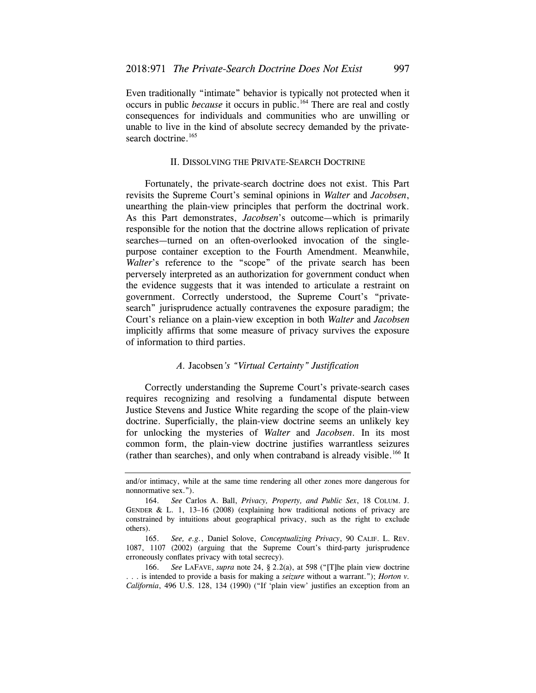Even traditionally "intimate" behavior is typically not protected when it occurs in public *because* it occurs in public.164 There are real and costly consequences for individuals and communities who are unwilling or unable to live in the kind of absolute secrecy demanded by the privatesearch doctrine.<sup>165</sup>

#### II. DISSOLVING THE PRIVATE-SEARCH DOCTRINE

Fortunately, the private-search doctrine does not exist. This Part revisits the Supreme Court's seminal opinions in *Walter* and *Jacobsen*, unearthing the plain-view principles that perform the doctrinal work. As this Part demonstrates, *Jacobsen*'s outcome—which is primarily responsible for the notion that the doctrine allows replication of private searches—turned on an often-overlooked invocation of the singlepurpose container exception to the Fourth Amendment. Meanwhile, *Walter*'s reference to the "scope" of the private search has been perversely interpreted as an authorization for government conduct when the evidence suggests that it was intended to articulate a restraint on government. Correctly understood, the Supreme Court's "privatesearch" jurisprudence actually contravenes the exposure paradigm; the Court's reliance on a plain-view exception in both *Walter* and *Jacobsen*  implicitly affirms that some measure of privacy survives the exposure of information to third parties.

## *A.* Jacobsen*'s "Virtual Certainty" Justification*

Correctly understanding the Supreme Court's private-search cases requires recognizing and resolving a fundamental dispute between Justice Stevens and Justice White regarding the scope of the plain-view doctrine. Superficially, the plain-view doctrine seems an unlikely key for unlocking the mysteries of *Walter* and *Jacobsen*. In its most common form, the plain-view doctrine justifies warrantless seizures (rather than searches), and only when contraband is already visible.<sup>166</sup> It

166. *See* LAFAVE, *supra* note 24, § 2.2(a), at 598 ("[T]he plain view doctrine . . . is intended to provide a basis for making a *seizure* without a warrant."); *Horton v. California*, 496 U.S. 128, 134 (1990) ("If 'plain view' justifies an exception from an

and/or intimacy, while at the same time rendering all other zones more dangerous for nonnormative sex.").

 164. *See* Carlos A. Ball, *Privacy, Property, and Public Sex*, 18 COLUM. J. GENDER & L. 1, 13–16 (2008) (explaining how traditional notions of privacy are constrained by intuitions about geographical privacy, such as the right to exclude others).

 165. *See, e.g.*, Daniel Solove, *Conceptualizing Privacy*, 90 CALIF. L. REV. 1087, 1107 (2002) (arguing that the Supreme Court's third-party jurisprudence erroneously conflates privacy with total secrecy).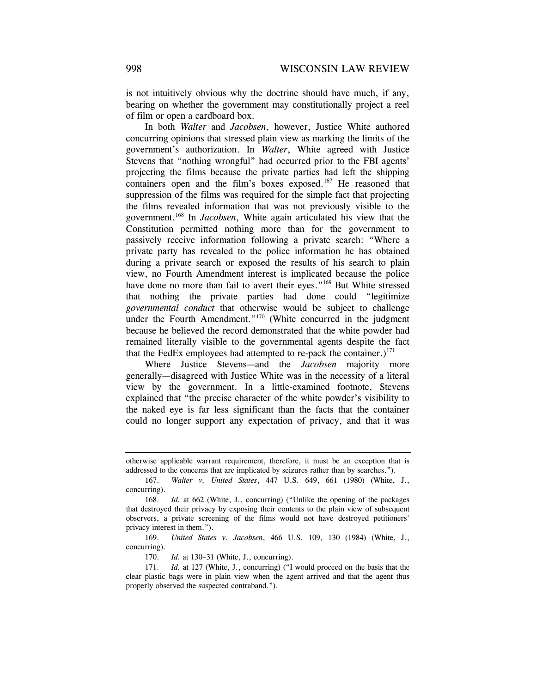is not intuitively obvious why the doctrine should have much, if any, bearing on whether the government may constitutionally project a reel of film or open a cardboard box.

In both *Walter* and *Jacobsen*, however, Justice White authored concurring opinions that stressed plain view as marking the limits of the government's authorization. In *Walter*, White agreed with Justice Stevens that "nothing wrongful" had occurred prior to the FBI agents' projecting the films because the private parties had left the shipping containers open and the film's boxes exposed.<sup>167</sup> He reasoned that suppression of the films was required for the simple fact that projecting the films revealed information that was not previously visible to the government.168 In *Jacobsen*, White again articulated his view that the Constitution permitted nothing more than for the government to passively receive information following a private search: "Where a private party has revealed to the police information he has obtained during a private search or exposed the results of his search to plain view, no Fourth Amendment interest is implicated because the police have done no more than fail to avert their eyes."<sup>169</sup> But White stressed that nothing the private parties had done could "legitimize *governmental conduct* that otherwise would be subject to challenge under the Fourth Amendment."<sup>170</sup> (White concurred in the judgment because he believed the record demonstrated that the white powder had remained literally visible to the governmental agents despite the fact that the FedEx employees had attempted to re-pack the container.)<sup>171</sup>

Where Justice Stevens—and the *Jacobsen* majority more generally—disagreed with Justice White was in the necessity of a literal view by the government. In a little-examined footnote, Stevens explained that "the precise character of the white powder's visibility to the naked eye is far less significant than the facts that the container could no longer support any expectation of privacy, and that it was

170. *Id.* at 130–31 (White, J., concurring).

otherwise applicable warrant requirement, therefore, it must be an exception that is addressed to the concerns that are implicated by seizures rather than by searches.").

<sup>167.</sup> *Walter v. United States*, 447 U.S. 649, 661 (1980) (White, J., concurring).

<sup>168.</sup> *Id.* at 662 (White, J., concurring) ("Unlike the opening of the packages that destroyed their privacy by exposing their contents to the plain view of subsequent observers, a private screening of the films would not have destroyed petitioners' privacy interest in them.").

 <sup>169.</sup> *United States v. Jacobsen*, 466 U.S. 109, 130 (1984) (White, J., concurring).

<sup>171.</sup> *Id.* at 127 (White, J., concurring) ("I would proceed on the basis that the clear plastic bags were in plain view when the agent arrived and that the agent thus properly observed the suspected contraband.").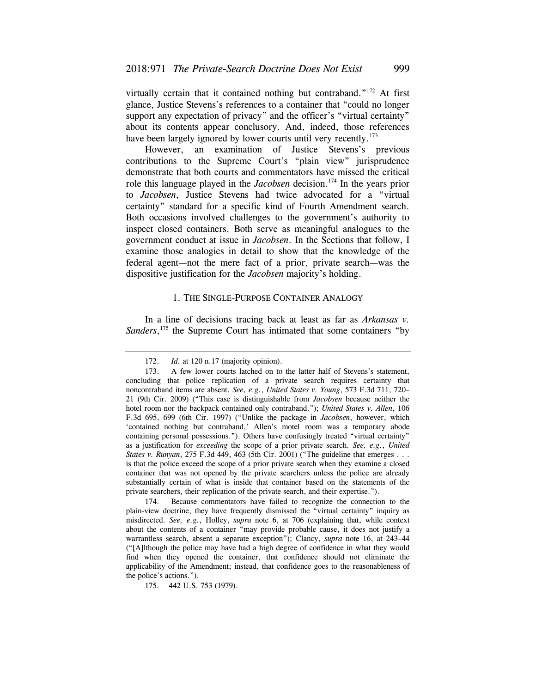virtually certain that it contained nothing but contraband."172 At first glance, Justice Stevens's references to a container that "could no longer support any expectation of privacy" and the officer's "virtual certainty" about its contents appear conclusory. And, indeed, those references have been largely ignored by lower courts until very recently.<sup>173</sup>

However, an examination of Justice Stevens's previous contributions to the Supreme Court's "plain view" jurisprudence demonstrate that both courts and commentators have missed the critical role this language played in the *Jacobsen* decision.<sup>174</sup> In the years prior to *Jacobsen*, Justice Stevens had twice advocated for a "virtual certainty" standard for a specific kind of Fourth Amendment search. Both occasions involved challenges to the government's authority to inspect closed containers. Both serve as meaningful analogues to the government conduct at issue in *Jacobsen*. In the Sections that follow, I examine those analogies in detail to show that the knowledge of the federal agent—not the mere fact of a prior, private search—was the dispositive justification for the *Jacobsen* majority's holding.

## 1. THE SINGLE-PURPOSE CONTAINER ANALOGY

In a line of decisions tracing back at least as far as *Arkansas v.*  Sanders,<sup>175</sup> the Supreme Court has intimated that some containers "by

<sup>172.</sup> *Id.* at 120 n.17 (majority opinion).

<sup>173.</sup> A few lower courts latched on to the latter half of Stevens's statement, concluding that police replication of a private search requires certainty that noncontraband items are absent. *See, e.g.*, *United States v. Young*, 573 F.3d 711, 720– 21 (9th Cir. 2009) ("This case is distinguishable from *Jacobsen* because neither the hotel room nor the backpack contained only contraband."); *United States v. Allen*, 106 F.3d 695, 699 (6th Cir. 1997) ("Unlike the package in *Jacobsen*, however, which 'contained nothing but contraband,' Allen's motel room was a temporary abode containing personal possessions."). Others have confusingly treated "virtual certainty" as a justification for *exceeding* the scope of a prior private search. *See, e.g.*, *United States v. Runyan*, 275 F.3d 449, 463 (5th Cir. 2001) ("The guideline that emerges . . . is that the police exceed the scope of a prior private search when they examine a closed container that was not opened by the private searchers unless the police are already substantially certain of what is inside that container based on the statements of the private searchers, their replication of the private search, and their expertise.").

<sup>174.</sup> Because commentators have failed to recognize the connection to the plain-view doctrine, they have frequently dismissed the "virtual certainty" inquiry as misdirected. *See, e.g.*, Holley, *supra* note 6, at 706 (explaining that, while context about the contents of a container "may provide probable cause, it does not justify a warrantless search, absent a separate exception"); Clancy, *supra* note 16, at 243–44 ("[A]lthough the police may have had a high degree of confidence in what they would find when they opened the container, that confidence should not eliminate the applicability of the Amendment; instead, that confidence goes to the reasonableness of the police's actions.").

<sup>175. 442</sup> U.S. 753 (1979).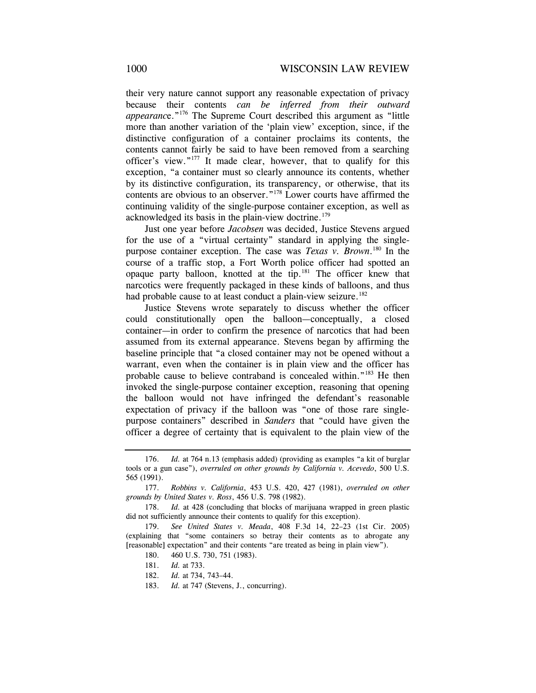their very nature cannot support any reasonable expectation of privacy because their contents *can be inferred from their outward appearanc*e."176 The Supreme Court described this argument as "little more than another variation of the 'plain view' exception, since, if the distinctive configuration of a container proclaims its contents, the contents cannot fairly be said to have been removed from a searching officer's view."177 It made clear, however, that to qualify for this exception, "a container must so clearly announce its contents, whether by its distinctive configuration, its transparency, or otherwise, that its contents are obvious to an observer."178 Lower courts have affirmed the continuing validity of the single-purpose container exception, as well as acknowledged its basis in the plain-view doctrine.<sup>179</sup>

Just one year before *Jacobsen* was decided, Justice Stevens argued for the use of a "virtual certainty" standard in applying the singlepurpose container exception. The case was *Texas v. Brown*. 180 In the course of a traffic stop, a Fort Worth police officer had spotted an opaque party balloon, knotted at the tip.181 The officer knew that narcotics were frequently packaged in these kinds of balloons, and thus had probable cause to at least conduct a plain-view seizure.<sup>182</sup>

Justice Stevens wrote separately to discuss whether the officer could constitutionally open the balloon—conceptually, a closed container—in order to confirm the presence of narcotics that had been assumed from its external appearance. Stevens began by affirming the baseline principle that "a closed container may not be opened without a warrant, even when the container is in plain view and the officer has probable cause to believe contraband is concealed within."<sup>183</sup> He then invoked the single-purpose container exception, reasoning that opening the balloon would not have infringed the defendant's reasonable expectation of privacy if the balloon was "one of those rare singlepurpose containers" described in *Sanders* that "could have given the officer a degree of certainty that is equivalent to the plain view of the

<sup>176.</sup> *Id.* at 764 n.13 (emphasis added) (providing as examples "a kit of burglar tools or a gun case"), *overruled on other grounds by California v. Acevedo*, 500 U.S. 565 (1991).

 <sup>177.</sup> *Robbins v. California*, 453 U.S. 420, 427 (1981), *overruled on other grounds by United States v. Ross*, 456 U.S. 798 (1982).

 <sup>178.</sup> *Id.* at 428 (concluding that blocks of marijuana wrapped in green plastic did not sufficiently announce their contents to qualify for this exception).

<sup>179.</sup> *See United States v. Meada*, 408 F.3d 14, 22–23 (1st Cir. 2005) (explaining that "some containers so betray their contents as to abrogate any [reasonable] expectation" and their contents "are treated as being in plain view").

<sup>180. 460</sup> U.S. 730, 751 (1983).

 <sup>181.</sup> *Id.* at 733.

<sup>182.</sup> *Id.* at 734, 743–44.

 <sup>183.</sup> *Id.* at 747 (Stevens, J., concurring).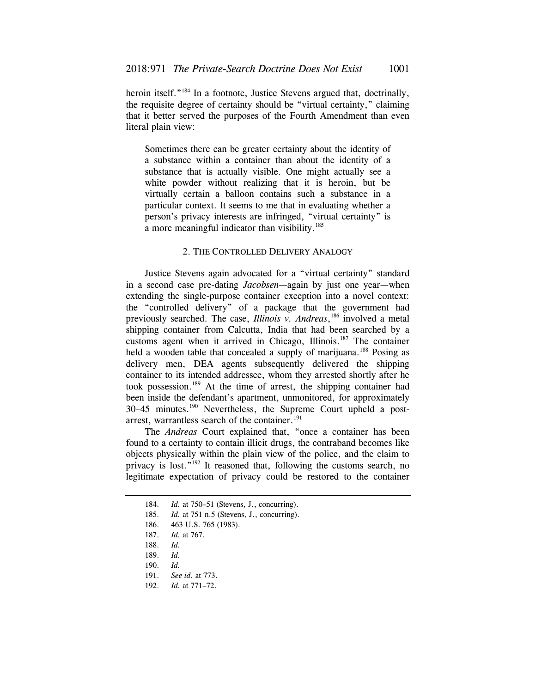heroin itself."<sup>184</sup> In a footnote, Justice Stevens argued that, doctrinally, the requisite degree of certainty should be "virtual certainty," claiming that it better served the purposes of the Fourth Amendment than even literal plain view:

Sometimes there can be greater certainty about the identity of a substance within a container than about the identity of a substance that is actually visible. One might actually see a white powder without realizing that it is heroin, but be virtually certain a balloon contains such a substance in a particular context. It seems to me that in evaluating whether a person's privacy interests are infringed, "virtual certainty" is a more meaningful indicator than visibility.<sup>185</sup>

## 2. THE CONTROLLED DELIVERY ANALOGY

 shipping container from Calcutta, India that had been searched by a Justice Stevens again advocated for a "virtual certainty" standard in a second case pre-dating *Jacobsen*—again by just one year—when extending the single-purpose container exception into a novel context: the "controlled delivery" of a package that the government had previously searched. The case, *Illinois v. Andreas*, 186 involved a metal customs agent when it arrived in Chicago, Illinois.<sup>187</sup> The container held a wooden table that concealed a supply of marijuana.<sup>188</sup> Posing as delivery men, DEA agents subsequently delivered the shipping container to its intended addressee, whom they arrested shortly after he took possession.189 At the time of arrest, the shipping container had been inside the defendant's apartment, unmonitored, for approximately 30–45 minutes.190 Nevertheless, the Supreme Court upheld a postarrest, warrantless search of the container.<sup>191</sup>

The *Andreas* Court explained that, "once a container has been found to a certainty to contain illicit drugs, the contraband becomes like objects physically within the plain view of the police, and the claim to privacy is lost."192 It reasoned that, following the customs search, no legitimate expectation of privacy could be restored to the container

<sup>184.</sup> *Id.* at 750–51 (Stevens, J., concurring).

<sup>185.</sup> *Id.* at 751 n.5 (Stevens, J., concurring).

<sup>186. 463</sup> U.S. 765 (1983).

<sup>187.</sup> *Id.* at 767.

<sup>188.</sup> *Id.*

 <sup>189.</sup> *Id.*

 <sup>190.</sup> *Id.*

 <sup>191.</sup> *See id.* at 773.

<sup>192.</sup> *Id.* at 771–72.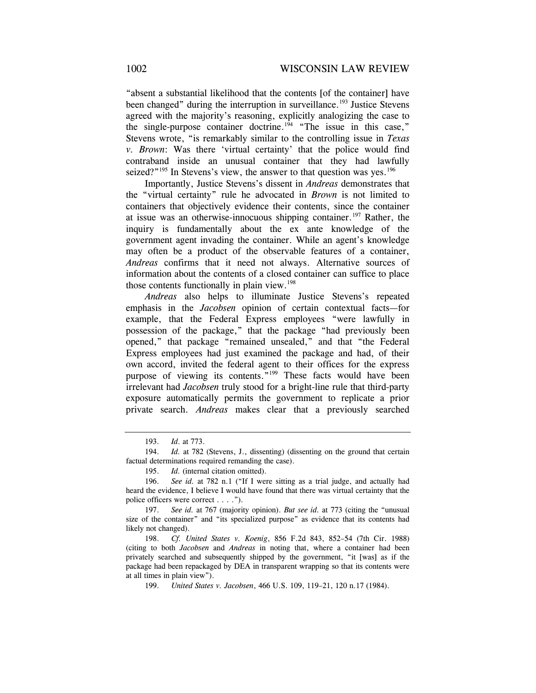"absent a substantial likelihood that the contents [of the container] have been changed" during the interruption in surveillance.<sup>193</sup> Justice Stevens agreed with the majority's reasoning, explicitly analogizing the case to the single-purpose container doctrine.<sup>194</sup> "The issue in this case." Stevens wrote, "is remarkably similar to the controlling issue in *Texas v. Brown*: Was there 'virtual certainty' that the police would find contraband inside an unusual container that they had lawfully seized?"<sup>195</sup> In Stevens's view, the answer to that question was yes.<sup>196</sup>

Importantly, Justice Stevens's dissent in *Andreas* demonstrates that the "virtual certainty" rule he advocated in *Brown* is not limited to containers that objectively evidence their contents, since the container at issue was an otherwise-innocuous shipping container.<sup>197</sup> Rather, the inquiry is fundamentally about the ex ante knowledge of the government agent invading the container. While an agent's knowledge may often be a product of the observable features of a container, *Andreas* confirms that it need not always. Alternative sources of information about the contents of a closed container can suffice to place those contents functionally in plain view. $198$ 

*Andreas* also helps to illuminate Justice Stevens's repeated emphasis in the *Jacobsen* opinion of certain contextual facts—for example, that the Federal Express employees "were lawfully in possession of the package," that the package "had previously been opened," that package "remained unsealed," and that "the Federal Express employees had just examined the package and had, of their own accord, invited the federal agent to their offices for the express purpose of viewing its contents."<sup>199</sup> These facts would have been irrelevant had *Jacobsen* truly stood for a bright-line rule that third-party exposure automatically permits the government to replicate a prior private search. *Andreas* makes clear that a previously searched

<sup>193.</sup> *Id*. at 773.

<sup>194.</sup> *Id.* at 782 (Stevens, J., dissenting) (dissenting on the ground that certain factual determinations required remanding the case).

<sup>195.</sup> *Id.* (internal citation omitted).

<sup>196.</sup> *See id.* at 782 n.1 ("If I were sitting as a trial judge, and actually had heard the evidence, I believe I would have found that there was virtual certainty that the police officers were correct . . . .").

<sup>197.</sup> *See id.* at 767 (majority opinion). *But see id.* at 773 (citing the "unusual size of the container" and "its specialized purpose" as evidence that its contents had likely not changed).

<sup>198.</sup> *Cf. United States v. Koenig*, 856 F.2d 843, 852–54 (7th Cir. 1988) (citing to both *Jacobsen* and *Andreas* in noting that, where a container had been privately searched and subsequently shipped by the government, "it [was] as if the package had been repackaged by DEA in transparent wrapping so that its contents were at all times in plain view").

<sup>199.</sup> *United States v. Jacobsen*, 466 U.S. 109, 119–21, 120 n.17 (1984).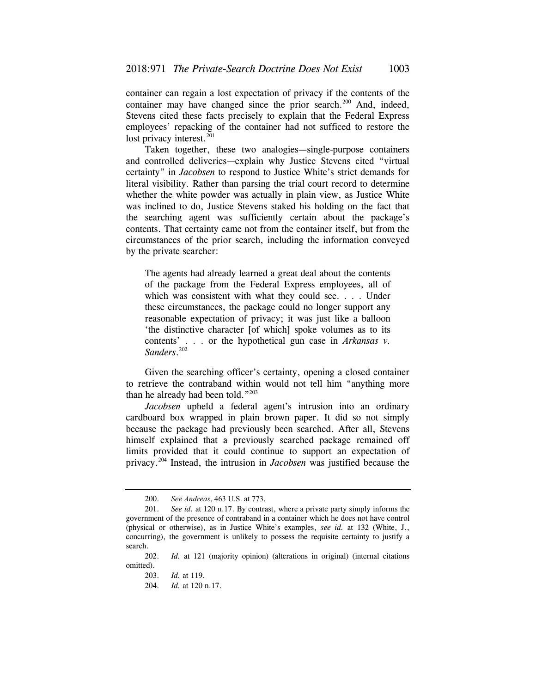container can regain a lost expectation of privacy if the contents of the container may have changed since the prior search.<sup>200</sup> And, indeed, Stevens cited these facts precisely to explain that the Federal Express employees' repacking of the container had not sufficed to restore the lost privacy interest. $201$ 

Taken together, these two analogies—single-purpose containers and controlled deliveries—explain why Justice Stevens cited "virtual certainty" in *Jacobsen* to respond to Justice White's strict demands for literal visibility. Rather than parsing the trial court record to determine whether the white powder was actually in plain view, as Justice White was inclined to do, Justice Stevens staked his holding on the fact that the searching agent was sufficiently certain about the package's contents. That certainty came not from the container itself, but from the circumstances of the prior search, including the information conveyed by the private searcher:

The agents had already learned a great deal about the contents of the package from the Federal Express employees, all of which was consistent with what they could see. . . . Under these circumstances, the package could no longer support any reasonable expectation of privacy; it was just like a balloon 'the distinctive character [of which] spoke volumes as to its contents' . . . or the hypothetical gun case in *Arkansas v. Sanders*. 202

Given the searching officer's certainty, opening a closed container to retrieve the contraband within would not tell him "anything more than he already had been told."203

*Jacobsen* upheld a federal agent's intrusion into an ordinary cardboard box wrapped in plain brown paper. It did so not simply because the package had previously been searched. After all, Stevens himself explained that a previously searched package remained off limits provided that it could continue to support an expectation of privacy.204 Instead, the intrusion in *Jacobsen* was justified because the

<sup>200.</sup> *See Andreas*, 463 U.S. at 773.

 <sup>201.</sup> *See id.* at 120 n.17. By contrast, where a private party simply informs the government of the presence of contraband in a container which he does not have control (physical or otherwise), as in Justice White's examples, *see id.* at 132 (White, J., concurring), the government is unlikely to possess the requisite certainty to justify a search.

 <sup>202.</sup> *Id.* at 121 (majority opinion) (alterations in original) (internal citations omitted).

<sup>203.</sup> *Id.* at 119.

<sup>204.</sup> *Id.* at 120 n.17.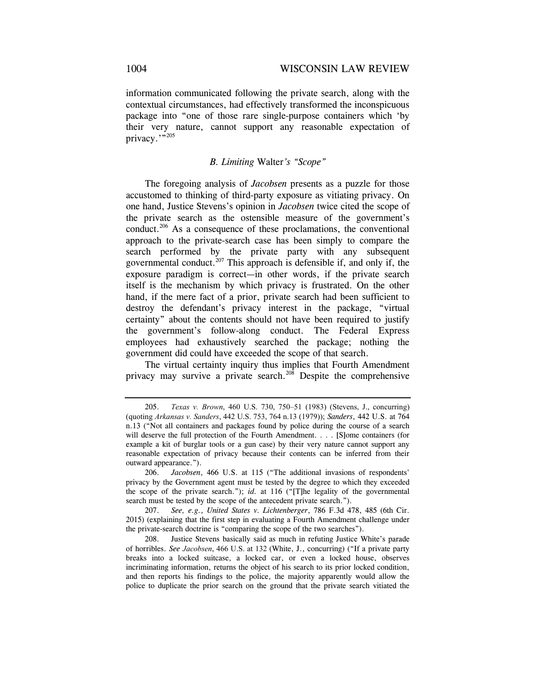information communicated following the private search, along with the contextual circumstances, had effectively transformed the inconspicuous package into "one of those rare single-purpose containers which 'by their very nature, cannot support any reasonable expectation of privacy."<sup>205</sup>

### *B. Limiting* Walter*'s "Scope"*

 certainty" about the contents should not have been required to justify The foregoing analysis of *Jacobsen* presents as a puzzle for those accustomed to thinking of third-party exposure as vitiating privacy. On one hand, Justice Stevens's opinion in *Jacobsen* twice cited the scope of the private search as the ostensible measure of the government's conduct.206 As a consequence of these proclamations, the conventional approach to the private-search case has been simply to compare the search performed by the private party with any subsequent governmental conduct.<sup>207</sup> This approach is defensible if, and only if, the exposure paradigm is correct—in other words, if the private search itself is the mechanism by which privacy is frustrated. On the other hand, if the mere fact of a prior, private search had been sufficient to destroy the defendant's privacy interest in the package, "virtual the government's follow-along conduct. The Federal Express employees had exhaustively searched the package; nothing the government did could have exceeded the scope of that search.

The virtual certainty inquiry thus implies that Fourth Amendment privacy may survive a private search.<sup>208</sup> Despite the comprehensive

<sup>205.</sup> *Texas v. Brown*, 460 U.S. 730, 750–51 (1983) (Stevens, J., concurring) (quoting *Arkansas v. Sanders*, 442 U.S. 753, 764 n.13 (1979)); *Sanders*, 442 U.S. at 764 n.13 ("Not all containers and packages found by police during the course of a search will deserve the full protection of the Fourth Amendment. . . . [S]ome containers (for example a kit of burglar tools or a gun case) by their very nature cannot support any reasonable expectation of privacy because their contents can be inferred from their outward appearance.").

<sup>206.</sup> *Jacobsen*, 466 U.S. at 115 ("The additional invasions of respondents' privacy by the Government agent must be tested by the degree to which they exceeded the scope of the private search."); *id.* at 116 ("[T]he legality of the governmental search must be tested by the scope of the antecedent private search.").

<sup>207.</sup> *See, e.g.*, *United States v. Lichtenberger*, 786 F.3d 478, 485 (6th Cir. 2015) (explaining that the first step in evaluating a Fourth Amendment challenge under the private-search doctrine is "comparing the scope of the two searches").

<sup>208.</sup> Justice Stevens basically said as much in refuting Justice White's parade of horribles. *See Jacobsen*, 466 U.S. at 132 (White, J., concurring) ("If a private party breaks into a locked suitcase, a locked car, or even a locked house, observes incriminating information, returns the object of his search to its prior locked condition, and then reports his findings to the police, the majority apparently would allow the police to duplicate the prior search on the ground that the private search vitiated the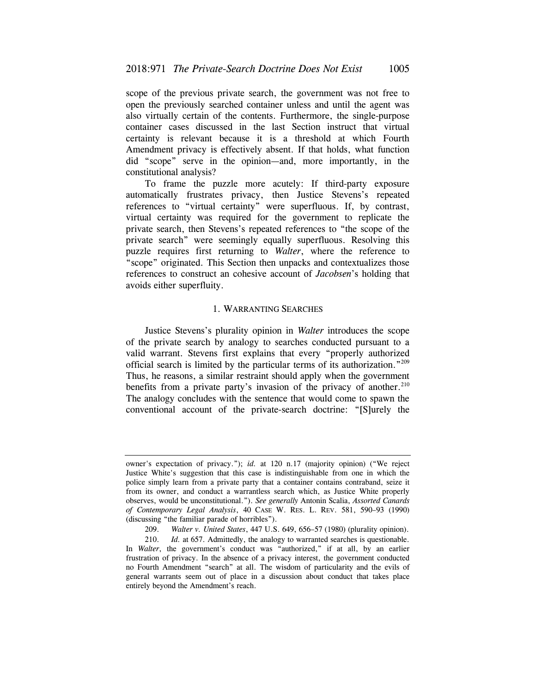scope of the previous private search, the government was not free to open the previously searched container unless and until the agent was also virtually certain of the contents. Furthermore, the single-purpose container cases discussed in the last Section instruct that virtual certainty is relevant because it is a threshold at which Fourth Amendment privacy is effectively absent. If that holds, what function did "scope" serve in the opinion—and, more importantly, in the constitutional analysis?

To frame the puzzle more acutely: If third-party exposure automatically frustrates privacy, then Justice Stevens's repeated references to "virtual certainty" were superfluous. If, by contrast, virtual certainty was required for the government to replicate the private search, then Stevens's repeated references to "the scope of the private search" were seemingly equally superfluous. Resolving this puzzle requires first returning to *Walter*, where the reference to "scope" originated. This Section then unpacks and contextualizes those references to construct an cohesive account of *Jacobsen*'s holding that avoids either superfluity.

#### 1. WARRANTING SEARCHES

Justice Stevens's plurality opinion in *Walter* introduces the scope of the private search by analogy to searches conducted pursuant to a valid warrant. Stevens first explains that every "properly authorized official search is limited by the particular terms of its authorization."209 Thus, he reasons, a similar restraint should apply when the government benefits from a private party's invasion of the privacy of another. $210$ The analogy concludes with the sentence that would come to spawn the conventional account of the private-search doctrine: "[S]urely the

 *of Contemporary Legal Analysis*, 40 CASE W. RES. L. REV. 581, 590–93 (1990) owner's expectation of privacy."); *id.* at 120 n.17 (majority opinion) ("We reject Justice White's suggestion that this case is indistinguishable from one in which the police simply learn from a private party that a container contains contraband, seize it from its owner, and conduct a warrantless search which, as Justice White properly observes, would be unconstitutional."). *See generally* Antonin Scalia, *Assorted Canards*  (discussing "the familiar parade of horribles").

 <sup>209.</sup> *Walter v. United States*, 447 U.S. 649, 656–57 (1980) (plurality opinion).

<sup>210.</sup> *Id.* at 657. Admittedly, the analogy to warranted searches is questionable. In *Walter*, the government's conduct was "authorized," if at all, by an earlier frustration of privacy. In the absence of a privacy interest, the government conducted no Fourth Amendment "search" at all. The wisdom of particularity and the evils of general warrants seem out of place in a discussion about conduct that takes place entirely beyond the Amendment's reach.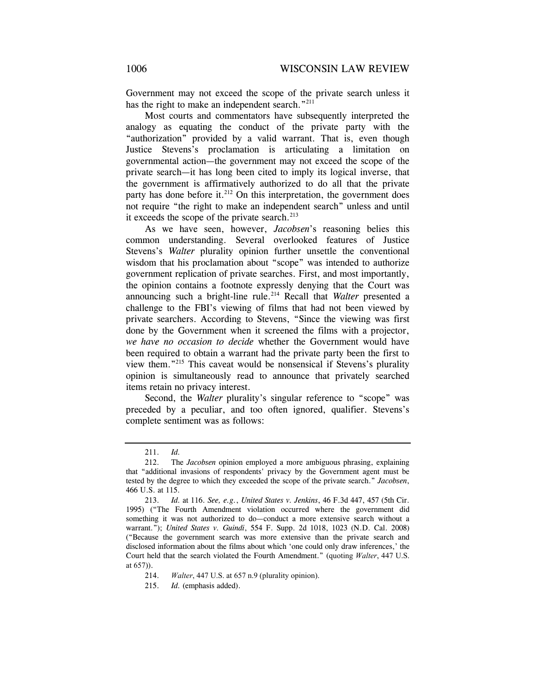Government may not exceed the scope of the private search unless it has the right to make an independent search."<sup>211</sup>

Most courts and commentators have subsequently interpreted the analogy as equating the conduct of the private party with the "authorization" provided by a valid warrant. That is, even though Justice Stevens's proclamation is articulating a limitation on governmental action—the government may not exceed the scope of the private search—it has long been cited to imply its logical inverse, that the government is affirmatively authorized to do all that the private party has done before it. $^{212}$  On this interpretation, the government does not require "the right to make an independent search" unless and until it exceeds the scope of the private search. $213$ 

As we have seen, however, *Jacobsen*'s reasoning belies this common understanding. Several overlooked features of Justice Stevens's *Walter* plurality opinion further unsettle the conventional wisdom that his proclamation about "scope" was intended to authorize government replication of private searches. First, and most importantly, the opinion contains a footnote expressly denying that the Court was announcing such a bright-line rule.<sup>214</sup> Recall that *Walter* presented a challenge to the FBI's viewing of films that had not been viewed by private searchers. According to Stevens, "Since the viewing was first done by the Government when it screened the films with a projector, *we have no occasion to decide* whether the Government would have been required to obtain a warrant had the private party been the first to view them."215 This caveat would be nonsensical if Stevens's plurality opinion is simultaneously read to announce that privately searched items retain no privacy interest.

Second, the *Walter* plurality's singular reference to "scope" was preceded by a peculiar, and too often ignored, qualifier. Stevens's complete sentiment was as follows:

<sup>211.</sup> *Id.*

 <sup>212.</sup> The *Jacobsen* opinion employed a more ambiguous phrasing, explaining that "additional invasions of respondents' privacy by the Government agent must be tested by the degree to which they exceeded the scope of the private search." *Jacobsen*, 466 U.S. at 115.

<sup>213.</sup> *Id.* at 116. *See, e.g.*, *United States v. Jenkins*, 46 F.3d 447, 457 (5th Cir. 1995) ("The Fourth Amendment violation occurred where the government did something it was not authorized to do—conduct a more extensive search without a warrant."); *United States v. Guindi*, 554 F. Supp. 2d 1018, 1023 (N.D. Cal. 2008) ("Because the government search was more extensive than the private search and disclosed information about the films about which 'one could only draw inferences,' the Court held that the search violated the Fourth Amendment." (quoting *Walter*, 447 U.S. at 657)).

 <sup>214.</sup> *Walter*, 447 U.S. at 657 n.9 (plurality opinion).

 <sup>215.</sup> *Id.* (emphasis added).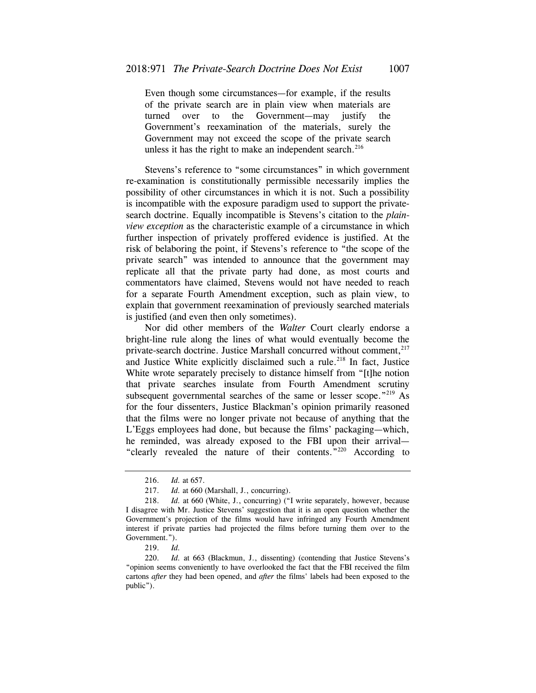Even though some circumstances—for example, if the results of the private search are in plain view when materials are turned over to the Government—may justify the Government's reexamination of the materials, surely the Government may not exceed the scope of the private search unless it has the right to make an independent search. $216$ 

Stevens's reference to "some circumstances" in which government re-examination is constitutionally permissible necessarily implies the possibility of other circumstances in which it is not. Such a possibility is incompatible with the exposure paradigm used to support the privatesearch doctrine. Equally incompatible is Stevens's citation to the *plainview exception* as the characteristic example of a circumstance in which further inspection of privately proffered evidence is justified. At the risk of belaboring the point, if Stevens's reference to "the scope of the private search" was intended to announce that the government may replicate all that the private party had done, as most courts and commentators have claimed, Stevens would not have needed to reach for a separate Fourth Amendment exception, such as plain view, to explain that government reexamination of previously searched materials is justified (and even then only sometimes).

Nor did other members of the *Walter* Court clearly endorse a bright-line rule along the lines of what would eventually become the private-search doctrine. Justice Marshall concurred without comment,<sup>217</sup> and Justice White explicitly disclaimed such a rule.<sup>218</sup> In fact, Justice White wrote separately precisely to distance himself from "[t]he notion that private searches insulate from Fourth Amendment scrutiny subsequent governmental searches of the same or lesser scope."<sup>219</sup> As for the four dissenters, Justice Blackman's opinion primarily reasoned that the films were no longer private not because of anything that the L'Eggs employees had done, but because the films' packaging—which, he reminded, was already exposed to the FBI upon their arrival— "clearly revealed the nature of their contents."220 According to

<sup>216.</sup> *Id.* at 657.

<sup>217.</sup> *Id.* at 660 (Marshall, J., concurring).

 <sup>218.</sup> *Id.* at 660 (White, J., concurring) ("I write separately, however, because I disagree with Mr. Justice Stevens' suggestion that it is an open question whether the Government's projection of the films would have infringed any Fourth Amendment interest if private parties had projected the films before turning them over to the Government.").

<sup>219.</sup> *Id.*

 <sup>220.</sup> *Id.* at 663 (Blackmun, J., dissenting) (contending that Justice Stevens's "opinion seems conveniently to have overlooked the fact that the FBI received the film cartons *after* they had been opened, and *after* the films' labels had been exposed to the public").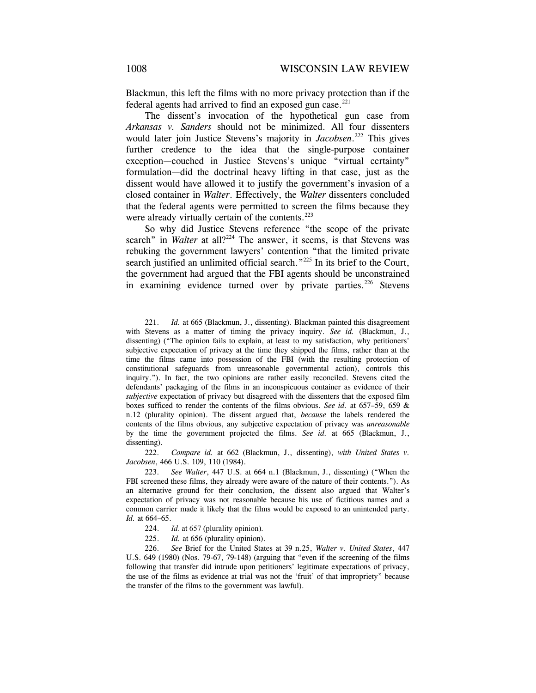Blackmun, this left the films with no more privacy protection than if the federal agents had arrived to find an exposed gun case. $^{221}$ 

The dissent's invocation of the hypothetical gun case from *Arkansas v. Sanders* should not be minimized. All four dissenters would later join Justice Stevens's majority in *Jacobsen*. 222 This gives further credence to the idea that the single-purpose container exception—couched in Justice Stevens's unique "virtual certainty" formulation—did the doctrinal heavy lifting in that case, just as the dissent would have allowed it to justify the government's invasion of a closed container in *Walter*. Effectively, the *Walter* dissenters concluded that the federal agents were permitted to screen the films because they were already virtually certain of the contents.<sup>223</sup>

So why did Justice Stevens reference "the scope of the private search" in *Walter* at all?<sup>224</sup> The answer, it seems, is that Stevens was rebuking the government lawyers' contention "that the limited private search justified an unlimited official search."<sup>225</sup> In its brief to the Court, the government had argued that the FBI agents should be unconstrained in examining evidence turned over by private parties.<sup>226</sup> Stevens

222. *Compare id.* at 662 (Blackmun, J., dissenting), *with United States v. Jacobsen*, 466 U.S. 109, 110 (1984).

- 224. *Id.* at 657 (plurality opinion).
- 225. *Id.* at 656 (plurality opinion).

<sup>221.</sup> *Id.* at 665 (Blackmun, J., dissenting). Blackman painted this disagreement with Stevens as a matter of timing the privacy inquiry. *See id.* (Blackmun, J., dissenting) ("The opinion fails to explain, at least to my satisfaction, why petitioners' subjective expectation of privacy at the time they shipped the films, rather than at the time the films came into possession of the FBI (with the resulting protection of constitutional safeguards from unreasonable governmental action), controls this inquiry."). In fact, the two opinions are rather easily reconciled. Stevens cited the defendants' packaging of the films in an inconspicuous container as evidence of their *subjective* expectation of privacy but disagreed with the dissenters that the exposed film boxes sufficed to render the contents of the films obvious. *See id.* at 657–59, 659 & n.12 (plurality opinion). The dissent argued that, *because* the labels rendered the contents of the films obvious, any subjective expectation of privacy was *unreasonable*  by the time the government projected the films. *See id.* at 665 (Blackmun, J., dissenting).

 <sup>223.</sup> *See Walter*, 447 U.S. at 664 n.1 (Blackmun, J., dissenting) ("When the FBI screened these films, they already were aware of the nature of their contents."). As an alternative ground for their conclusion, the dissent also argued that Walter's expectation of privacy was not reasonable because his use of fictitious names and a common carrier made it likely that the films would be exposed to an unintended party. *Id.* at 664–65.

<sup>226.</sup> *See* Brief for the United States at 39 n.25, *Walter v. United States*, 447 U.S. 649 (1980) (Nos. 79-67, 79-148) (arguing that "even if the screening of the films following that transfer did intrude upon petitioners' legitimate expectations of privacy, the use of the films as evidence at trial was not the 'fruit' of that impropriety" because the transfer of the films to the government was lawful).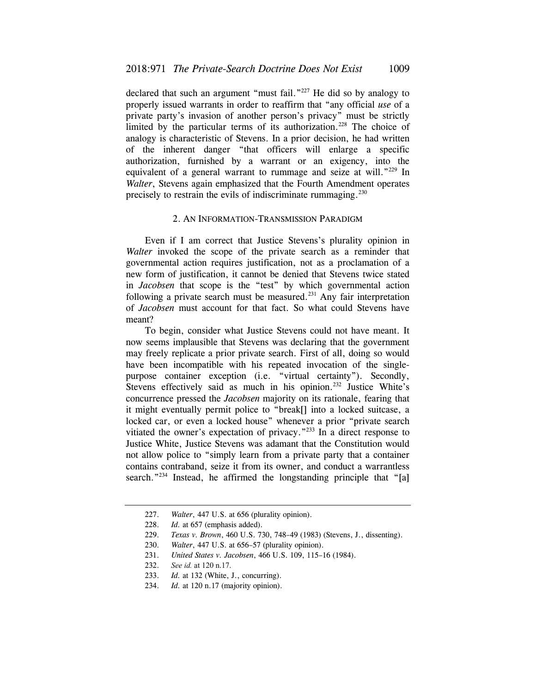declared that such an argument "must fail."227 He did so by analogy to properly issued warrants in order to reaffirm that "any official *use* of a private party's invasion of another person's privacy" must be strictly limited by the particular terms of its authorization.<sup>228</sup> The choice of analogy is characteristic of Stevens. In a prior decision, he had written of the inherent danger "that officers will enlarge a specific authorization, furnished by a warrant or an exigency, into the equivalent of a general warrant to rummage and seize at will."<sup>229</sup> In *Walter*, Stevens again emphasized that the Fourth Amendment operates precisely to restrain the evils of indiscriminate rummaging. $230$ 

## 2. AN INFORMATION-TRANSMISSION PARADIGM

Even if I am correct that Justice Stevens's plurality opinion in *Walter* invoked the scope of the private search as a reminder that governmental action requires justification, not as a proclamation of a new form of justification, it cannot be denied that Stevens twice stated in *Jacobsen* that scope is the "test" by which governmental action following a private search must be measured.<sup>231</sup> Any fair interpretation of *Jacobsen* must account for that fact. So what could Stevens have meant?

To begin, consider what Justice Stevens could not have meant. It now seems implausible that Stevens was declaring that the government may freely replicate a prior private search. First of all, doing so would have been incompatible with his repeated invocation of the singlepurpose container exception (i.e. "virtual certainty"). Secondly, Stevens effectively said as much in his opinion.<sup>232</sup> Justice White's concurrence pressed the *Jacobsen* majority on its rationale, fearing that it might eventually permit police to "break[] into a locked suitcase, a locked car, or even a locked house" whenever a prior "private search vitiated the owner's expectation of privacy."233 In a direct response to Justice White, Justice Stevens was adamant that the Constitution would not allow police to "simply learn from a private party that a container contains contraband, seize it from its owner, and conduct a warrantless search."<sup>234</sup> Instead, he affirmed the longstanding principle that "[a]

<sup>227.</sup> *Walter*, 447 U.S. at 656 (plurality opinion).

 <sup>228.</sup> *Id.* at 657 (emphasis added).

<sup>229.</sup> *Texas v. Brown*, 460 U.S. 730, 748–49 (1983) (Stevens, J., dissenting).

<sup>230.</sup> *Walter*, 447 U.S. at 656–57 (plurality opinion).

<sup>231.</sup> *United States v. Jacobsen*, 466 U.S. 109, 115–16 (1984).

<sup>232.</sup> *See id.* at 120 n.17.

 <sup>233.</sup> *Id.* at 132 (White, J., concurring).

 <sup>234.</sup> *Id.* at 120 n.17 (majority opinion).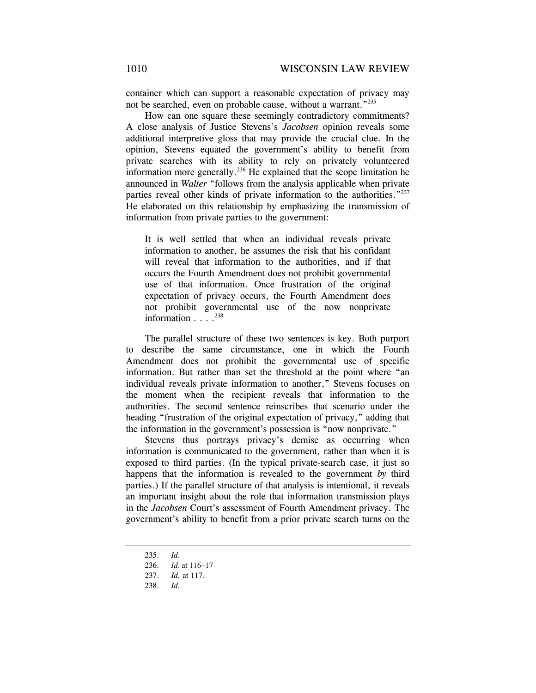container which can support a reasonable expectation of privacy may not be searched, even on probable cause, without a warrant."<sup>235</sup>

How can one square these seemingly contradictory commitments? A close analysis of Justice Stevens's *Jacobsen* opinion reveals some additional interpretive gloss that may provide the crucial clue. In the opinion, Stevens equated the government's ability to benefit from private searches with its ability to rely on privately volunteered information more generally.<sup>236</sup> He explained that the scope limitation he announced in *Walter* "follows from the analysis applicable when private parties reveal other kinds of private information to the authorities."<sup>237</sup> He elaborated on this relationship by emphasizing the transmission of information from private parties to the government:

It is well settled that when an individual reveals private information to another, he assumes the risk that his confidant will reveal that information to the authorities, and if that occurs the Fourth Amendment does not prohibit governmental use of that information. Once frustration of the original expectation of privacy occurs, the Fourth Amendment does not prohibit governmental use of the now nonprivate information  $\ldots$ <sup>238</sup>

The parallel structure of these two sentences is key. Both purport to describe the same circumstance, one in which the Fourth Amendment does not prohibit the governmental use of specific information. But rather than set the threshold at the point where "an individual reveals private information to another," Stevens focuses on the moment when the recipient reveals that information to the authorities. The second sentence reinscribes that scenario under the heading "frustration of the original expectation of privacy," adding that the information in the government's possession is "now nonprivate."

Stevens thus portrays privacy's demise as occurring when information is communicated to the government, rather than when it is exposed to third parties. (In the typical private-search case, it just so happens that the information is revealed to the government *by* third parties.) If the parallel structure of that analysis is intentional, it reveals an important insight about the role that information transmission plays in the *Jacobsen* Court's assessment of Fourth Amendment privacy. The government's ability to benefit from a prior private search turns on the

- 235. *Id.*
- 236. *Id.* at 116–17

238. *Id.* 

 <sup>237.</sup> *Id.* at 117.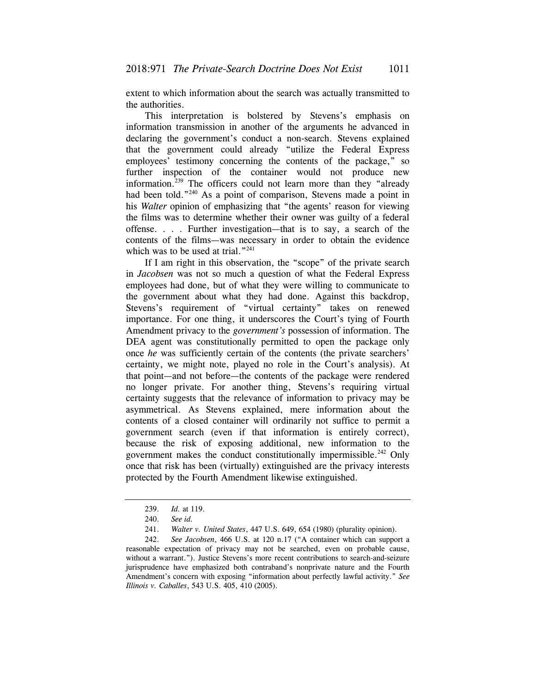extent to which information about the search was actually transmitted to the authorities.

This interpretation is bolstered by Stevens's emphasis on information transmission in another of the arguments he advanced in declaring the government's conduct a non-search. Stevens explained that the government could already "utilize the Federal Express employees' testimony concerning the contents of the package," so further inspection of the container would not produce new information.<sup>239</sup> The officers could not learn more than they "already had been told."<sup>240</sup> As a point of comparison, Stevens made a point in his *Walter* opinion of emphasizing that "the agents' reason for viewing the films was to determine whether their owner was guilty of a federal offense. . . . Further investigation—that is to say, a search of the contents of the films—was necessary in order to obtain the evidence which was to be used at trial."<sup>241</sup>

If I am right in this observation, the "scope" of the private search in *Jacobsen* was not so much a question of what the Federal Express employees had done, but of what they were willing to communicate to the government about what they had done. Against this backdrop, Stevens's requirement of "virtual certainty" takes on renewed importance. For one thing, it underscores the Court's tying of Fourth Amendment privacy to the *government's* possession of information. The DEA agent was constitutionally permitted to open the package only once *he* was sufficiently certain of the contents (the private searchers' certainty, we might note, played no role in the Court's analysis). At that point—and not before—the contents of the package were rendered no longer private. For another thing, Stevens's requiring virtual certainty suggests that the relevance of information to privacy may be asymmetrical. As Stevens explained, mere information about the contents of a closed container will ordinarily not suffice to permit a government search (even if that information is entirely correct), because the risk of exposing additional, new information to the government makes the conduct constitutionally impermissible.<sup>242</sup> Only once that risk has been (virtually) extinguished are the privacy interests protected by the Fourth Amendment likewise extinguished.

<sup>239.</sup> *Id.* at 119.

<sup>240.</sup> *See id.*

 <sup>241.</sup> *Walter v. United States*, 447 U.S. 649, 654 (1980) (plurality opinion).

<sup>242.</sup> *See Jacobsen*, 466 U.S. at 120 n.17 ("A container which can support a reasonable expectation of privacy may not be searched, even on probable cause, without a warrant."). Justice Stevens's more recent contributions to search-and-seizure jurisprudence have emphasized both contraband's nonprivate nature and the Fourth Amendment's concern with exposing "information about perfectly lawful activity." *See Illinois v. Caballes*, 543 U.S. 405, 410 (2005).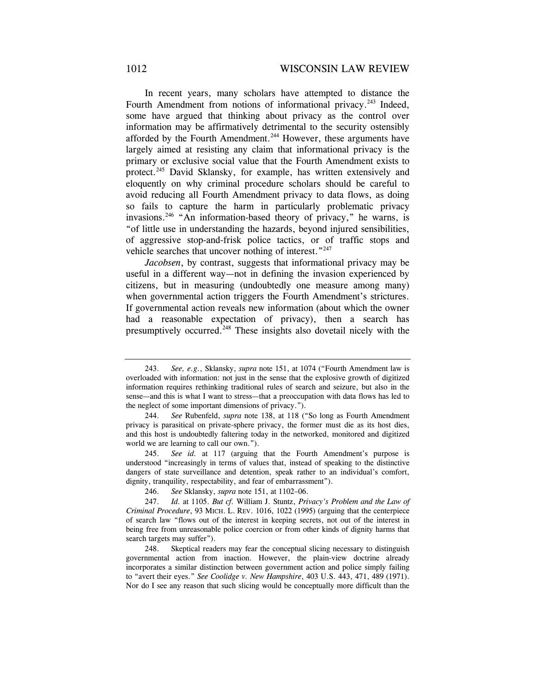In recent years, many scholars have attempted to distance the Fourth Amendment from notions of informational privacy.<sup>243</sup> Indeed, some have argued that thinking about privacy as the control over information may be affirmatively detrimental to the security ostensibly afforded by the Fourth Amendment.<sup>244</sup> However, these arguments have largely aimed at resisting any claim that informational privacy is the primary or exclusive social value that the Fourth Amendment exists to protect.<sup>245</sup> David Sklansky, for example, has written extensively and eloquently on why criminal procedure scholars should be careful to avoid reducing all Fourth Amendment privacy to data flows, as doing so fails to capture the harm in particularly problematic privacy invasions.246 "An information-based theory of privacy," he warns, is "of little use in understanding the hazards, beyond injured sensibilities, of aggressive stop-and-frisk police tactics, or of traffic stops and vehicle searches that uncover nothing of interest."<sup>247</sup>

*Jacobsen*, by contrast, suggests that informational privacy may be useful in a different way—not in defining the invasion experienced by citizens, but in measuring (undoubtedly one measure among many) when governmental action triggers the Fourth Amendment's strictures. If governmental action reveals new information (about which the owner had a reasonable expectation of privacy), then a search has presumptively occurred.248 These insights also dovetail nicely with the

<sup>243.</sup> *See, e.g.*, Sklansky, *supra* note 151, at 1074 ("Fourth Amendment law is overloaded with information: not just in the sense that the explosive growth of digitized information requires rethinking traditional rules of search and seizure, but also in the sense—and this is what I want to stress—that a preoccupation with data flows has led to the neglect of some important dimensions of privacy.").

<sup>244.</sup> *See* Rubenfeld, *supra* note 138, at 118 ("So long as Fourth Amendment privacy is parasitical on private-sphere privacy, the former must die as its host dies, and this host is undoubtedly faltering today in the networked, monitored and digitized world we are learning to call our own.").

<sup>245.</sup> *See id.* at 117 (arguing that the Fourth Amendment's purpose is understood "increasingly in terms of values that, instead of speaking to the distinctive dangers of state surveillance and detention, speak rather to an individual's comfort, dignity, tranquility, respectability, and fear of embarrassment").

 <sup>246.</sup> *See* Sklansky, *supra* note 151, at 1102–06.

 <sup>247.</sup> *Id.* at 1105. *But cf.* William J. Stuntz, *Privacy's Problem and the Law of Criminal Procedure*, 93 MICH. L. REV. 1016, 1022 (1995) (arguing that the centerpiece of search law "flows out of the interest in keeping secrets, not out of the interest in being free from unreasonable police coercion or from other kinds of dignity harms that search targets may suffer").

<sup>248.</sup> Skeptical readers may fear the conceptual slicing necessary to distinguish governmental action from inaction. However, the plain-view doctrine already incorporates a similar distinction between government action and police simply failing to "avert their eyes." *See Coolidge v. New Hampshire*, 403 U.S. 443, 471, 489 (1971). Nor do I see any reason that such slicing would be conceptually more difficult than the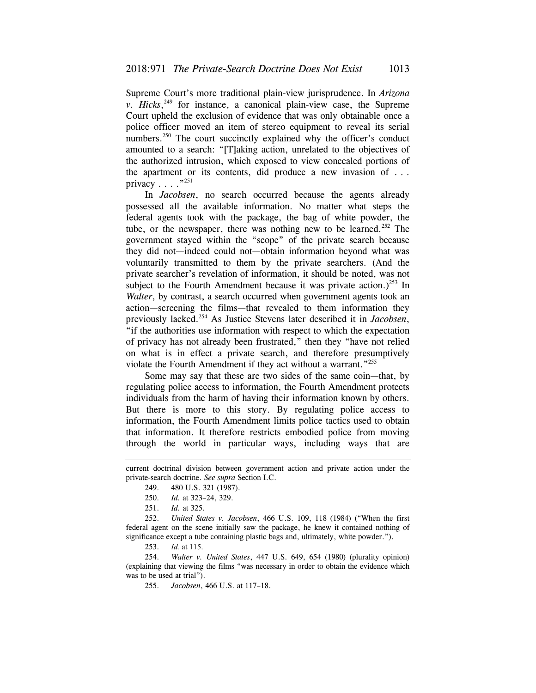Supreme Court's more traditional plain-view jurisprudence. In *Arizona v. Hicks*, 249 for instance, a canonical plain-view case, the Supreme Court upheld the exclusion of evidence that was only obtainable once a police officer moved an item of stereo equipment to reveal its serial numbers.<sup>250</sup> The court succinctly explained why the officer's conduct amounted to a search: "[T]aking action, unrelated to the objectives of the authorized intrusion, which exposed to view concealed portions of the apartment or its contents, did produce a new invasion of . . . privacy  $\ldots$  ."<sup>251</sup>

In *Jacobsen*, no search occurred because the agents already possessed all the available information. No matter what steps the federal agents took with the package, the bag of white powder, the tube, or the newspaper, there was nothing new to be learned.<sup>252</sup> The government stayed within the "scope" of the private search because they did not—indeed could not—obtain information beyond what was voluntarily transmitted to them by the private searchers. (And the private searcher's revelation of information, it should be noted, was not subject to the Fourth Amendment because it was private action.)<sup>253</sup> In *Walter*, by contrast, a search occurred when government agents took an action—screening the films—that revealed to them information they previously lacked.254 As Justice Stevens later described it in *Jacobsen*, "if the authorities use information with respect to which the expectation of privacy has not already been frustrated," then they "have not relied on what is in effect a private search, and therefore presumptively violate the Fourth Amendment if they act without a warrant."<sup>255</sup>

Some may say that these are two sides of the same coin—that, by regulating police access to information, the Fourth Amendment protects individuals from the harm of having their information known by others. But there is more to this story. By regulating police access to information, the Fourth Amendment limits police tactics used to obtain that information. It therefore restricts embodied police from moving through the world in particular ways, including ways that are

current doctrinal division between government action and private action under the private-search doctrine. *See supra* Section I.C.

<sup>249. 480</sup> U.S. 321 (1987).

 <sup>250.</sup> *Id.* at 323–24, 329.

 <sup>251.</sup> *Id.* at 325.

<sup>252.</sup> *United States v. Jacobsen*, 466 U.S. 109, 118 (1984) ("When the first federal agent on the scene initially saw the package, he knew it contained nothing of significance except a tube containing plastic bags and, ultimately, white powder.").

<sup>253.</sup> *Id.* at 115.

 <sup>254.</sup> *Walter v. United States*, 447 U.S. 649, 654 (1980) (plurality opinion) (explaining that viewing the films "was necessary in order to obtain the evidence which was to be used at trial").

 <sup>255.</sup> *Jacobsen*, 466 U.S. at 117–18.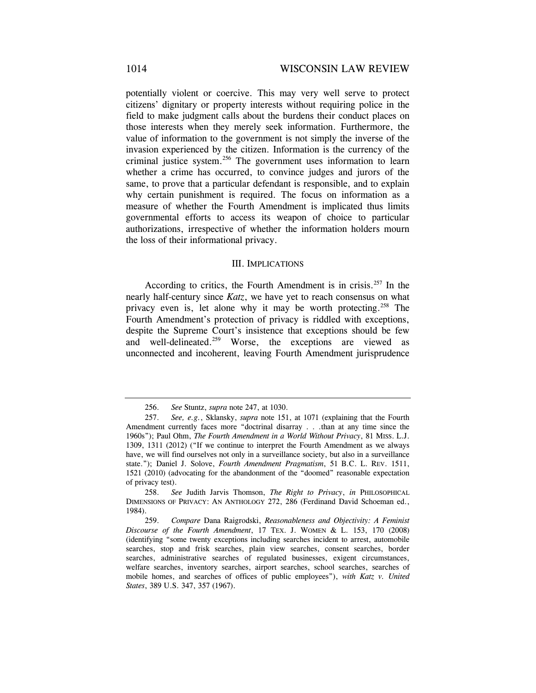potentially violent or coercive. This may very well serve to protect citizens' dignitary or property interests without requiring police in the field to make judgment calls about the burdens their conduct places on those interests when they merely seek information. Furthermore, the value of information to the government is not simply the inverse of the invasion experienced by the citizen. Information is the currency of the criminal justice system.<sup>256</sup> The government uses information to learn whether a crime has occurred, to convince judges and jurors of the same, to prove that a particular defendant is responsible, and to explain why certain punishment is required. The focus on information as a measure of whether the Fourth Amendment is implicated thus limits governmental efforts to access its weapon of choice to particular authorizations, irrespective of whether the information holders mourn the loss of their informational privacy.

### III. IMPLICATIONS

According to critics, the Fourth Amendment is in crisis.257 In the nearly half-century since *Katz*, we have yet to reach consensus on what privacy even is, let alone why it may be worth protecting.258 The Fourth Amendment's protection of privacy is riddled with exceptions, despite the Supreme Court's insistence that exceptions should be few and well-delineated.<sup>259</sup> Worse, the exceptions are viewed as unconnected and incoherent, leaving Fourth Amendment jurisprudence

<sup>256.</sup> *See* Stuntz, *supra* note 247, at 1030.

 <sup>257.</sup> *See, e.g.*, Sklansky, *supra* note 151, at 1071 (explaining that the Fourth Amendment currently faces more "doctrinal disarray . . .than at any time since the 1960s"); Paul Ohm, *The Fourth Amendment in a World Without Privacy*, 81 MISS. L.J. 1309, 1311 (2012) ("If we continue to interpret the Fourth Amendment as we always have, we will find ourselves not only in a surveillance society, but also in a surveillance state."); Daniel J. Solove, *Fourth Amendment Pragmatism*, 51 B.C. L. REV. 1511, 1521 (2010) (advocating for the abandonment of the "doomed" reasonable expectation of privacy test).

<sup>258.</sup> *See* Judith Jarvis Thomson, *The Right to Privacy*, *in* PHILOSOPHICAL DIMENSIONS OF PRIVACY: AN ANTHOLOGY 272, 286 (Ferdinand David Schoeman ed., 1984).

 <sup>259.</sup> *Compare* Dana Raigrodski, *Reasonableness and Objectivity: A Feminist Discourse of the Fourth Amendment*, 17 TEX. J. WOMEN & L. 153, 170 (2008) (identifying "some twenty exceptions including searches incident to arrest, automobile searches, stop and frisk searches, plain view searches, consent searches, border searches, administrative searches of regulated businesses, exigent circumstances, welfare searches, inventory searches, airport searches, school searches, searches of mobile homes, and searches of offices of public employees"), *with Katz v. United States*, 389 U.S. 347, 357 (1967).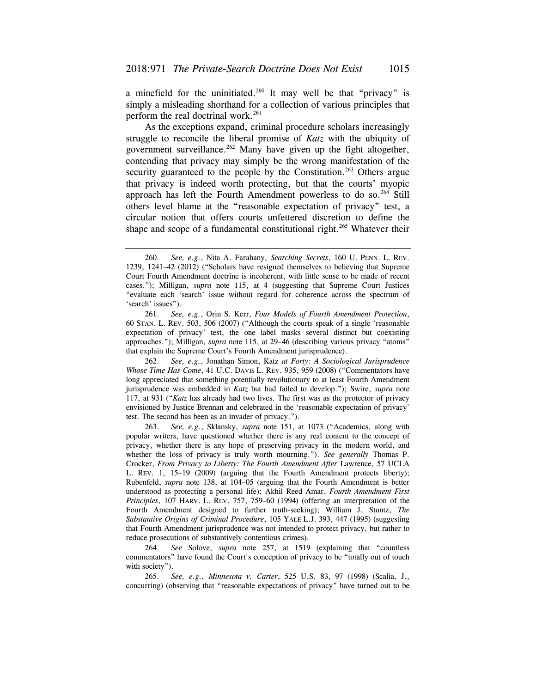a minefield for the uninitiated.<sup>260</sup> It may well be that "privacy" is simply a misleading shorthand for a collection of various principles that perform the real doctrinal work.<sup>261</sup>

As the exceptions expand, criminal procedure scholars increasingly struggle to reconcile the liberal promise of *Katz* with the ubiquity of government surveillance. $262$  Many have given up the fight altogether, contending that privacy may simply be the wrong manifestation of the security guaranteed to the people by the Constitution.<sup>263</sup> Others argue that privacy is indeed worth protecting, but that the courts' myopic approach has left the Fourth Amendment powerless to do so.<sup>264</sup> Still others level blame at the "reasonable expectation of privacy" test, a circular notion that offers courts unfettered discretion to define the shape and scope of a fundamental constitutional right.<sup>265</sup> Whatever their

262. *See, e.g.*, Jonathan Simon, Katz *at Forty: A Sociological Jurisprudence Whose Time Has Come*, 41 U.C. DAVIS L. REV. 935, 959 (2008) ("Commentators have long appreciated that something potentially revolutionary to at least Fourth Amendment jurisprudence was embedded in *Katz* but had failed to develop."); Swire, *supra* note 117, at 931 ("*Katz* has already had two lives. The first was as the protector of privacy envisioned by Justice Brennan and celebrated in the 'reasonable expectation of privacy' test. The second has been as an invader of privacy.").

263. *See, e.g.*, Sklansky, *supra* note 151, at 1073 ("Academics, along with popular writers, have questioned whether there is any real content to the concept of privacy, whether there is any hope of preserving privacy in the modern world, and whether the loss of privacy is truly worth mourning."). *See generally* Thomas P. Crocker, *From Privacy to Liberty: The Fourth Amendment After* Lawrence, 57 UCLA L. REV. 1, 15–19 (2009) (arguing that the Fourth Amendment protects liberty); Rubenfeld, *supra* note 138, at 104–05 (arguing that the Fourth Amendment is better understood as protecting a personal life); Akhil Reed Amar, *Fourth Amendment First Principles*, 107 HARV. L. REV. 757, 759–60 (1994) (offering an interpretation of the Fourth Amendment designed to further truth-seeking); William J. Stuntz, *The Substantive Origins of Criminal Procedure*, 105 YALE L.J. 393, 447 (1995) (suggesting that Fourth Amendment jurisprudence was not intended to protect privacy, but rather to reduce prosecutions of substantively contentious crimes).

 264. *See* Solove, *supra* note 257, at 1519 (explaining that "countless commentators" have found the Court's conception of privacy to be "totally out of touch with society").

 265. *See, e.g.*, *Minnesota v. Carter*, 525 U.S. 83, 97 (1998) (Scalia, J., concurring) (observing that "reasonable expectations of privacy" have turned out to be

<sup>260.</sup> *See, e.g.*, Nita A. Farahany, *Searching Secrets*, 160 U. PENN. L. REV. 1239, 1241–42 (2012) ("Scholars have resigned themselves to believing that Supreme Court Fourth Amendment doctrine is incoherent, with little sense to be made of recent cases."); Milligan, *supra* note 115, at 4 (suggesting that Supreme Court Justices "evaluate each 'search' issue without regard for coherence across the spectrum of 'search' issues").

<sup>261.</sup> *See, e.g.*, Orin S. Kerr, *Four Models of Fourth Amendment Protection*, 60 STAN. L. REV. 503, 506 (2007) ("Although the courts speak of a single 'reasonable expectation of privacy' test, the one label masks several distinct but coexisting approaches."); Milligan, *supra* note 115, at 29–46 (describing various privacy "atoms" that explain the Supreme Court's Fourth Amendment jurisprudence).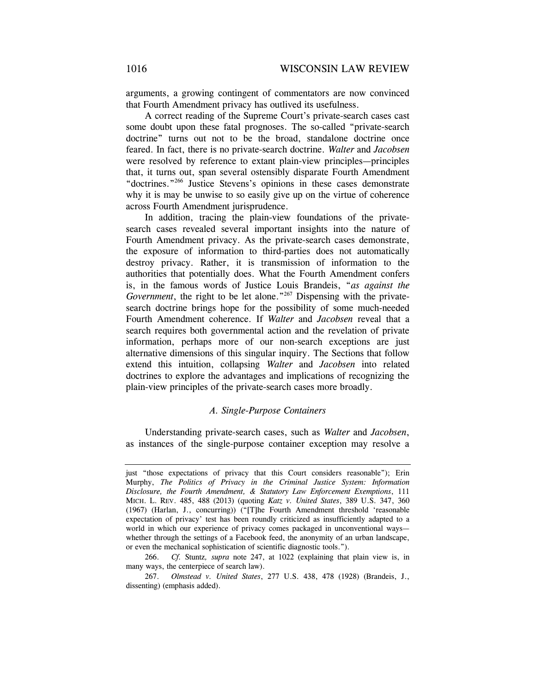arguments, a growing contingent of commentators are now convinced that Fourth Amendment privacy has outlived its usefulness.

A correct reading of the Supreme Court's private-search cases cast some doubt upon these fatal prognoses. The so-called "private-search doctrine" turns out not to be the broad, standalone doctrine once feared. In fact, there is no private-search doctrine. *Walter* and *Jacobsen*  were resolved by reference to extant plain-view principles—principles that, it turns out, span several ostensibly disparate Fourth Amendment "doctrines."266 Justice Stevens's opinions in these cases demonstrate why it is may be unwise to so easily give up on the virtue of coherence across Fourth Amendment jurisprudence.

In addition, tracing the plain-view foundations of the privatesearch cases revealed several important insights into the nature of Fourth Amendment privacy. As the private-search cases demonstrate, the exposure of information to third-parties does not automatically destroy privacy. Rather, it is transmission of information to the authorities that potentially does. What the Fourth Amendment confers is, in the famous words of Justice Louis Brandeis, "*as against the Government*, the right to be let alone."<sup>267</sup> Dispensing with the privatesearch doctrine brings hope for the possibility of some much-needed Fourth Amendment coherence. If *Walter* and *Jacobsen* reveal that a search requires both governmental action and the revelation of private information, perhaps more of our non-search exceptions are just alternative dimensions of this singular inquiry. The Sections that follow extend this intuition, collapsing *Walter* and *Jacobsen* into related doctrines to explore the advantages and implications of recognizing the plain-view principles of the private-search cases more broadly.

## *A. Single-Purpose Containers*

Understanding private-search cases, such as *Walter* and *Jacobsen*, as instances of the single-purpose container exception may resolve a

266. *Cf.* Stuntz*, supra* note 247, at 1022 (explaining that plain view is, in many ways, the centerpiece of search law).

 MICH. L. REV. 485, 488 (2013) (quoting *Katz v. United States*, 389 U.S. 347, 360 just "those expectations of privacy that this Court considers reasonable"); Erin Murphy, *The Politics of Privacy in the Criminal Justice System: Information Disclosure, the Fourth Amendment, & Statutory Law Enforcement Exemptions*, 111 (1967) (Harlan, J., concurring)) ("[T]he Fourth Amendment threshold 'reasonable expectation of privacy' test has been roundly criticized as insufficiently adapted to a world in which our experience of privacy comes packaged in unconventional ways whether through the settings of a Facebook feed, the anonymity of an urban landscape, or even the mechanical sophistication of scientific diagnostic tools.").

<sup>267.</sup> *Olmstead v. United States*, 277 U.S. 438, 478 (1928) (Brandeis, J., dissenting) (emphasis added).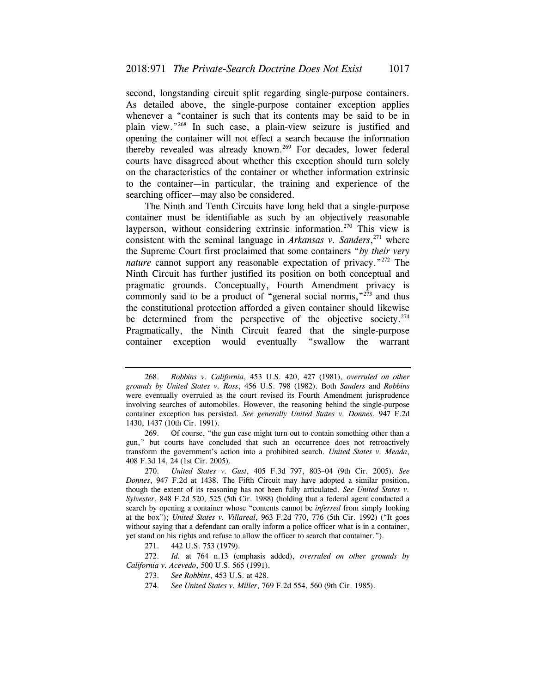second, longstanding circuit split regarding single-purpose containers. As detailed above, the single-purpose container exception applies whenever a "container is such that its contents may be said to be in plain view."268 In such case, a plain-view seizure is justified and opening the container will not effect a search because the information thereby revealed was already known.<sup>269</sup> For decades, lower federal courts have disagreed about whether this exception should turn solely on the characteristics of the container or whether information extrinsic to the container—in particular, the training and experience of the searching officer—may also be considered.

The Ninth and Tenth Circuits have long held that a single-purpose container must be identifiable as such by an objectively reasonable layperson, without considering extrinsic information.<sup>270</sup> This view is consistent with the seminal language in *Arkansas v. Sanders*, 271 where the Supreme Court first proclaimed that some containers "*by their very nature* cannot support any reasonable expectation of privacy."<sup>272</sup> The Ninth Circuit has further justified its position on both conceptual and pragmatic grounds. Conceptually, Fourth Amendment privacy is commonly said to be a product of "general social norms,"<sup>273</sup> and thus the constitutional protection afforded a given container should likewise be determined from the perspective of the objective society.<sup>274</sup> Pragmatically, the Ninth Circuit feared that the single-purpose container exception would eventually "swallow the warrant

<sup>268.</sup> *Robbins v. California*, 453 U.S. 420, 427 (1981), *overruled on other grounds by United States v. Ross*, 456 U.S. 798 (1982). Both *Sanders* and *Robbins*  were eventually overruled as the court revised its Fourth Amendment jurisprudence involving searches of automobiles. However, the reasoning behind the single-purpose container exception has persisted. *See generally United States v. Donnes*, 947 F.2d 1430, 1437 (10th Cir. 1991).

<sup>269.</sup> Of course, "the gun case might turn out to contain something other than a gun," but courts have concluded that such an occurrence does not retroactively transform the government's action into a prohibited search. *United States v. Meada*, 408 F.3d 14, 24 (1st Cir. 2005).

 <sup>270.</sup> *United States v. Gust*, 405 F.3d 797, 803–04 (9th Cir. 2005). *See Donnes*, 947 F.2d at 1438. The Fifth Circuit may have adopted a similar position, though the extent of its reasoning has not been fully articulated. *See United States v. Sylvester*, 848 F.2d 520, 525 (5th Cir. 1988) (holding that a federal agent conducted a search by opening a container whose "contents cannot be *inferred* from simply looking at the box"); *United States v. Villareal*, 963 F.2d 770, 776 (5th Cir. 1992) ("It goes without saying that a defendant can orally inform a police officer what is in a container, yet stand on his rights and refuse to allow the officer to search that container.").

<sup>271. 442</sup> U.S. 753 (1979).

 <sup>272.</sup> *Id.* at 764 n.13 (emphasis added), *overruled on other grounds by California v. Acevedo*, 500 U.S. 565 (1991).

 <sup>273.</sup> *See Robbins*, 453 U.S. at 428.

 <sup>274.</sup> *See United States v. Miller*, 769 F.2d 554, 560 (9th Cir. 1985).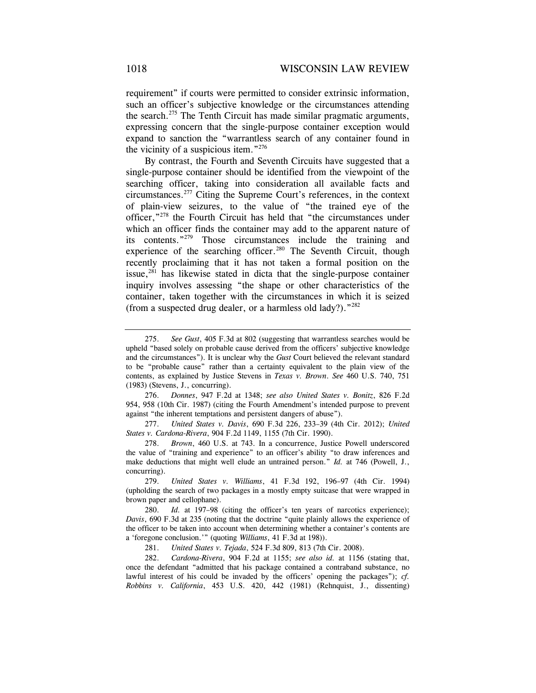requirement" if courts were permitted to consider extrinsic information, such an officer's subjective knowledge or the circumstances attending the search.275 The Tenth Circuit has made similar pragmatic arguments, expressing concern that the single-purpose container exception would expand to sanction the "warrantless search of any container found in the vicinity of a suspicious item."<sup>276</sup>

By contrast, the Fourth and Seventh Circuits have suggested that a single-purpose container should be identified from the viewpoint of the searching officer, taking into consideration all available facts and circumstances.277 Citing the Supreme Court's references, in the context of plain-view seizures, to the value of "the trained eye of the officer,"278 the Fourth Circuit has held that "the circumstances under which an officer finds the container may add to the apparent nature of its contents."279 Those circumstances include the training and experience of the searching officer.<sup>280</sup> The Seventh Circuit, though recently proclaiming that it has not taken a formal position on the issue,<sup>281</sup> has likewise stated in dicta that the single-purpose container inquiry involves assessing "the shape or other characteristics of the container, taken together with the circumstances in which it is seized (from a suspected drug dealer, or a harmless old lady?)."282

276. *Donnes*, 947 F.2d at 1348; *see also United States v. Bonitz*, 826 F.2d 954, 958 (10th Cir. 1987) (citing the Fourth Amendment's intended purpose to prevent against "the inherent temptations and persistent dangers of abuse").

277. *United States v. Davis*, 690 F.3d 226, 233–39 (4th Cir. 2012); *United States v. Cardona-Rivera*, 904 F.2d 1149, 1155 (7th Cir. 1990).

278. *Brown*, 460 U.S. at 743. In a concurrence, Justice Powell underscored the value of "training and experience" to an officer's ability "to draw inferences and make deductions that might well elude an untrained person." *Id.* at 746 (Powell, J., concurring).

279. *United States v. Williams*, 41 F.3d 192, 196–97 (4th Cir. 1994) (upholding the search of two packages in a mostly empty suitcase that were wrapped in brown paper and cellophane).

280. *Id.* at 197–98 (citing the officer's ten years of narcotics experience); *Davis*, 690 F.3d at 235 (noting that the doctrine "quite plainly allows the experience of the officer to be taken into account when determining whether a container's contents are a 'foregone conclusion.'" (quoting *Williams*, 41 F.3d at 198)).

281. *United States v. Tejada*, 524 F.3d 809, 813 (7th Cir. 2008).

282. *Cardona-Rivera*, 904 F.2d at 1155; *see also id.* at 1156 (stating that, once the defendant "admitted that his package contained a contraband substance, no lawful interest of his could be invaded by the officers' opening the packages"); *cf. Robbins v. California*, 453 U.S. 420, 442 (1981) (Rehnquist, J., dissenting)

<sup>275.</sup> *See Gust*, 405 F.3d at 802 (suggesting that warrantless searches would be upheld "based solely on probable cause derived from the officers' subjective knowledge and the circumstances"). It is unclear why the *Gust* Court believed the relevant standard to be "probable cause" rather than a certainty equivalent to the plain view of the contents, as explained by Justice Stevens in *Texas v. Brown*. *See* 460 U.S. 740, 751 (1983) (Stevens, J., concurring).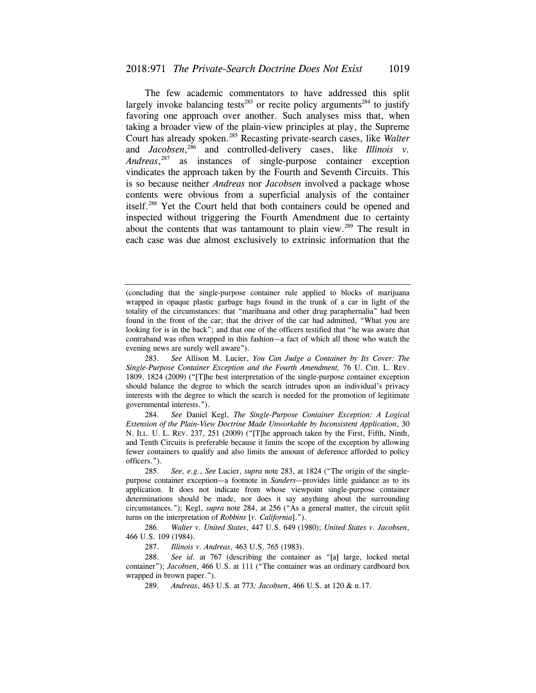The few academic commentators to have addressed this split largely invoke balancing tests<sup>283</sup> or recite policy arguments<sup>284</sup> to justify favoring one approach over another. Such analyses miss that, when taking a broader view of the plain-view principles at play, the Supreme Court has already spoken.285 Recasting private-search cases, like *Walter*  and *Jacobsen*<sup>286</sup> and controlled-delivery cases, like *Illinois v*. *Andreas*, 287 as instances of single-purpose container exception vindicates the approach taken by the Fourth and Seventh Circuits. This is so because neither *Andreas* nor *Jacobsen* involved a package whose contents were obvious from a superficial analysis of the container itself.288 Yet the Court held that both containers could be opened and inspected without triggering the Fourth Amendment due to certainty about the contents that was tantamount to plain view.<sup>289</sup> The result in each case was due almost exclusively to extrinsic information that the

<sup>(</sup>concluding that the single-purpose container rule applied to blocks of marijuana wrapped in opaque plastic garbage bags found in the trunk of a car in light of the totality of the circumstances: that "marihuana and other drug paraphernalia" had been found in the front of the car; that the driver of the car had admitted, "What you are looking for is in the back"; and that one of the officers testified that "he was aware that contraband was often wrapped in this fashion—a fact of which all those who watch the evening news are surely well aware").

 <sup>283.</sup> *See* Allison M. Lucier, *You Can Judge a Container by Its Cover: The Single-Purpose Container Exception and the Fourth Amendment,* 76 U. CHI. L. REV. 1809, 1824 (2009) ("[T]he best interpretation of the single-purpose container exception should balance the degree to which the search intrudes upon an individual's privacy interests with the degree to which the search is needed for the promotion of legitimate governmental interests.").

<sup>284.</sup> *See* Daniel Kegl, *The Single-Purpose Container Exception: A Logical Extension of the Plain-View Doctrine Made Unworkable by Inconsistent Application*, 30 N. ILL. U. L. REV. 237, 251 (2009) ("[T]he approach taken by the First, Fifth, Ninth, and Tenth Circuits is preferable because it limits the scope of the exception by allowing fewer containers to qualify and also limits the amount of deference afforded to policy officers.").

 <sup>285.</sup> *See, e.g.*, *See* Lucier, *supra* note 283, at 1824 ("The origin of the singlepurpose container exception—a footnote in *Sanders*—provides little guidance as to its application. It does not indicate from whose viewpoint single-purpose container determinations should be made, nor does it say anything about the surrounding circumstances."); Kegl, *supra* note 284, at 256 ("As a general matter, the circuit split turns on the interpretation of *Robbins* [*v. California*].").

<sup>286.</sup> *Walter v. United States*, 447 U.S. 649 (1980); *United States v. Jacobsen*, 466 U.S. 109 (1984).

 <sup>287.</sup> *Illinois v. Andreas*, 463 U.S. 765 (1983).

 <sup>288.</sup> *See id.* at 767 (describing the container as "[a] large, locked metal container"); *Jacobsen*, 466 U.S. at 111 ("The container was an ordinary cardboard box wrapped in brown paper.").

<sup>289.</sup> *Andreas*, 463 U.S. at 773*; Jacobsen*, 466 U.S. at 120 & n.17.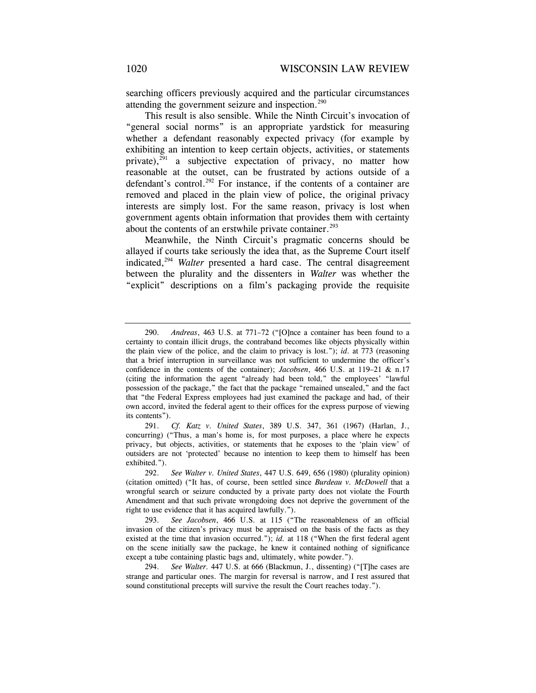searching officers previously acquired and the particular circumstances attending the government seizure and inspection.<sup>290</sup>

This result is also sensible. While the Ninth Circuit's invocation of "general social norms" is an appropriate yardstick for measuring whether a defendant reasonably expected privacy (for example by exhibiting an intention to keep certain objects, activities, or statements private), $291$  a subjective expectation of privacy, no matter how reasonable at the outset, can be frustrated by actions outside of a defendant's control.<sup>292</sup> For instance, if the contents of a container are removed and placed in the plain view of police, the original privacy interests are simply lost. For the same reason, privacy is lost when government agents obtain information that provides them with certainty about the contents of an erstwhile private container.<sup>293</sup>

Meanwhile, the Ninth Circuit's pragmatic concerns should be allayed if courts take seriously the idea that, as the Supreme Court itself indicated,<sup>294</sup> *Walter* presented a hard case. The central disagreement between the plurality and the dissenters in *Walter* was whether the "explicit" descriptions on a film's packaging provide the requisite

<sup>290.</sup> *Andreas*, 463 U.S. at 771–72 ("[O]nce a container has been found to a certainty to contain illicit drugs, the contraband becomes like objects physically within the plain view of the police, and the claim to privacy is lost."); *id*. at 773 (reasoning that a brief interruption in surveillance was not sufficient to undermine the officer's confidence in the contents of the container); *Jacobsen*, 466 U.S. at 119–21 & n.17 (citing the information the agent "already had been told," the employees' "lawful possession of the package," the fact that the package "remained unsealed," and the fact that "the Federal Express employees had just examined the package and had, of their own accord, invited the federal agent to their offices for the express purpose of viewing its contents").

<sup>291.</sup> *Cf. Katz v. United States*, 389 U.S. 347, 361 (1967) (Harlan, J., concurring) ("Thus, a man's home is, for most purposes, a place where he expects privacy, but objects, activities, or statements that he exposes to the 'plain view' of outsiders are not 'protected' because no intention to keep them to himself has been exhibited.").

 <sup>292.</sup> *See Walter v. United States*, 447 U.S. 649, 656 (1980) (plurality opinion) (citation omitted) ("It has, of course, been settled since *Burdeau v. McDowell* that a wrongful search or seizure conducted by a private party does not violate the Fourth Amendment and that such private wrongdoing does not deprive the government of the right to use evidence that it has acquired lawfully.").

<sup>293.</sup> *See Jacobsen*, 466 U.S. at 115 ("The reasonableness of an official invasion of the citizen's privacy must be appraised on the basis of the facts as they existed at the time that invasion occurred."); *id.* at 118 ("When the first federal agent on the scene initially saw the package, he knew it contained nothing of significance except a tube containing plastic bags and, ultimately, white powder.").

<sup>294.</sup> *See Walter.* 447 U.S. at 666 (Blackmun, J., dissenting) ("[T]he cases are strange and particular ones. The margin for reversal is narrow, and I rest assured that sound constitutional precepts will survive the result the Court reaches today.").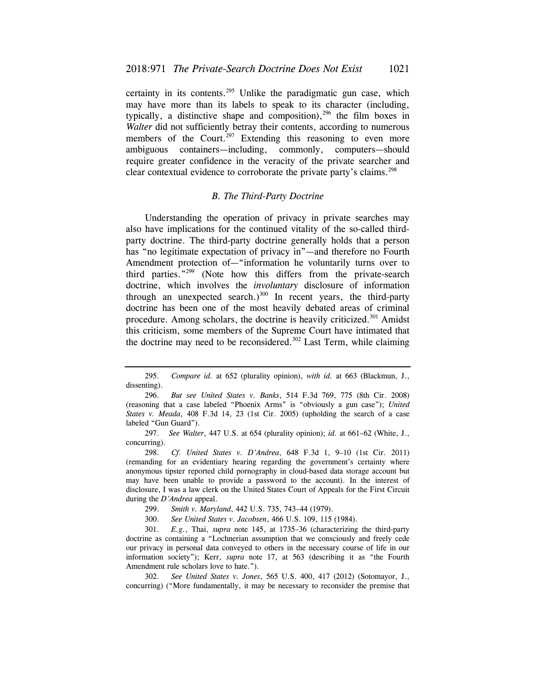certainty in its contents.<sup>295</sup> Unlike the paradigmatic gun case, which may have more than its labels to speak to its character (including, typically, a distinctive shape and composition), $296$  the film boxes in *Walter* did not sufficiently betray their contents, according to numerous members of the Court.<sup>297</sup> Extending this reasoning to even more ambiguous containers—including, commonly, computers—should require greater confidence in the veracity of the private searcher and clear contextual evidence to corroborate the private party's claims.<sup>298</sup>

## *B. The Third-Party Doctrine*

Understanding the operation of privacy in private searches may also have implications for the continued vitality of the so-called thirdparty doctrine. The third-party doctrine generally holds that a person has "no legitimate expectation of privacy in"—and therefore no Fourth Amendment protection of—"information he voluntarily turns over to third parties."299 (Note how this differs from the private-search doctrine, which involves the *involuntary* disclosure of information through an unexpected search.) $300$  In recent years, the third-party doctrine has been one of the most heavily debated areas of criminal procedure. Among scholars, the doctrine is heavily criticized.<sup>301</sup> Amidst this criticism, some members of the Supreme Court have intimated that the doctrine may need to be reconsidered.<sup>302</sup> Last Term, while claiming

<sup>295.</sup> *Compare id.* at 652 (plurality opinion), *with id.* at 663 (Blackmun, J., dissenting).

<sup>296.</sup> *But see United States v. Banks*, 514 F.3d 769, 775 (8th Cir. 2008) (reasoning that a case labeled "Phoenix Arms" is "obviously a gun case"); *United States v. Meada*, 408 F.3d 14, 23 (1st Cir. 2005) (upholding the search of a case labeled "Gun Guard").

<sup>297.</sup> *See Walter*, 447 U.S. at 654 (plurality opinion); *id.* at 661–62 (White, J., concurring).

<sup>298.</sup> *Cf. United States v. D'Andrea*, 648 F.3d 1, 9–10 (1st Cir. 2011) (remanding for an evidentiary hearing regarding the government's certainty where anonymous tipster reported child pornography in cloud-based data storage account but may have been unable to provide a password to the account). In the interest of disclosure, I was a law clerk on the United States Court of Appeals for the First Circuit during the *D'Andrea* appeal.

<sup>299.</sup> *Smith v. Maryland*, 442 U.S. 735, 743–44 (1979).

<sup>300.</sup> *See United States v. Jacobsen*, 466 U.S. 109, 115 (1984).

<sup>301.</sup> *E.g.*, Thai, *supra* note 145, at 1735–36 (characterizing the third-party doctrine as containing a "Lochnerian assumption that we consciously and freely cede our privacy in personal data conveyed to others in the necessary course of life in our information society"); Kerr, *supra* note 17, at 563 (describing it as "the Fourth Amendment rule scholars love to hate.").

 <sup>302.</sup> *See United States v. Jones*, 565 U.S. 400, 417 (2012) (Sotomayor, J., concurring) ("More fundamentally, it may be necessary to reconsider the premise that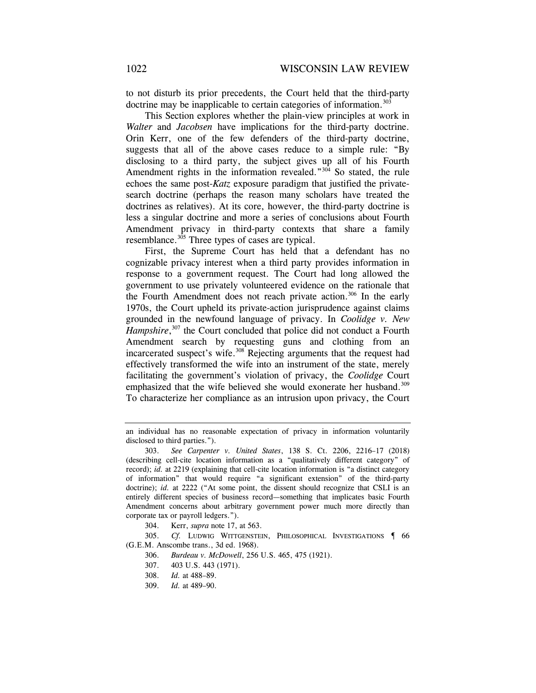to not disturb its prior precedents, the Court held that the third-party doctrine may be inapplicable to certain categories of information.<sup>303</sup>

This Section explores whether the plain-view principles at work in *Walter* and *Jacobsen* have implications for the third-party doctrine. Orin Kerr, one of the few defenders of the third-party doctrine, suggests that all of the above cases reduce to a simple rule: "By disclosing to a third party, the subject gives up all of his Fourth Amendment rights in the information revealed." $304$  So stated, the rule echoes the same post-*Katz* exposure paradigm that justified the privatesearch doctrine (perhaps the reason many scholars have treated the doctrines as relatives). At its core, however, the third-party doctrine is less a singular doctrine and more a series of conclusions about Fourth Amendment privacy in third-party contexts that share a family resemblance.<sup>305</sup> Three types of cases are typical.

First, the Supreme Court has held that a defendant has no cognizable privacy interest when a third party provides information in response to a government request. The Court had long allowed the government to use privately volunteered evidence on the rationale that the Fourth Amendment does not reach private action.<sup>306</sup> In the early 1970s, the Court upheld its private-action jurisprudence against claims grounded in the newfound language of privacy. In *Coolidge v. New*  Hampshire,<sup>307</sup> the Court concluded that police did not conduct a Fourth Amendment search by requesting guns and clothing from an incarcerated suspect's wife.<sup>308</sup> Rejecting arguments that the request had effectively transformed the wife into an instrument of the state, merely facilitating the government's violation of privacy, the *Coolidge* Court emphasized that the wife believed she would exonerate her husband.<sup>309</sup> To characterize her compliance as an intrusion upon privacy, the Court

an individual has no reasonable expectation of privacy in information voluntarily disclosed to third parties.").

 <sup>303.</sup> *See Carpenter v. United States*, 138 S. Ct. 2206, 2216–17 (2018) (describing cell-cite location information as a "qualitatively different category" of record); *id.* at 2219 (explaining that cell-cite location information is "a distinct category of information" that would require "a significant extension" of the third-party doctrine); *id.* at 2222 ("At some point, the dissent should recognize that CSLI is an entirely different species of business record—something that implicates basic Fourth Amendment concerns about arbitrary government power much more directly than corporate tax or payroll ledgers.").

<sup>304.</sup> Kerr, *supra* note 17, at 563.

<sup>305.</sup> *Cf.* LUDWIG WITTGENSTEIN, PHILOSOPHICAL INVESTIGATIONS ¶ 66 (G.E.M. Anscombe trans., 3d ed. 1968).

<sup>306.</sup> *Burdeau v. McDowell*, 256 U.S. 465, 475 (1921).

<sup>307. 403</sup> U.S. 443 (1971).

<sup>308.</sup> *Id.* at 488–89.

 <sup>309.</sup> *Id.* at 489–90.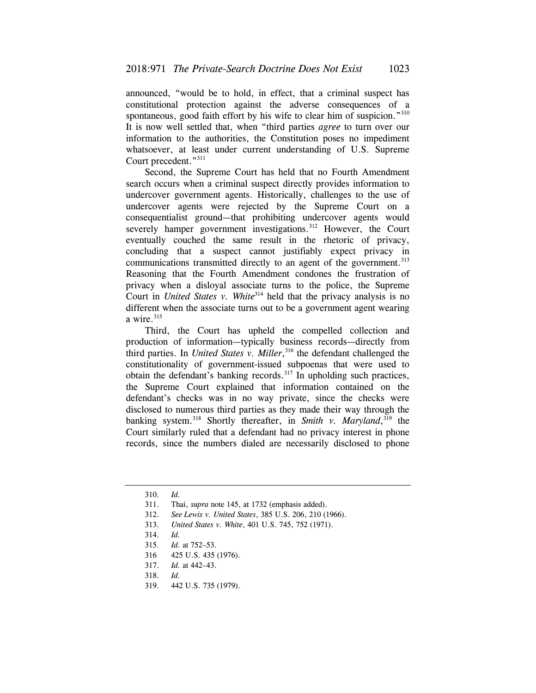announced, "would be to hold, in effect, that a criminal suspect has constitutional protection against the adverse consequences of a spontaneous, good faith effort by his wife to clear him of suspicion."<sup>310</sup> It is now well settled that, when "third parties *agree* to turn over our information to the authorities, the Constitution poses no impediment whatsoever, at least under current understanding of U.S. Supreme Court precedent."311

Second, the Supreme Court has held that no Fourth Amendment search occurs when a criminal suspect directly provides information to undercover government agents. Historically, challenges to the use of undercover agents were rejected by the Supreme Court on a consequentialist ground—that prohibiting undercover agents would severely hamper government investigations.<sup>312</sup> However, the Court eventually couched the same result in the rhetoric of privacy, concluding that a suspect cannot justifiably expect privacy in communications transmitted directly to an agent of the government.<sup>313</sup> Reasoning that the Fourth Amendment condones the frustration of privacy when a disloyal associate turns to the police, the Supreme Court in *United States v. White*<sup>314</sup> held that the privacy analysis is no different when the associate turns out to be a government agent wearing a wire. $315$ 

Third, the Court has upheld the compelled collection and production of information—typically business records—directly from third parties. In *United States v. Miller*, 316 the defendant challenged the constitutionality of government-issued subpoenas that were used to obtain the defendant's banking records.<sup>317</sup> In upholding such practices, the Supreme Court explained that information contained on the defendant's checks was in no way private, since the checks were disclosed to numerous third parties as they made their way through the banking system.318 Shortly thereafter, in *Smith v. Maryland*, 319 the Court similarly ruled that a defendant had no privacy interest in phone records, since the numbers dialed are necessarily disclosed to phone

- 318. *Id.*
- 319. 442 U.S. 735 (1979).

<sup>310.</sup> *Id.*

 <sup>311.</sup> Thai, *supra* note 145, at 1732 (emphasis added).

<sup>312.</sup> *See Lewis v. United States*, 385 U.S. 206, 210 (1966).

 <sup>313.</sup> *United States v. White*, 401 U.S. 745, 752 (1971).

<sup>314.</sup> *Id.*

 <sup>315.</sup> *Id.* at 752–53.

<sup>316 425</sup> U.S. 435 (1976).

<sup>317.</sup> *Id.* at 442–43.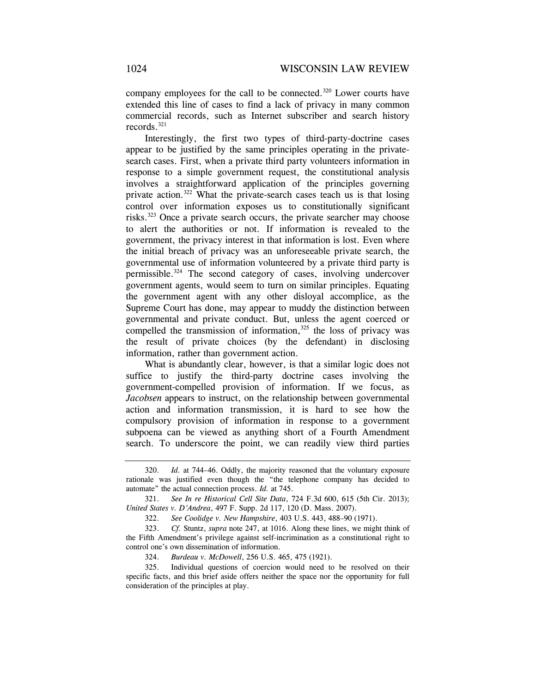company employees for the call to be connected.<sup>320</sup> Lower courts have extended this line of cases to find a lack of privacy in many common commercial records, such as Internet subscriber and search history records.321

Interestingly, the first two types of third-party-doctrine cases appear to be justified by the same principles operating in the privatesearch cases. First, when a private third party volunteers information in response to a simple government request, the constitutional analysis involves a straightforward application of the principles governing private action.322 What the private-search cases teach us is that losing control over information exposes us to constitutionally significant risks.323 Once a private search occurs, the private searcher may choose to alert the authorities or not. If information is revealed to the government, the privacy interest in that information is lost. Even where the initial breach of privacy was an unforeseeable private search, the governmental use of information volunteered by a private third party is permissible.324 The second category of cases, involving undercover government agents, would seem to turn on similar principles. Equating the government agent with any other disloyal accomplice, as the Supreme Court has done, may appear to muddy the distinction between governmental and private conduct. But, unless the agent coerced or compelled the transmission of information, $325$  the loss of privacy was the result of private choices (by the defendant) in disclosing information, rather than government action.

What is abundantly clear, however, is that a similar logic does not suffice to justify the third-party doctrine cases involving the government-compelled provision of information. If we focus, as *Jacobsen* appears to instruct, on the relationship between governmental action and information transmission, it is hard to see how the compulsory provision of information in response to a government subpoena can be viewed as anything short of a Fourth Amendment search. To underscore the point, we can readily view third parties

<sup>320.</sup> *Id.* at 744–46. Oddly, the majority reasoned that the voluntary exposure rationale was justified even though the "the telephone company has decided to automate" the actual connection process. *Id.* at 745.

<sup>321.</sup> *See In re Historical Cell Site Data*, 724 F.3d 600, 615 (5th Cir. 2013); *United States v. D'Andrea*, 497 F. Supp. 2d 117, 120 (D. Mass. 2007).

<sup>322.</sup> *See Coolidge v. New Hampshire*, 403 U.S. 443, 488–90 (1971).

 <sup>323.</sup> *Cf.* Stuntz, *supra* note 247, at 1016. Along these lines, we might think of the Fifth Amendment's privilege against self-incrimination as a constitutional right to control one's own dissemination of information.

<sup>324.</sup> *Burdeau v. McDowell*, 256 U.S. 465, 475 (1921).

<sup>325.</sup> Individual questions of coercion would need to be resolved on their specific facts, and this brief aside offers neither the space nor the opportunity for full consideration of the principles at play.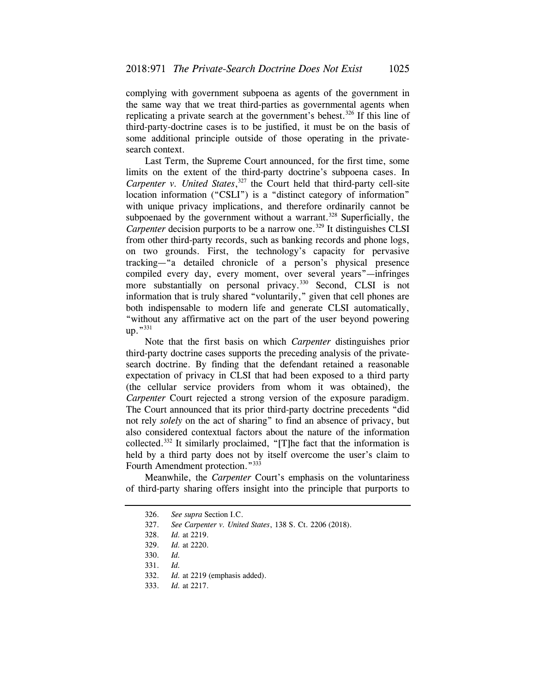complying with government subpoena as agents of the government in the same way that we treat third-parties as governmental agents when replicating a private search at the government's behest.<sup>326</sup> If this line of third-party-doctrine cases is to be justified, it must be on the basis of some additional principle outside of those operating in the privatesearch context.

Last Term, the Supreme Court announced, for the first time, some limits on the extent of the third-party doctrine's subpoena cases. In Carpenter v. United States,<sup>327</sup> the Court held that third-party cell-site location information ("CSLI") is a "distinct category of information" with unique privacy implications, and therefore ordinarily cannot be subpoenaed by the government without a warrant.<sup>328</sup> Superficially, the *Carpenter* decision purports to be a narrow one.<sup>329</sup> It distinguishes CLSI from other third-party records, such as banking records and phone logs, on two grounds. First, the technology's capacity for pervasive tracking—"a detailed chronicle of a person's physical presence compiled every day, every moment, over several years"—infringes more substantially on personal privacy.<sup>330</sup> Second, CLSI is not information that is truly shared "voluntarily," given that cell phones are both indispensable to modern life and generate CLSI automatically, "without any affirmative act on the part of the user beyond powering up."<sup>331</sup>

Note that the first basis on which *Carpenter* distinguishes prior third-party doctrine cases supports the preceding analysis of the privatesearch doctrine. By finding that the defendant retained a reasonable expectation of privacy in CLSI that had been exposed to a third party (the cellular service providers from whom it was obtained), the *Carpenter* Court rejected a strong version of the exposure paradigm. The Court announced that its prior third-party doctrine precedents "did not rely *solely* on the act of sharing" to find an absence of privacy, but also considered contextual factors about the nature of the information collected.332 It similarly proclaimed, "[T]he fact that the information is held by a third party does not by itself overcome the user's claim to Fourth Amendment protection."<sup>333</sup>

Meanwhile, the *Carpenter* Court's emphasis on the voluntariness of third-party sharing offers insight into the principle that purports to

<sup>326.</sup> *See supra* Section I.C.

<sup>327.</sup> *See Carpenter v. United States*, 138 S. Ct. 2206 (2018).

 <sup>328.</sup> *Id.* at 2219.

<sup>329.</sup> *Id.* at 2220.

 <sup>330.</sup> *Id.*

 <sup>331.</sup> *Id.*

 <sup>332.</sup> *Id.* at 2219 (emphasis added).

<sup>333.</sup> *Id.* at 2217.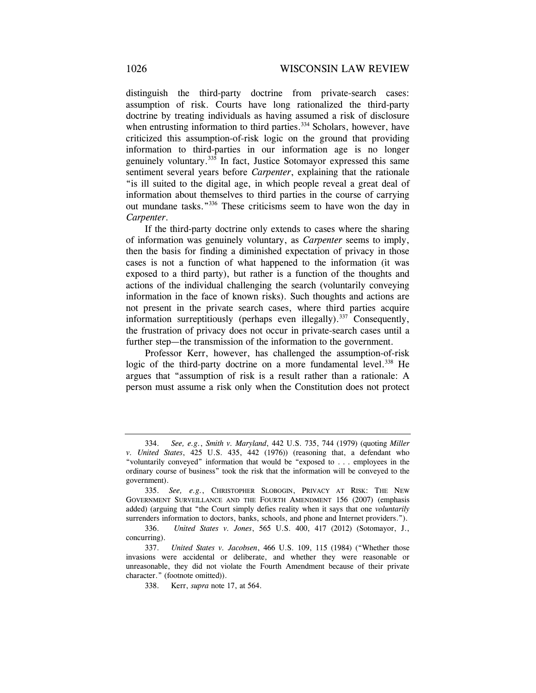distinguish the third-party doctrine from private-search cases: assumption of risk. Courts have long rationalized the third-party doctrine by treating individuals as having assumed a risk of disclosure when entrusting information to third parties.<sup>334</sup> Scholars, however, have criticized this assumption-of-risk logic on the ground that providing information to third-parties in our information age is no longer genuinely voluntary. $335$  In fact, Justice Sotomayor expressed this same sentiment several years before *Carpenter*, explaining that the rationale "is ill suited to the digital age, in which people reveal a great deal of information about themselves to third parties in the course of carrying out mundane tasks."336 These criticisms seem to have won the day in *Carpenter*.

If the third-party doctrine only extends to cases where the sharing of information was genuinely voluntary, as *Carpenter* seems to imply, then the basis for finding a diminished expectation of privacy in those cases is not a function of what happened to the information (it was exposed to a third party), but rather is a function of the thoughts and actions of the individual challenging the search (voluntarily conveying information in the face of known risks). Such thoughts and actions are not present in the private search cases, where third parties acquire information surreptitiously (perhaps even illegally).<sup>337</sup> Consequently, the frustration of privacy does not occur in private-search cases until a further step—the transmission of the information to the government.

Professor Kerr, however, has challenged the assumption-of-risk logic of the third-party doctrine on a more fundamental level.<sup>338</sup> He argues that "assumption of risk is a result rather than a rationale: A person must assume a risk only when the Constitution does not protect

<sup>334.</sup> *See, e.g.*, *Smith v. Maryland*, 442 U.S. 735, 744 (1979) (quoting *Miller v. United States*, 425 U.S. 435, 442 (1976)) (reasoning that, a defendant who "voluntarily conveyed" information that would be "exposed to . . . employees in the ordinary course of business" took the risk that the information will be conveyed to the government).

<sup>335.</sup> *See, e.g.*, CHRISTOPHER SLOBOGIN, PRIVACY AT RISK: THE NEW GOVERNMENT SURVEILLANCE AND THE FOURTH AMENDMENT 156 (2007) (emphasis added) (arguing that "the Court simply defies reality when it says that one *voluntarily*  surrenders information to doctors, banks, schools, and phone and Internet providers.").

<sup>336.</sup> *United States v. Jones*, 565 U.S. 400, 417 (2012) (Sotomayor, J., concurring).

<sup>337.</sup> *United States v. Jacobsen*, 466 U.S. 109, 115 (1984) ("Whether those invasions were accidental or deliberate, and whether they were reasonable or unreasonable, they did not violate the Fourth Amendment because of their private character." (footnote omitted)).

<sup>338.</sup> Kerr, *supra* note 17, at 564.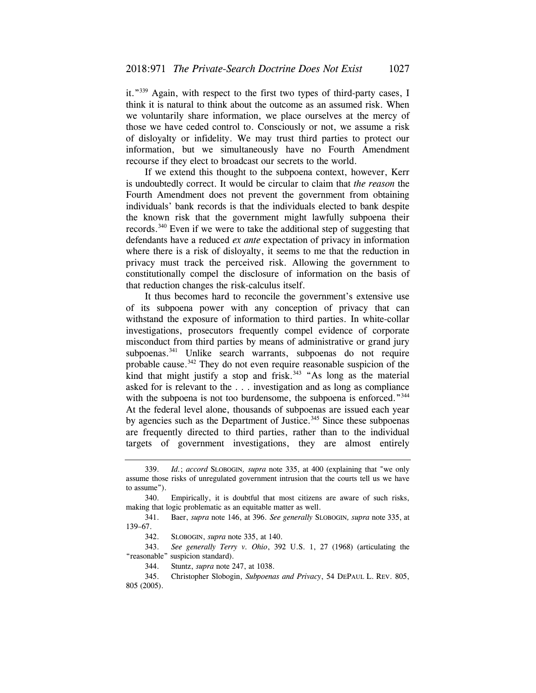it."339 Again, with respect to the first two types of third-party cases, I think it is natural to think about the outcome as an assumed risk. When we voluntarily share information, we place ourselves at the mercy of those we have ceded control to. Consciously or not, we assume a risk of disloyalty or infidelity. We may trust third parties to protect our information, but we simultaneously have no Fourth Amendment recourse if they elect to broadcast our secrets to the world.

If we extend this thought to the subpoena context, however, Kerr is undoubtedly correct. It would be circular to claim that *the reason* the Fourth Amendment does not prevent the government from obtaining individuals' bank records is that the individuals elected to bank despite the known risk that the government might lawfully subpoena their records.340 Even if we were to take the additional step of suggesting that defendants have a reduced *ex ante* expectation of privacy in information where there is a risk of disloyalty, it seems to me that the reduction in privacy must track the perceived risk. Allowing the government to constitutionally compel the disclosure of information on the basis of that reduction changes the risk-calculus itself.

It thus becomes hard to reconcile the government's extensive use of its subpoena power with any conception of privacy that can withstand the exposure of information to third parties. In white-collar investigations, prosecutors frequently compel evidence of corporate misconduct from third parties by means of administrative or grand jury subpoenas.<sup>341</sup> Unlike search warrants, subpoenas do not require probable cause.<sup>342</sup> They do not even require reasonable suspicion of the kind that might justify a stop and frisk. $343$  "As long as the material asked for is relevant to the . . . investigation and as long as compliance with the subpoena is not too burdensome, the subpoena is enforced."<sup>344</sup> At the federal level alone, thousands of subpoenas are issued each year by agencies such as the Department of Justice.<sup>345</sup> Since these subpoenas are frequently directed to third parties, rather than to the individual targets of government investigations, they are almost entirely

<sup>339.</sup> *Id.*; *accord* SLOBOGIN*, supra* note 335, at 400 (explaining that "we only assume those risks of unregulated government intrusion that the courts tell us we have to assume").

<sup>340.</sup> Empirically, it is doubtful that most citizens are aware of such risks, making that logic problematic as an equitable matter as well.

<sup>341.</sup> Baer, *supra* note 146, at 396. *See generally* SLOBOGIN*, supra* note 335, at 139–67.

 <sup>342.</sup> SLOBOGIN, *supra* note 335, at 140.

 <sup>343.</sup> *See generally Terry v. Ohio*, 392 U.S. 1, 27 (1968) (articulating the "reasonable" suspicion standard).

<sup>344.</sup> Stuntz, *supra* note 247, at 1038.

<sup>345.</sup> Christopher Slobogin, *Subpoenas and Privacy*, 54 DEPAUL L. REV. 805, 805 (2005).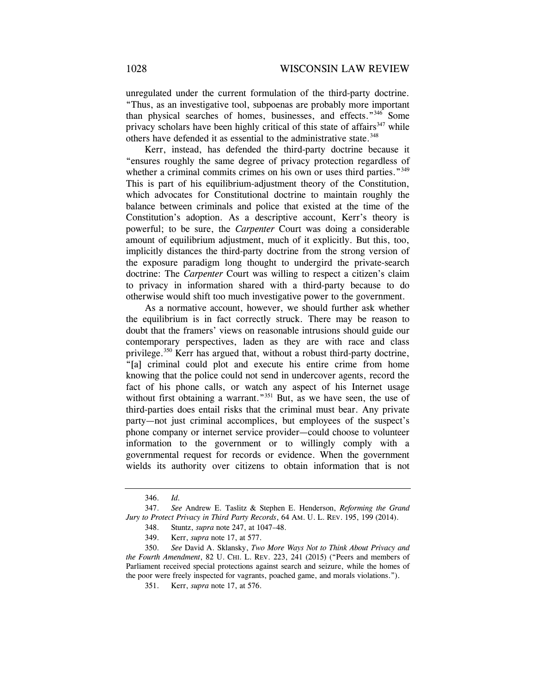unregulated under the current formulation of the third-party doctrine. "Thus, as an investigative tool, subpoenas are probably more important than physical searches of homes, businesses, and effects."346 Some privacy scholars have been highly critical of this state of affairs<sup>347</sup> while others have defended it as essential to the administrative state.<sup>348</sup>

Kerr, instead, has defended the third-party doctrine because it "ensures roughly the same degree of privacy protection regardless of whether a criminal commits crimes on his own or uses third parties."<sup>349</sup> This is part of his equilibrium-adjustment theory of the Constitution, which advocates for Constitutional doctrine to maintain roughly the balance between criminals and police that existed at the time of the Constitution's adoption. As a descriptive account, Kerr's theory is powerful; to be sure, the *Carpenter* Court was doing a considerable amount of equilibrium adjustment, much of it explicitly. But this, too, implicitly distances the third-party doctrine from the strong version of the exposure paradigm long thought to undergird the private-search doctrine: The *Carpenter* Court was willing to respect a citizen's claim to privacy in information shared with a third-party because to do otherwise would shift too much investigative power to the government.

As a normative account, however, we should further ask whether the equilibrium is in fact correctly struck. There may be reason to doubt that the framers' views on reasonable intrusions should guide our contemporary perspectives, laden as they are with race and class privilege.350 Kerr has argued that, without a robust third-party doctrine, "[a] criminal could plot and execute his entire crime from home knowing that the police could not send in undercover agents, record the fact of his phone calls, or watch any aspect of his Internet usage without first obtaining a warrant."<sup>351</sup> But, as we have seen, the use of third-parties does entail risks that the criminal must bear. Any private party—not just criminal accomplices, but employees of the suspect's phone company or internet service provider—could choose to volunteer information to the government or to willingly comply with a governmental request for records or evidence. When the government wields its authority over citizens to obtain information that is not

<sup>346.</sup> *Id.*

 <sup>347.</sup> *See* Andrew E. Taslitz & Stephen E. Henderson, *Reforming the Grand Jury to Protect Privacy in Third Party Records*, 64 AM. U. L. REV. 195, 199 (2014). 348. Stuntz, *supra* note 247, at 1047–48.

 <sup>349.</sup> Kerr, *supra* note 17, at 577.

<sup>350.</sup> *See* David A. Sklansky, *Two More Ways Not to Think About Privacy and the Fourth Amendment*, 82 U. CHI. L. REV. 223, 241 (2015) ("Peers and members of Parliament received special protections against search and seizure, while the homes of the poor were freely inspected for vagrants, poached game, and morals violations.").

<sup>351.</sup> Kerr, *supra* note 17, at 576.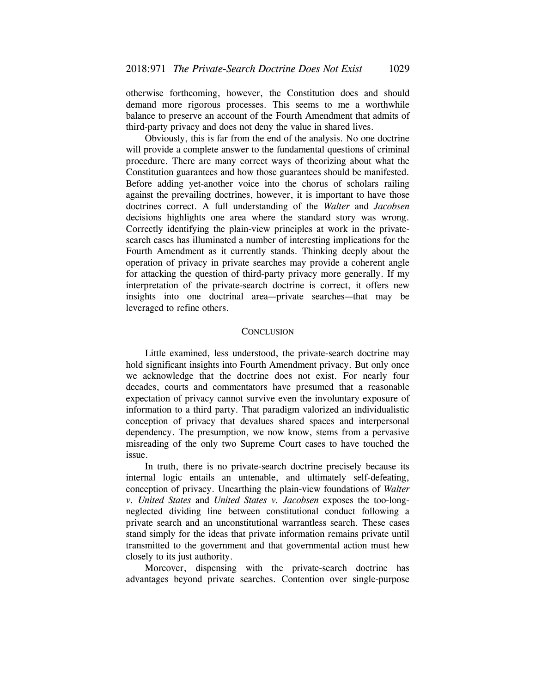otherwise forthcoming, however, the Constitution does and should demand more rigorous processes. This seems to me a worthwhile balance to preserve an account of the Fourth Amendment that admits of third-party privacy and does not deny the value in shared lives.

Obviously, this is far from the end of the analysis. No one doctrine will provide a complete answer to the fundamental questions of criminal procedure. There are many correct ways of theorizing about what the Constitution guarantees and how those guarantees should be manifested. Before adding yet-another voice into the chorus of scholars railing against the prevailing doctrines, however, it is important to have those doctrines correct. A full understanding of the *Walter* and *Jacobsen*  decisions highlights one area where the standard story was wrong. Correctly identifying the plain-view principles at work in the privatesearch cases has illuminated a number of interesting implications for the Fourth Amendment as it currently stands. Thinking deeply about the operation of privacy in private searches may provide a coherent angle for attacking the question of third-party privacy more generally. If my interpretation of the private-search doctrine is correct, it offers new insights into one doctrinal area—private searches—that may be leveraged to refine others.

## **CONCLUSION**

Little examined, less understood, the private-search doctrine may hold significant insights into Fourth Amendment privacy. But only once we acknowledge that the doctrine does not exist. For nearly four decades, courts and commentators have presumed that a reasonable expectation of privacy cannot survive even the involuntary exposure of information to a third party. That paradigm valorized an individualistic conception of privacy that devalues shared spaces and interpersonal dependency. The presumption, we now know, stems from a pervasive misreading of the only two Supreme Court cases to have touched the issue.

In truth, there is no private-search doctrine precisely because its internal logic entails an untenable, and ultimately self-defeating, conception of privacy. Unearthing the plain-view foundations of *Walter v. United States* and *United States v. Jacobsen* exposes the too-longneglected dividing line between constitutional conduct following a private search and an unconstitutional warrantless search. These cases stand simply for the ideas that private information remains private until transmitted to the government and that governmental action must hew closely to its just authority.

Moreover, dispensing with the private-search doctrine has advantages beyond private searches. Contention over single-purpose